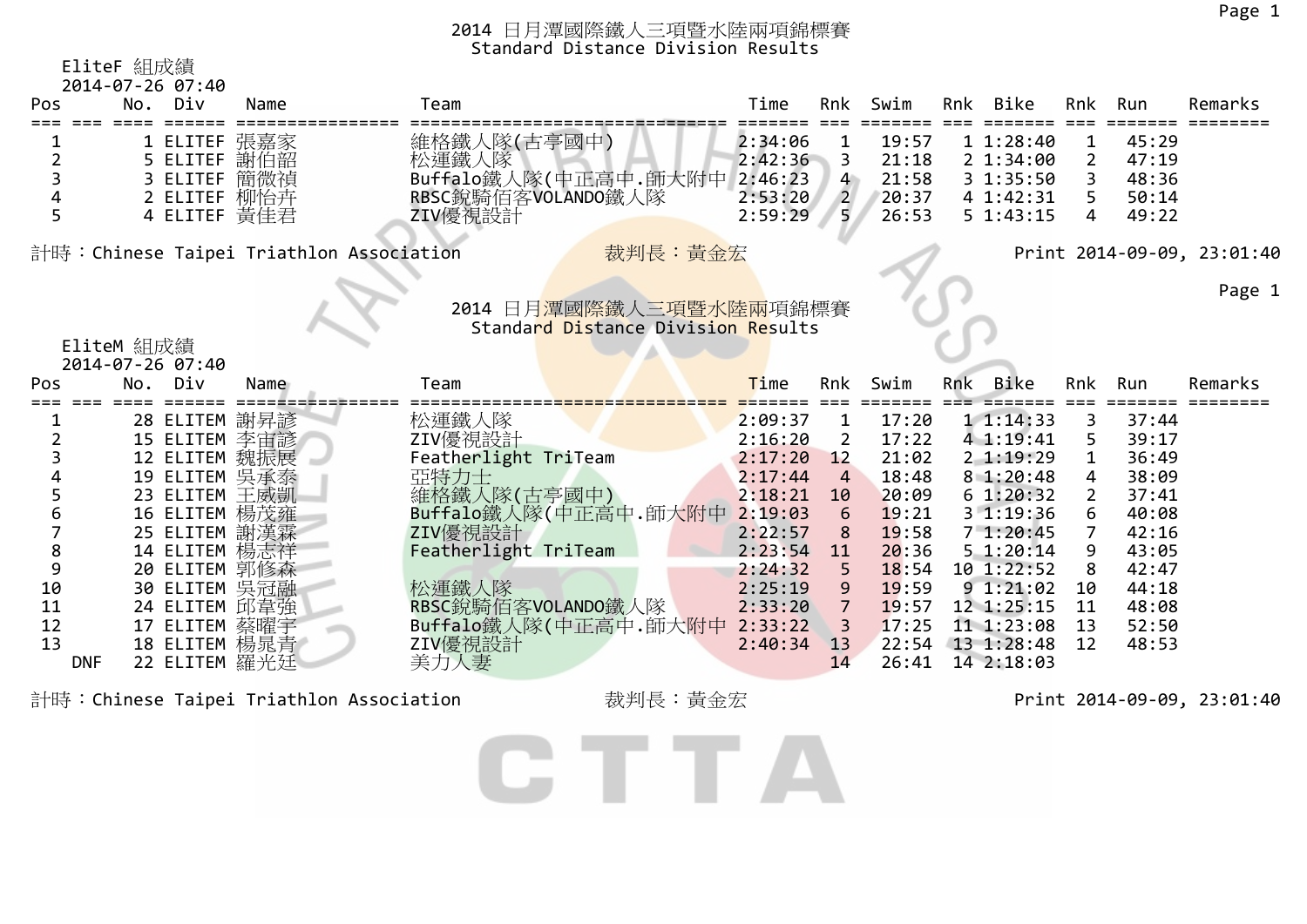|     | EliteF 組成績<br>2014-07-26 07:40 |      |                                                              |                    |                      |                |     |                          |                     |                |                            |
|-----|--------------------------------|------|--------------------------------------------------------------|--------------------|----------------------|----------------|-----|--------------------------|---------------------|----------------|----------------------------|
| Pos | No.<br>Div                     | Name | Team                                                         | Time               | Rnk                  | Swim           |     | Rnk Bike                 | Rnk                 | Run            | Remarks                    |
|     | 1 ELITEF                       | 張嘉家  | 維格鐵人隊(古亭國中)                                                  | 2:34:06            |                      | 19:57          |     | 11:28:40                 | 1                   | 45:29          |                            |
| 2   | 5 ELITEF 謝伯韶                   |      | 松運鐵人隊                                                        | 2:42:36            | 3                    | 21:18          |     | 21:34:00                 | 2                   | 47:19          |                            |
| 3   | 3 ELITEF                       | 簡微禎  | Buffalo鐵人隊(中正高中.師大附中                                         | 2:46:23            | $4^{\circ}$          | 21:58          |     | 3 1:35:50                |                     | 48:36          |                            |
|     | 2 ELITEF 柳怡卉                   |      | RBSC銳騎佰客VOLANDO鐵人隊                                           | 2:53:20            | $\overline{2}$       | 20:37          |     | 4 1:42:31                | 5                   | 50:14          |                            |
| 5   | 4 ELITEF 黃佳君                   |      | ZIV優視設計                                                      | 2:59:29            | 5.                   | 26:53          |     | 5 1:43:15                | 4                   | 49:22          |                            |
|     |                                |      | 裁判長:黃金宏<br>計時:Chinese Taipei Triathlon Association           |                    |                      |                |     |                          |                     |                | Print 2014-09-09, 23:01:40 |
|     |                                |      |                                                              |                    |                      |                |     |                          |                     |                | Page 1                     |
|     |                                |      | 2014 日月潭國際鐵人三項暨水陸兩項錦標賽<br>Standard Distance Division Results |                    |                      |                |     |                          |                     |                |                            |
|     | EliteM 組成績                     |      |                                                              |                    |                      |                |     |                          |                     |                |                            |
|     | 2014-07-26 07:40               |      |                                                              |                    |                      |                |     |                          |                     |                |                            |
| Pos | No. Div                        | Name | Team                                                         | <b>Time</b>        | Rnk                  | Swim           | Rnk | Bike                     | Rnk                 | Run            | Remarks                    |
|     |                                |      |                                                              |                    |                      |                |     |                          |                     |                |                            |
|     |                                |      |                                                              |                    |                      |                |     |                          |                     |                |                            |
|     | 28 ELITEM 謝昇諺                  |      | 松運鐵人隊                                                        | 2:09:37            | 1                    | 17:20          |     | 11:14:33                 | 3                   | 37:44          |                            |
|     | 15 ELITEM 李宙諺                  |      | ZIV優視設計                                                      | 2:16:20            | 2                    | 17:22          |     | 4 1:19:41                | 5                   | 39:17          |                            |
|     | 12 ELITEM 魏振展                  |      | Featherlight TriTeam                                         | 2:17:20            | 12<br>$\overline{4}$ | 21:02          |     | 2 1:19:29                | 1                   | 36:49          |                            |
| 5   | 19 ELITEM 吴承泰                  |      | 亞特力士                                                         | 2:17:44<br>2:18:21 | 10                   | 18:48<br>20:09 |     | 81:20:48<br>61:20:32     | 4<br>$\overline{2}$ | 38:09<br>37:41 |                            |
| 6   | 23 ELITEM 王威凱                  |      | 維格鐵人隊(古亭國中)                                                  |                    | 6                    | 19:21          |     | 31:19:36                 | 6                   | 40:08          |                            |
|     | 16 ELITEM 楊茂雍                  |      | Buffalo鐵人隊(中正高中.師大附中 2:19:03                                 | 2:22:57            | 8                    | 19:58          |     | 71:20:45                 | 7                   | 42:16          |                            |
| 8   | 25 ELITEM 謝漢霖                  |      | ZIV優視設計<br>Featherlight TriTeam                              | 2:23:54            | 11                   | 20:36          |     | 5 1:20:14                | 9                   | 43:05          |                            |
| 9   | 14 ELITEM 楊志祥<br>20 ELITEM 郭修森 |      |                                                              | 2:24:32            |                      | 18:54          |     | 10 1:22:52               | 8                   | 42:47          |                            |
| 10  | 30 ELITEM 吳冠融                  |      | 松運鐵人隊                                                        | 2:25:19            | 9                    | 19:59          |     | 91:21:02                 | 10                  | 44:18          |                            |
| 11  | 24 ELITEM 邱韋強                  |      | RBSC銳騎佰客VOLANDO鐵人隊                                           | 2:33:20            | $\overline{7}$       | 19:57          |     | 12 1:25:15               | 11                  | 48:08          |                            |
| 12  | 17 ELITEM 蔡曜宇                  |      | Buffalo鐵人隊(中正高中.師大附中                                         | 2:33:22            | 3                    | 17:25          |     | 11 1:23:08               | 13                  | 52:50          |                            |
| 13  | 18 ELITEM 楊晁青<br>22 ELITEM 羅光廷 |      | ZIV優視設計<br>美力人妻                                              | 2:40:34            | 13                   | 22:54          |     | 13 1:28:48<br>14 2:18:03 | 12                  | 48:53          |                            |

計時:Chinese Taipei Triathlon Association 裁判長:黃金宏 Print 2014-09-09, 23:01:40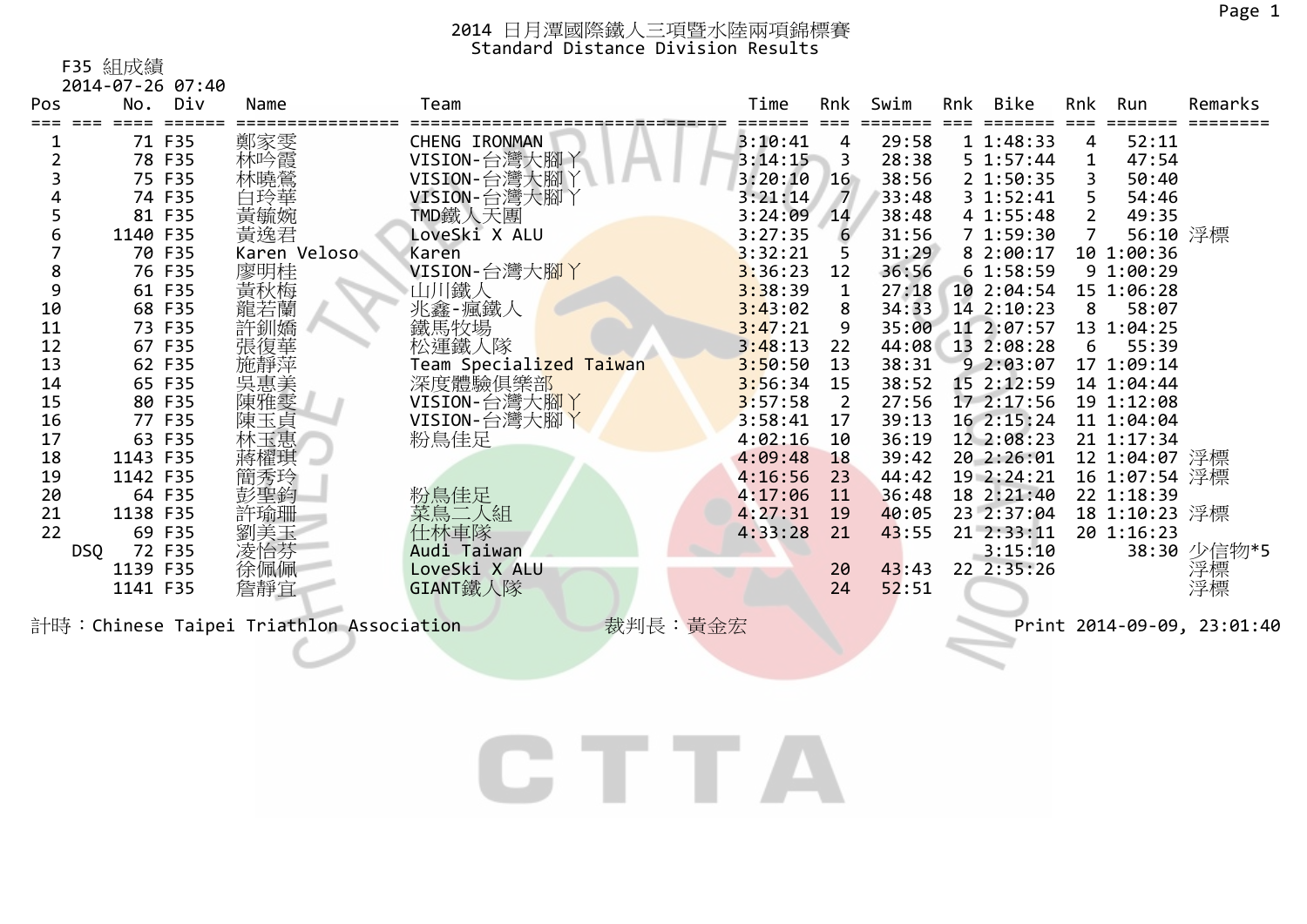F35 組成績

| Pos | 2014-07-26 07:40<br>No. Div | Name         | Team                                 | Time    | Rnk            | Swim  | Rnk | Bike       | Rnk            | Run           | Remarks     |
|-----|-----------------------------|--------------|--------------------------------------|---------|----------------|-------|-----|------------|----------------|---------------|-------------|
|     |                             |              |                                      |         |                |       |     |            |                |               |             |
|     | 71 F35                      | 鄭家雯          | CHENG IRONMAN                        | 3:10:41 | 4              | 29:58 |     | 11:48:33   | 4              | 52:11         |             |
|     | 78 F35                      | 林吟霞          | VISION-台灣大腳丫                         | 3:14:15 | $\sim$ 3       | 28:38 |     | 5 1:57:44  | 1              | 47:54         |             |
|     | 75 F35                      | 林曉鶯          | VISION-台灣大腳丫                         | 3:20:10 | 16             | 38:56 |     | 2 1:50:35  | 3              | 50:40         |             |
|     | 74 F35                      | 白玲華          | VISION-台灣大腳丫                         | 3:21:14 | $\overline{7}$ | 33:48 |     | 3 1:52:41  | 5.             | 54:46         |             |
|     | 81 F35                      | 黃毓婉          | TMD鐵人天團                              | 3:24:09 | 14             | 38:48 |     | 4 1:55:48  | $2^{\circ}$    | 49:35         |             |
|     | 1140 F35                    | 黃逸君          | LoveSki X ALU                        | 3:27:35 | 6              | 31:56 |     | 71:59:30   | $\overline{7}$ | 56:10 浮標      |             |
|     | 70 F35                      | Karen Veloso | Karen                                | 3:32:21 |                | 31:29 |     | 8 2:00:17  |                | 10 1:00:36    |             |
|     | 76 F35                      | 廖明桂          | VISION-台灣大腳丫                         | 3:36:23 | 12             | 36:56 |     | 61:58:59   |                | 9 1:00:29     |             |
| 9   | 61 F35                      | 黃秋梅          | 山川鐵人                                 | 3:38:39 | 1              | 27:18 |     | 10 2:04:54 |                | 15 1:06:28    |             |
| 10  | 68 F35                      | 龍若蘭          | 兆鑫-瘋鐵人                               | 3:43:02 | 8              | 34:33 |     | 14 2:10:23 | 8              | 58:07         |             |
| 11  | 73 F35                      | 許釧嬌          | 鐵馬牧場                                 | 3:47:21 | 9              | 35:00 |     | 11 2:07:57 |                | 13 1:04:25    |             |
| 12  | 67 F35                      | 張復華          | 松運鐵人隊                                | 3:48:13 | 22             | 44:08 |     | 13 2:08:28 | 6              | 55:39         |             |
| 13  | 62 F35                      | 施靜萍          | Team Specialized Taiwan              | 3:50:50 | 13             | 38:31 |     | 92:03:07   |                | 17 1:09:14    |             |
| 14  | 65 F35                      | 吳惠美          | 深度體驗俱樂部                              | 3:56:34 | 15             | 38:52 |     | 15 2:12:59 |                | 14 1:04:44    |             |
| 15  | 80 F35                      | 陳雅雯          | VISION-台灣大腳丫                         | 3:57:58 | $\overline{2}$ | 27:56 |     | 17 2:17:56 |                | 19 1:12:08    |             |
| 16  | 77 F35                      | 陳玉貞          | VISION-台灣大腳丫                         | 3:58:41 | 17             | 39:13 |     | 16 2:15:24 |                | 11 1:04:04    |             |
| 17  | 63 F35                      | 林玉惠          | 粉鳥佳足                                 | 4:02:16 | 10             | 36:19 |     | 12 2:08:23 |                | 21 1:17:34    |             |
| 18  | 1143 F35                    | 蔣櫂琪          |                                      | 4:09:48 | 18             | 39:42 |     | 20 2:26:01 |                | 12 1:04:07 浮標 |             |
| 19  | 1142 F35                    | 簡秀玲          |                                      | 4:16:56 | 23             | 44:42 |     | 19 2:24:21 |                | 16 1:07:54 浮標 |             |
| 20  | 64 F35                      | 彭聖鈞          | 粉鳥佳足                                 | 4:17:06 | 11             | 36:48 |     | 18 2:21:40 |                | 22 1:18:39    |             |
| 21  | 1138 F35                    | 許瑜珊          | 菜鳥二人組                                | 4:27:31 | <b>19</b>      | 40:05 |     | 23 2:37:04 |                | 18 1:10:23 浮標 |             |
| 22  | 69 F35                      | 劉美玉          | 仕林車隊                                 | 4:33:28 | 21             | 43:55 |     | 21 2:33:11 |                | 20 1:16:23    |             |
| DSQ | 72 F35                      | 凌怡芬          | Audi Taiwan                          |         |                |       |     | 3:15:10    |                |               | 38:30 少信物*5 |
|     | 1139 F35                    | 徐佩佩          | LoveSki X ALU                        |         | 20             | 43:43 |     | 22 2:35:26 |                |               | 浮標          |
|     | 1141 F35                    | 詹靜宜          | GIANT鐵人隊                             |         | 24             | 52:51 |     |            |                |               | 浮標          |
|     |                             |              | $+b$ $\sqrt{1}$ $+1$ $+1$ $\sqrt{1}$ |         |                |       |     |            |                |               |             |

計時:Chinese Taipei Triathlon Association 裁判長:黃金宏 Print 2014-09-09, 23:01:40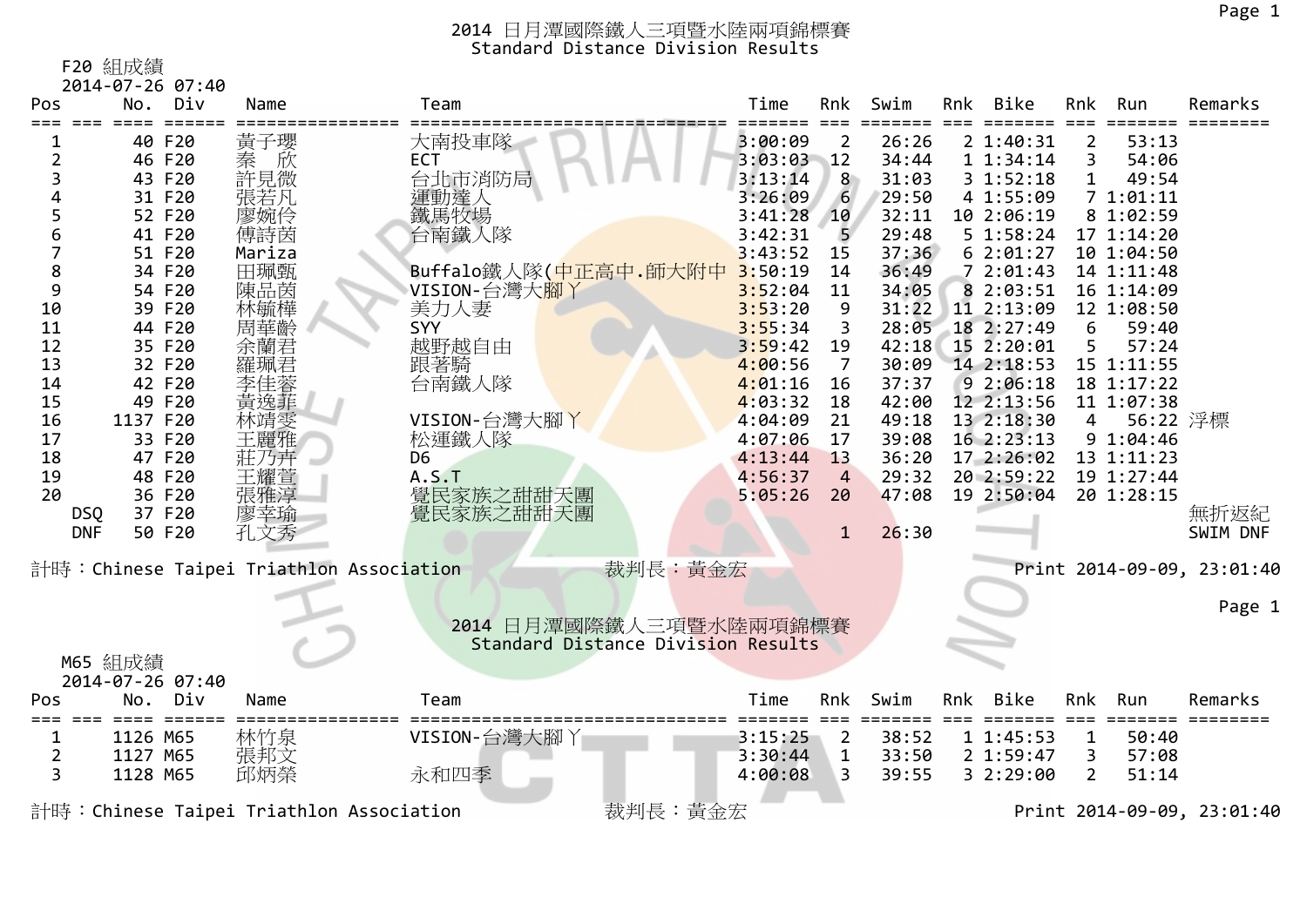F20 組成績

|                     |          | 2014-07-26 07:40 |                  |                                                     |         |                |       |     |                      |                |            |                            |
|---------------------|----------|------------------|------------------|-----------------------------------------------------|---------|----------------|-------|-----|----------------------|----------------|------------|----------------------------|
| Pos                 |          | No. Div          | Name             | Team                                                | Time    | Rnk            | Swim  | Rnk | Bike                 | Rnk            | Run        | Remarks                    |
|                     | ====     | 40 F20           |                  | 大南投車隊                                               | 3:00:09 |                | 26:26 |     | 2 1:40:31            |                | 53:13      |                            |
| $\overline{2}$      |          | 46 F20           | 黃子瓔<br>欣         | <b>ECT</b>                                          | 3:03:03 | 2              | 34:44 |     |                      | 2<br>3         | 54:06      |                            |
|                     |          | 43 F20           | 秦許見若<br>張若<br>張若 |                                                     | 3:13:14 | $-12$<br>8     | 31:03 |     | 11:34:14<br>31:52:18 |                | 49:54      |                            |
| 3                   |          | 31 F20           |                  | 台北市消防局                                              | 3:26:09 | 6              |       |     | 4 1:55:09            | 1              | 71:01:11   |                            |
| 5                   |          |                  |                  | 運動達人                                                |         |                | 29:50 |     |                      |                |            |                            |
|                     |          | 52 F20           | 廖婉伶              | 鐵馬牧場                                                | 3:41:28 | 10             | 32:11 |     | 10 2:06:19           |                | 8 1:02:59  |                            |
| 6<br>$\overline{7}$ |          | 41 F20           | 傅詩茵              | 台南鐵人隊                                               | 3:42:31 | 5              | 29:48 |     | 5 1:58:24            |                | 17 1:14:20 |                            |
|                     |          | 51 F20           | Mariza           |                                                     | 3:43:52 | 15             | 37:36 |     | 62:01:27             |                | 10 1:04:50 |                            |
| 8                   |          | 34 F20           | 田珮甄              | Buffalo鐵人隊(中正高中.師大附中                                | 3:50:19 | 14             | 36:49 |     | 72:01:43             |                | 14 1:11:48 |                            |
| 9                   |          | 54 F20           | 陳品茵              | VISION-台灣大腳丫                                        | 3:52:04 | 11             | 34:05 |     | 8 2:03:51            |                | 16 1:14:09 |                            |
| 10                  |          | 39 F20           | 林毓樺              | 美力人妻                                                | 3:53:20 | 9              | 31:22 |     | 11 2:13:09           |                | 12 1:08:50 |                            |
| 11                  |          | 44 F20           | 周華齡              | SYY                                                 | 3:55:34 | 3              | 28:05 |     | 18 2:27:49           | 6              | 59:40      |                            |
| 12                  |          | 35 F20           | 余蘭君              | 越野越自由                                               | 3:59:42 | 19             | 42:18 |     | 15 2:20:01           | 5              | 57:24      |                            |
| 13                  |          | 32 F20           | 羅珮君              | 跟著騎                                                 | 4:00:56 | $\overline{7}$ | 30:09 |     | 14 2:18:53           |                | 15 1:11:55 |                            |
| 14                  |          | 42 F20           | 李佳蓉              | 台南鐵人隊                                               | 4:01:16 | 16             | 37:37 |     | 92:06:18             |                | 18 1:17:22 |                            |
| 15                  |          | 49 F20           | 黃逸菲              |                                                     | 4:03:32 | 18             | 42:00 |     | 12 2:13:56           |                | 11 1:07:38 |                            |
| 16                  | 1137 F20 |                  | 林靖雯              | VISION-台灣大腳丫                                        | 4:04:09 | 21             | 49:18 |     | 13 2:18:30           | 4              | 56:22 浮標   |                            |
| 17                  |          | 33 F20           | 王麗雅              | 松運鐵人隊                                               | 4:07:06 | 17             | 39:08 |     | 16 2:23:13           |                | 91:04:46   |                            |
| 18                  |          | 47 F20           | 莊乃卉              | D <sub>6</sub>                                      | 4:13:44 | 13             | 36:20 |     | 17 2:26:02           |                | 13 1:11:23 |                            |
| 19                  |          | 48 F20           | 王耀萱              | A.S.T                                               | 4:56:37 | $\overline{4}$ | 29:32 |     | 20 2:59:22           |                | 19 1:27:44 |                            |
| 20                  |          | 36 F20           | 張雅淳              | 覺民家族之甜甜天團                                           | 5:05:26 | 20             | 47:08 |     | 19 2:50:04           |                | 20 1:28:15 |                            |
| <b>DSQ</b>          |          | 37 F20           | 廖幸瑜              | 覺民家族之甜甜天團                                           |         |                |       |     |                      |                |            | 無折返紀                       |
| <b>DNF</b>          |          | 50 F20           | 孔文秀              |                                                     |         | $\mathbf{1}$   | 26:30 |     |                      |                |            | SWIM DNF                   |
|                     |          |                  |                  |                                                     |         |                |       |     |                      |                |            |                            |
|                     |          |                  |                  | 裁判長:黃金宏<br>計時:Chinese Taipei Triathlon Association  |         |                |       |     |                      |                |            | Print 2014-09-09, 23:01:40 |
|                     |          |                  |                  |                                                     |         |                |       |     |                      |                |            |                            |
|                     |          |                  |                  |                                                     |         |                |       |     |                      |                |            | Page 1                     |
|                     |          |                  |                  | 2014 日月潭國際鐵人三項暨水陸兩項錦標賽                              |         |                |       |     |                      |                |            |                            |
|                     |          |                  |                  | Standard Distance Division Results                  |         |                |       |     |                      |                |            |                            |
|                     | M65 組成績  |                  |                  |                                                     |         |                |       |     |                      |                |            |                            |
|                     |          | 2014-07-26 07:40 |                  |                                                     |         |                |       |     |                      |                |            |                            |
| Pos                 |          | No. Div          | Name             | Team                                                | Time    | Rnk            | Swim  | Rnk | Bike                 | Rnk            | Run        | Remarks                    |
|                     |          |                  |                  |                                                     |         |                |       |     |                      |                |            |                            |
| 1                   | 1126 M65 |                  | 林竹泉              | VISION-台灣大腳丫                                        | 3:15:25 | $\overline{2}$ | 38:52 |     | 11:45:53             | 1              | 50:40      |                            |
| $\overline{2}$      | 1127 M65 |                  | 張邦文              |                                                     | 3:30:44 | $\mathbf{1}$   | 33:50 |     | 2 1:59:47            | 3              | 57:08      |                            |
| 3                   | 1128 M65 |                  | 邱炳榮              | 永和四季                                                | 4:00:08 | 3              | 39:55 |     | 3 2:29:00            | $\overline{2}$ | 51:14      |                            |
|                     |          |                  |                  | 裁判長:黃金宏<br>計時: Chinese Taipei Triathlon Association |         |                |       |     |                      |                |            | Print 2014-09-09, 23:01:40 |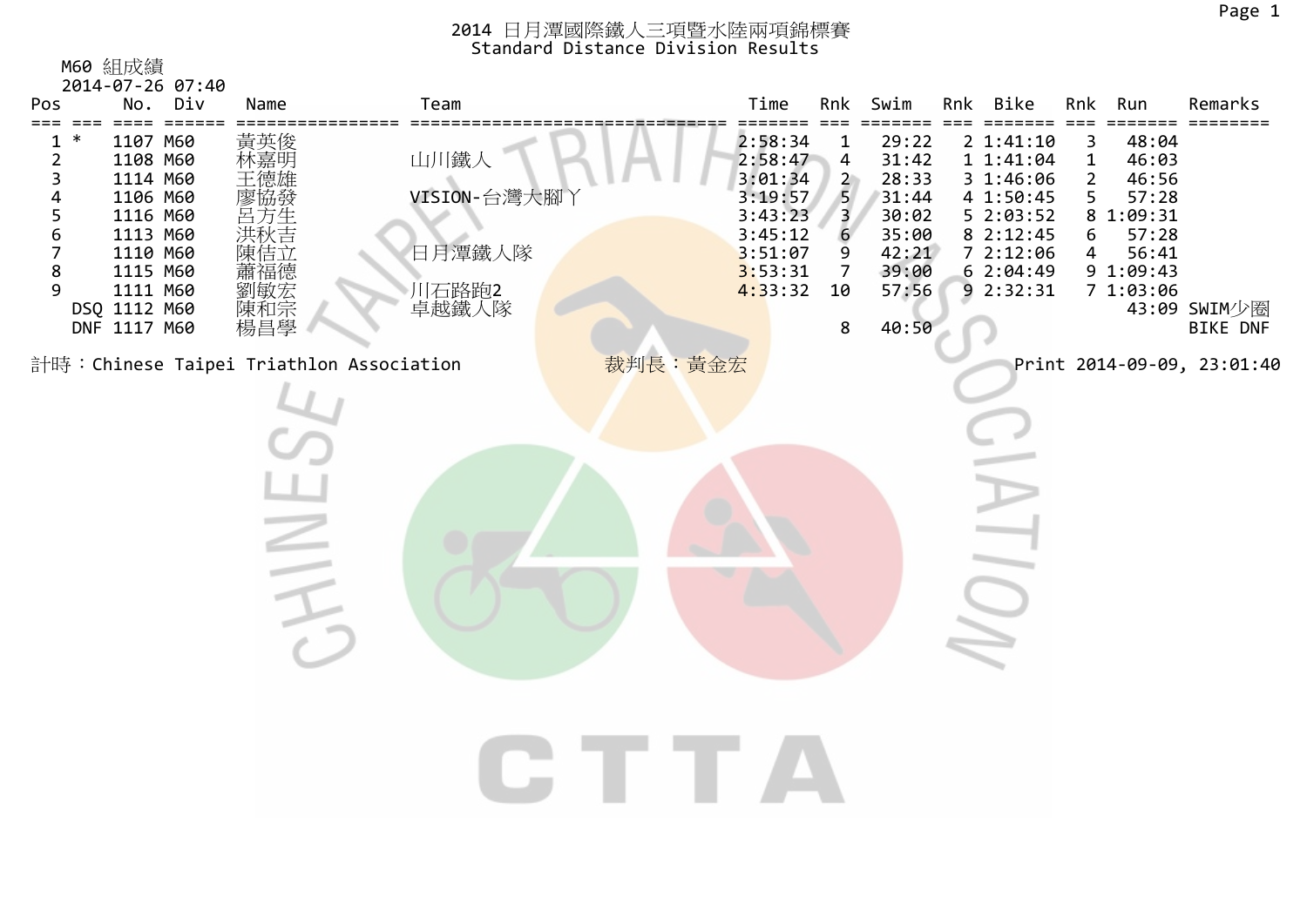| Pos                                                                                      | M60 組成績<br>2014-07-26 07:40<br>No. Div                                                                                                                                        | Name                                                     | Team                                             |         | Time                                                                                            | Rnk                                                                                             | Swim                                                                                   | Rnk Bike                                                                                                         | Rnk                                       | Run                                                                                     | Remarks                         |
|------------------------------------------------------------------------------------------|-------------------------------------------------------------------------------------------------------------------------------------------------------------------------------|----------------------------------------------------------|--------------------------------------------------|---------|-------------------------------------------------------------------------------------------------|-------------------------------------------------------------------------------------------------|----------------------------------------------------------------------------------------|------------------------------------------------------------------------------------------------------------------|-------------------------------------------|-----------------------------------------------------------------------------------------|---------------------------------|
| $==$<br>===<br>$\ast$<br>1<br>$\overline{\mathbf{c}}$<br>3<br>4<br>5<br>6<br>7<br>8<br>9 | $====$<br>$=$ $=$ $=$ $=$ $=$ $=$<br>1107 M60<br>1108 M60<br>1114 M60<br>1106 M60<br>1116 M60<br>1113 M60<br>1110 M60<br>1115 M60<br>1111 M60<br>DSQ 1112 M60<br>DNF 1117 M60 | 黃英俊<br>林嘉明<br>王德雄<br>陳佶立<br>蕭福德<br>:劉敏和昌學<br>陳和昌學<br>楊昌學 | 山川鐵人<br>VISION-台灣大腳丫<br>日月潭鐵人隊<br>川石路跑2<br>卓越鐵人隊 |         | 2:58:34<br>2:58:47<br>3:01:34<br>3:19:57<br>3:43:23<br>3:45:12<br>3:51:07<br>3:53:31<br>4:33:32 | 1<br>$\overline{\mathbf{r}}$<br>$\overline{2}$<br>5 <sub>5</sub><br>3<br>6<br>9<br>7<br>10<br>8 | 29:22<br>31:42<br>28:33<br>31:44<br>30:02<br>35:00<br>42:21<br>39:00<br>57:56<br>40:50 | 2 1:41:10<br>1 1:41:04<br>3 1:46:06<br>4 1:50:45<br>5 2:03:52<br>8 2:12:45<br>7 2:12:06<br>62:04:49<br>9 2:32:31 | 3<br>$\mathbf 1$<br>2<br>5<br>8<br>6<br>4 | 48:04<br>46:03<br>46:56<br>57:28<br>1:09:31<br>57:28<br>56:41<br>9 1:09:43<br>7 1:03:06 | 43:09 SWIM少圈<br><b>BIKE DNF</b> |
|                                                                                          |                                                                                                                                                                               | $\equiv$                                                 | 計時: Chinese Taipei Triathlon Association         | 裁判長:黃金宏 |                                                                                                 |                                                                                                 |                                                                                        |                                                                                                                  |                                           |                                                                                         | Print 2014-09-09, 23:01:40      |
|                                                                                          |                                                                                                                                                                               |                                                          |                                                  |         |                                                                                                 |                                                                                                 |                                                                                        |                                                                                                                  |                                           |                                                                                         |                                 |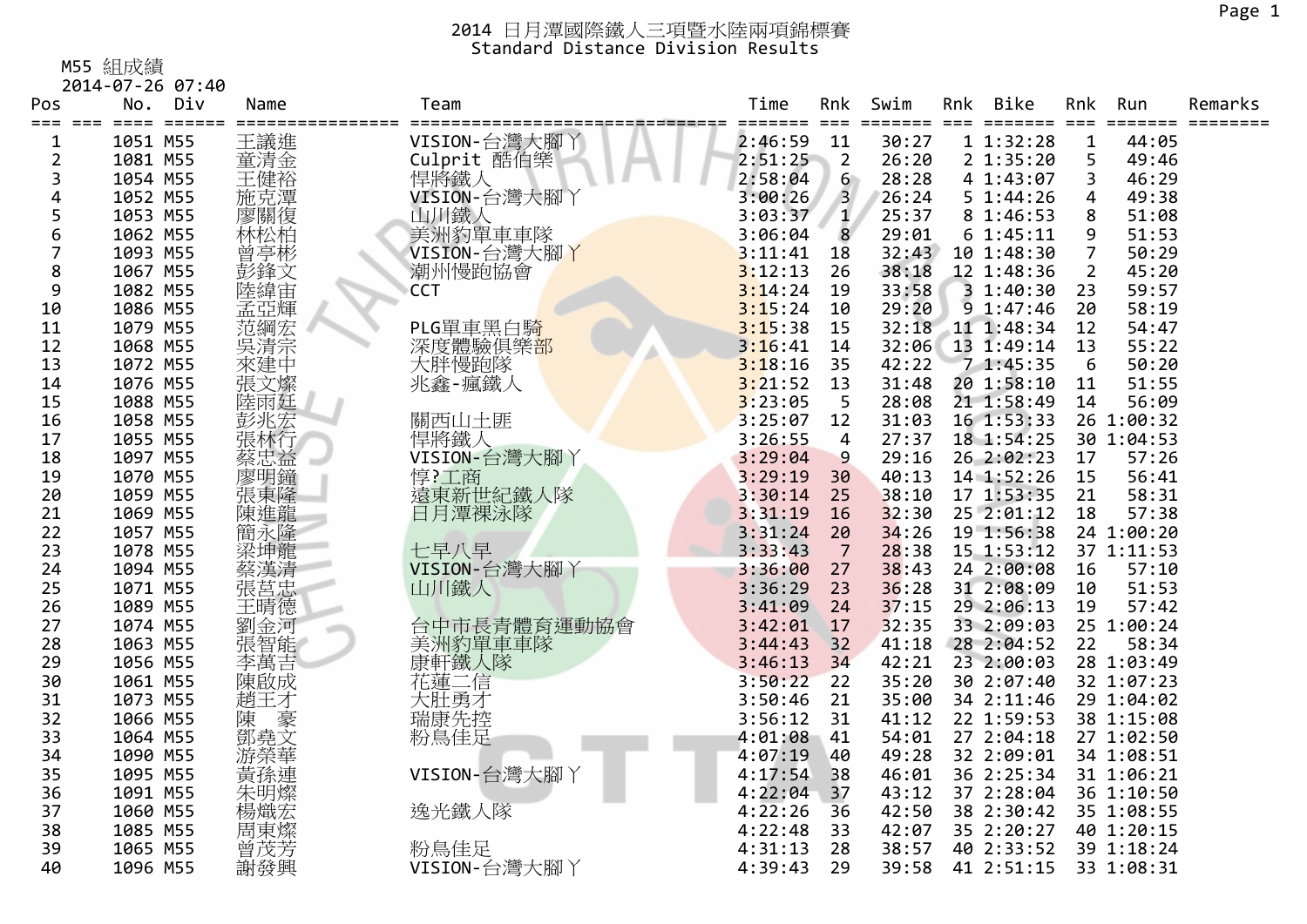M55 組成績

|                    | 2014-07-26 07:40                                       |            |                                |         |                |               |     |                     |                      |            |         |
|--------------------|--------------------------------------------------------|------------|--------------------------------|---------|----------------|---------------|-----|---------------------|----------------------|------------|---------|
| Pos                | Div<br>No.                                             | Name       | Team                           | Time    | Rnk            | Swim          | Rnk | Bike                | Rnk                  | Run        | Remarks |
| ===<br>$\mathbf 1$ | $=$ $=$ $=$ $=$ $=$<br>$=$ $=$ $=$<br>$==$<br>1051 M55 | 王議進        | VISION-台灣大腳丫                   | 2:46:59 | $===$<br>11    | ====<br>30:27 |     | =======<br>11:32:28 | $===$<br>$\mathbf 1$ | 44:05      |         |
| $\overline{2}$     | 1081 M55                                               | 童清金        | Culprit 酷伯樂                    | 2:51:25 | $\overline{2}$ | 26:20         |     | 2 1:35:20           | 5                    | 49:46      |         |
| 3                  | 1054 M55                                               | 王健裕        | 悍將鐵人                           | 2:58:04 | 6              | 28:28         |     | 4 1:43:07           | 3                    | 46:29      |         |
| 4                  | 1052 M55                                               |            | VISION-台灣大腳丫                   | 3:00:26 | $\overline{3}$ | 26:24         |     | 5 1:44:26           | 4                    | 49:38      |         |
| 5                  | 1053 M55                                               | 施克潭<br>廖關復 | 山川鐵人                           | 3:03:37 | $\mathbf{1}$   | 25:37         |     | 8 1:46:53           | 8                    | 51:08      |         |
| 6                  | 1062 M55                                               | 林松柏        | 美洲豹單車車隊                        | 3:06:04 | 8              | 29:01         |     | 61:45:11            | 9                    | 51:53      |         |
| 7                  | 1093 M55                                               | 曾亭彬        | VISION-台灣大腳丫                   | 3:11:41 | 18             | 32:43         |     | 10 1:48:30          | $\overline{7}$       | 50:29      |         |
| 8                  | 1067 M55                                               | 彭鋒文        | 潮州慢跑協會                         | 3:12:13 | 26             | 38:18         |     | 12 1:48:36          | $\overline{2}$       | 45:20      |         |
| 9                  | 1082 M55                                               | 陸緯宙        | CCT                            | 3:14:24 | 19             | 33:58         |     | 3 1:40:30           | 23                   | 59:57      |         |
| 10                 | 1086 M55                                               | 孟亞輝        |                                | 3:15:24 | 10             | 29:20         |     | 91:37:46            | 20                   | 58:19      |         |
| 11                 | 1079 M55                                               | 范綱宏        | PLG單車黑白騎                       | 3:15:38 | 15             | 32:18         |     | 11 1:48:34          | 12                   | 54:47      |         |
| 12                 | 1068 M55                                               | 吳清宗        |                                | 3:16:41 | 14             | 32:06         |     | 13 1:49:14          | 13                   | 55:22      |         |
| 13                 | 1072 M55                                               | 來建中        | 深度體驗俱樂 <mark>部</mark><br>大胖慢跑隊 | 3:18:16 | 35             | 42:22         |     | 71:45:35            | 6                    | 50:20      |         |
| 14                 | 1076 M55                                               | 張文燦        | 兆鑫-瘋鐵人                         | 3:21:52 | 13             | 31:48         |     | 20 1:58:10          | 11                   | 51:55      |         |
| 15                 | 1088 M55                                               | 陸雨廷        |                                | 3:23:05 | 5              | 28:08         |     | 21 1:58:49          | 14                   | 56:09      |         |
| 16                 | 1058 M55                                               |            | 關西山土匪                          | 3:25:07 | 12             | 31:03         |     | 16 1:53:33          |                      | 26 1:00:32 |         |
| 17                 | 1055 M55                                               | 彭兆宏<br>張林行 | 悍將鐵人                           | 3:26:55 | $\overline{4}$ | 27:37         |     | 18 1:54:25          |                      | 30 1:04:53 |         |
| 18                 | 1097 M55                                               | 蔡忠益        | VISION-台灣大腳丫                   | 3:29:04 | 9              | 29:16         |     | 26 2:02:23          | 17                   | 57:26      |         |
| 19                 | 1070 M55                                               | 廖明鐘        |                                | 3:29:19 | 30             | 40:13         |     | 14 1:52:26          | 15                   | 56:41      |         |
| 20                 | 1059 M55                                               | 張東隆        | 惇?工商<br>遠東新世紀鐵人隊               | 3:30:14 | 25             | 38:10         |     | 17 1:53:35          | 21                   | 58:31      |         |
| 21                 | 1069 M55                                               | 陳進龍        | 日月潭裸泳隊                         | 3:31:19 | 16             | 32:30         |     | 25 2:01:12          | 18                   | 57:38      |         |
| 22                 | 1057 M55                                               |            |                                | 3:31:24 | 20             | 34:26         |     | 19 1:56:38          |                      | 24 1:00:20 |         |
| 23                 | 1078 M55                                               | 简永隆        | 七早八早                           | 3:33:43 | $\overline{7}$ | 28:38         |     | 15 1:53:12          |                      | 37 1:11:53 |         |
| 24                 | 1094 M55                                               | 蔡漢清        | VISION-台灣大腳丫                   | 3:36:00 | 27             | 38:43         |     | 24 2:00:08          | 16                   | 57:10      |         |
| 25                 | 1071 M55                                               | 張莒忠        | 山川鐵人                           | 3:36:29 | 23             | 36:28         |     | 31 2:08:09          | 10                   | 51:53      |         |
| 26                 | 1089 M55                                               | 王晴德        |                                | 3:41:09 | 24             | 37:15         |     | 29 2:06:13          | 19                   | 57:42      |         |
| 27                 | 1074 M55                                               |            | 台中市長青體育運動協會                    | 3:42:01 | 17             | 32:35         |     | 33 2:09:03          |                      | 25 1:00:24 |         |
| 28                 | 1063 M55                                               | 劉金河        | 美洲豹單車車隊                        | 3:44:43 | 32             | 41:18         |     | 28 2:04:52          | 22                   | 58:34      |         |
| 29                 | 1056 M55                                               | 李萬吉        | 康軒鐵人隊                          | 3:46:13 | 34             | 42:21         |     | 23 2:00:03          |                      | 28 1:03:49 |         |
| 30                 | 1061 M55                                               | 陳啟成        | 花蓮二信                           | 3:50:22 | 22             | 35:20         |     | 30 2:07:40          |                      | 32 1:07:23 |         |
| 31                 | 1073 M55                                               | 趙王才        | 大肚勇才                           | 3:50:46 | 21             | 35:00         |     | 34 2:11:46          |                      | 29 1:04:02 |         |
| 32                 | 1066 M55                                               |            |                                | 3:56:12 | 31             | 41:12         |     | 22 1:59:53          |                      | 38 1:15:08 |         |
| 33                 | 1064 M55                                               | )陳<br>鄧堯文  | 瑞康先控<br>粉鳥佳足                   | 4:01:08 | 41             | 54:01         |     | 27 2:04:18          |                      | 27 1:02:50 |         |
|                    |                                                        |            |                                |         |                |               |     |                     |                      |            |         |
| 34                 | 1090 M55                                               | 游榮華        |                                | 4:07:19 | 40             | 49:28         |     | 32 2:09:01          |                      | 34 1:08:51 |         |
| 35                 | 1095 M55                                               | 黃孫連        | VISION-台灣大腳丫                   | 4:17:54 | 38             | 46:01         |     | 36 2:25:34          |                      | 31 1:06:21 |         |
| 36                 | 1091 M55                                               | 朱明燦        |                                | 4:22:04 | 37             | 43:12         |     | 37 2:28:04          |                      | 36 1:10:50 |         |
| 37                 | 1060 M55                                               | 楊熾宏        | 逸光鐵人隊                          | 4:22:26 | 36             | 42:50         |     | 38 2:30:42          |                      | 35 1:08:55 |         |
| 38                 | 1085 M55                                               | 周東燦芳       |                                | 4:22:48 | 33             | 42:07         |     | 35 2:20:27          |                      | 40 1:20:15 |         |
| 39                 | 1065 M55                                               |            | 粉鳥佳足                           | 4:31:13 | 28             | 38:57         |     | 40 2:33:52          |                      | 39 1:18:24 |         |
| 40                 | 1096 M55                                               | 謝發興        | VISION-台灣大腳丫                   | 4:39:43 | 29             | 39:58         |     | 41 2:51:15          |                      | 33 1:08:31 |         |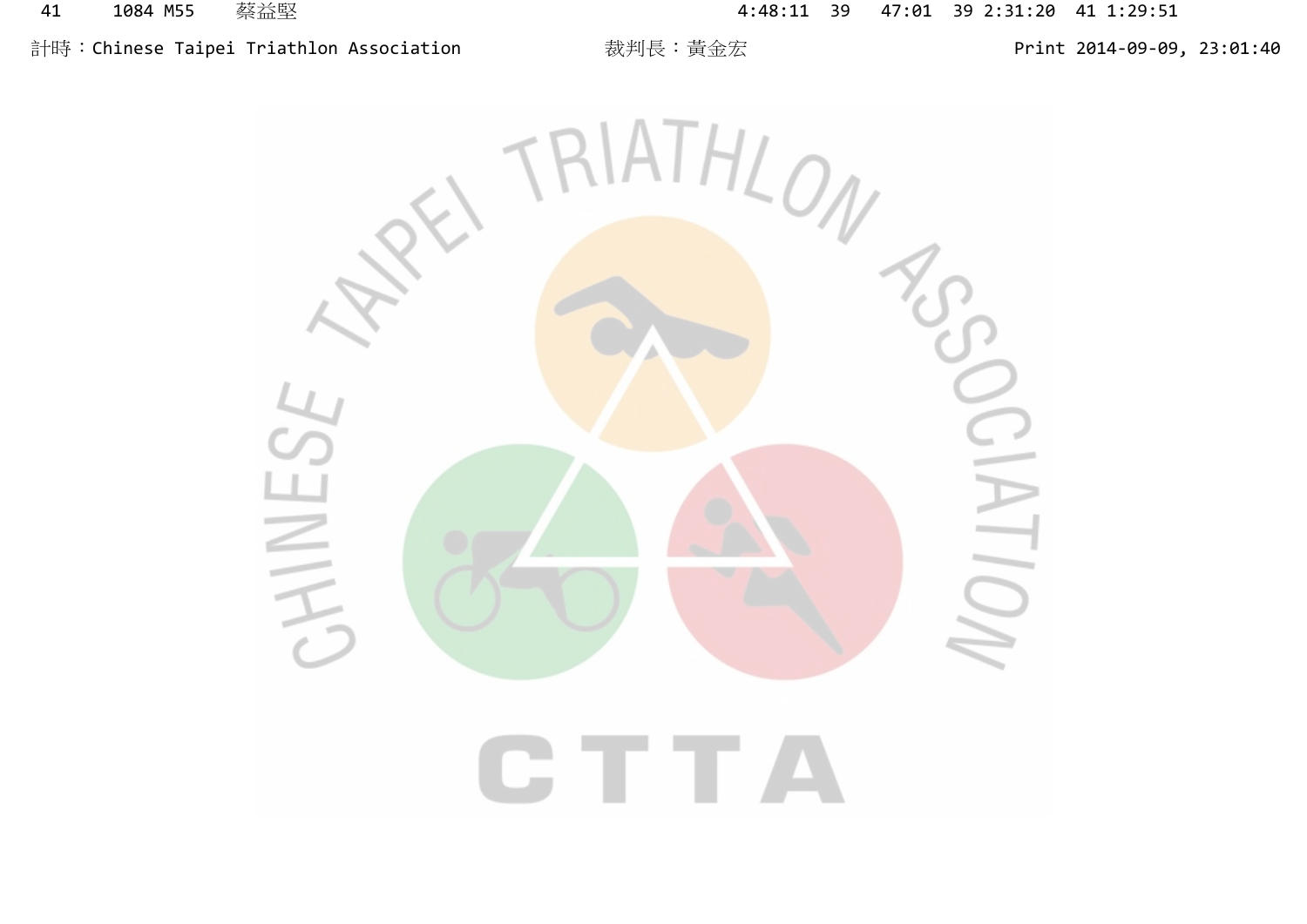# 計時:Chinese Taipei Triathlon Association 裁判長:黃金宏 Print 2014-09-09, 23:01:40

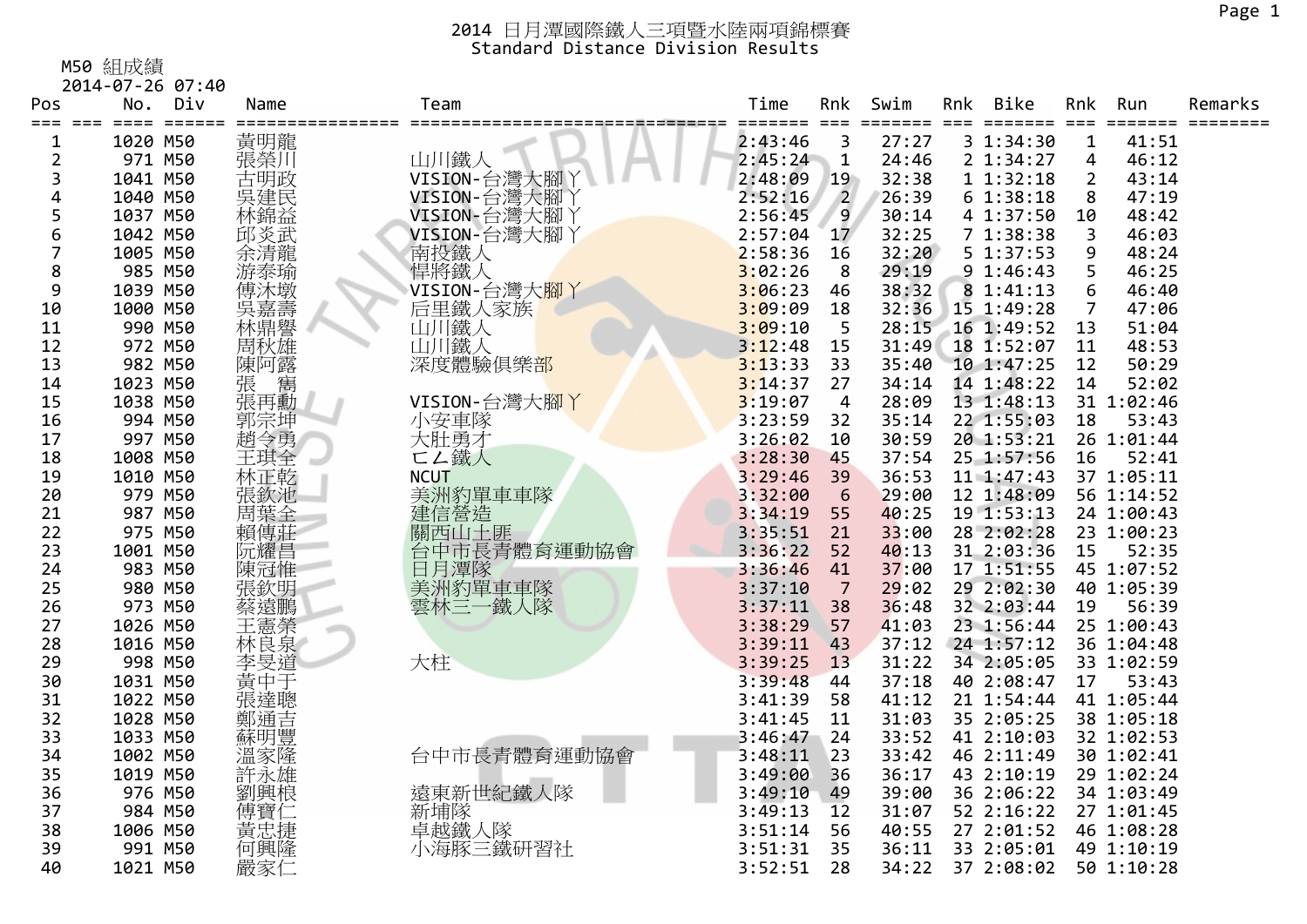M50 組成績

|          | 2014-07-26 07:40        |            |                             |         |                |       |     |             |                       |            |         |
|----------|-------------------------|------------|-----------------------------|---------|----------------|-------|-----|-------------|-----------------------|------------|---------|
| Pos      | No.<br>Div              | Name       | Team                        | Time    | Rnk            | Swim  | Rnk | <b>Bike</b> | Rnk                   | Run        | Remarks |
| ===<br>1 | $=$ $=$ $=$<br>1020 M50 | 黃明龍        |                             | 2:43:46 | 3              | 27:27 |     | 3 1:34:30   | $===$<br>$\mathbf{1}$ | 41:51      |         |
| 2        | 971 M50                 | 張榮川        | 山川鐵人                        | 2:45:24 | $\mathbf 1$    | 24:46 |     | 2 1:34:27   | 4                     | 46:12      |         |
| 3        | 1041 M50                | 古明政        | VISION-台灣大腳丫                | 2:48:09 | 19             | 32:38 |     | 11:32:18    | $\overline{2}$        | 43:14      |         |
| 4        | 1040 M50                | 吳建民        | VISION-台灣大腳)                | 2:52:16 | $\overline{2}$ | 26:39 |     | 61:38:18    | 8                     | 47:19      |         |
| 5        | 1037 M50                | 林錦益        | VISION-台灣大腳丫                | 2:56:45 | 9              | 30:14 |     | 4 1:37:50   | 10                    | 48:42      |         |
| 6        | 1042 M50                | 邱炎武        | VISION-台灣大腳丫                | 2:57:04 | 17             | 32:25 |     | 71:38:38    | 3                     | 46:03      |         |
| 7        | 1005 M50                | 余清龍        |                             | 2:58:36 | 16             | 32:20 |     | 5 1:37:53   | 9                     | 48:24      |         |
| 8        | 985 M50                 | 游泰瑜        | 南投鐵人<br>悍將鐵人                | 3:02:26 | 8              | 29:19 |     | 91:46:43    | 5                     | 46:25      |         |
| 9        | 1039 M50                | 傅沐墩        | VISION-台灣大 <mark>腳</mark> 丫 | 3:06:23 | 46             | 38:32 |     | 8 1:41:13   | 6                     | 46:40      |         |
| 10       | 1000 M50                |            | 后里鐵人家族                      | 3:09:09 | 18             | 32:36 |     | 15 1:49:28  | 7                     | 47:06      |         |
| 11       | 990 M50                 | 呉嘉壽<br>林鼎譽 | 山川鐵人                        | 3:09:10 | 5              | 28:15 |     | 16 1:49:52  | 13                    | 51:04      |         |
| 12       | 972 M50                 | 周秋雄        | 山川鐵人                        | 3:12:48 | 15             | 31:49 |     | 18 1:52:07  | 11                    | 48:53      |         |
| 13       | 982 M50                 | 陳阿露        | 深度體驗俱樂部                     | 3:13:33 | 33             | 35:40 |     | 10 1:47:25  | 12                    | 50:29      |         |
| 14       | 1023 M50                | 張<br>寯     |                             | 3:14:37 | 27             | 34:14 |     | 14 1:48:22  | 14                    | 52:02      |         |
| 15       | 1038 M50                | 張再勳        | VISION-台灣大腳丫                | 3:19:07 | $\overline{4}$ | 28:09 |     | 13 1:48:13  |                       | 31 1:02:46 |         |
| 16       | 994 M50                 | 郭宗坤        | 小安車隊                        | 3:23:59 | 32             | 35:14 |     | 22 1:55:03  | 18                    | 53:43      |         |
| 17       | 997 M50                 | 趙令勇        | 大肚勇才                        | 3:26:02 | 10             | 30:59 |     | 20 1:53:21  |                       | 26 1:01:44 |         |
| 18       | 1008 M50                | 王琪全        | □∠鐵人                        | 3:28:30 | 45             | 37:54 |     | 25 1:57:56  | 16                    | 52:41      |         |
| 19       | 1010 M50                | 林正乾        | <b>NCUT</b>                 | 3:29:46 | 39             | 36:53 |     | 11 1:47:43  |                       | 37 1:05:11 |         |
| 20       | 979 M50                 | 張欽池        | 美洲豹單車車隊                     | 3:32:00 | 6              | 29:00 |     | 12 1:48:09  |                       | 56 1:14:52 |         |
| 21       | 987 M50                 | 周葉全        | 建信營造                        | 3:34:19 | 55             | 40:25 |     | 19 1:53:13  |                       | 24 1:00:43 |         |
| 22       | 975 M50                 | 賴傳莊        | 關西山土匪                       | 3:35:51 | 21             | 33:00 |     | 28 2:02:28  |                       | 23 1:00:23 |         |
| 23       | 1001 M50                | 阮耀昌        | 台中市長青體育運動協會                 | 3:36:22 | 52             | 40:13 |     | 31 2:03:36  | 15                    | 52:35      |         |
| 24       | 983 M50                 | 陳冠惟        | 日月潭隊<br>美洲豹單車車隊             | 3:36:46 | 41             | 37:00 |     | 17 1:51:55  |                       | 45 1:07:52 |         |
| 25       | 980 M50                 | 張欽明        |                             | 3:37:10 | 7              | 29:02 |     | 29 2:02:30  |                       | 40 1:05:39 |         |
| 26       | 973 M50                 | 蔡遠鵬        | 雲林三一鐵人隊                     | 3:37:11 | 38             | 36:48 |     | 32 2:03:44  | 19                    | 56:39      |         |
| 27       | 1026 M50                | 王憲榮        |                             | 3:38:29 | 57             | 41:03 |     | 23 1:56:44  |                       | 25 1:00:43 |         |
| 28       | 1016 M50                | 林良泉        |                             | 3:39:11 | 43             | 37:12 |     | 24 1:57:12  |                       | 36 1:04:48 |         |
| 29       | 998 M50                 | 李旻道        | 大柱                          | 3:39:25 | 13             | 31:22 |     | 34 2:05:05  |                       | 33 1:02:59 |         |
| 30       | 1031 M50                | 黃中于        |                             | 3:39:48 | 44             | 37:18 |     | 40 2:08:47  | 17                    | 53:43      |         |
| 31       | 1022 M50                | 張達聰        |                             | 3:41:39 | 58             | 41:12 |     | 21 1:54:44  |                       | 41 1:05:44 |         |
| 32       | 1028 M50                | 鄭通吉        |                             | 3:41:45 | 11             | 31:03 |     | 35 2:05:25  |                       | 38 1:05:18 |         |
| 33       | 1033 M50                | 蘇明豐        |                             | 3:46:47 | 24             | 33:52 |     | 41 2:10:03  |                       | 32 1:02:53 |         |
| 34       | 1002 M50                | 溫家隆        | 台中市長青體育運動協會                 | 3:48:11 | 23             | 33:42 |     | 46 2:11:49  |                       | 30 1:02:41 |         |
| 35       | 1019 M50                | 許永雄        |                             | 3:49:00 | 36             | 36:17 |     | 43 2:10:19  |                       | 29 1:02:24 |         |
| 36       | 976 M50                 | 劉興桹        | 遠東新世紀鐵人隊                    | 3:49:10 | 49             | 39:00 |     | 36 2:06:22  |                       | 34 1:03:49 |         |
| 37       | 984 M50                 | 傅寶仁        | 新埔隊                         | 3:49:13 | 12             | 31:07 |     | 52 2:16:22  |                       | 27 1:01:45 |         |
| 38       | 1006 M50                | 黃忠捷        | 卓越鐵人隊                       | 3:51:14 | 56             | 40:55 |     | 27 2:01:52  |                       | 46 1:08:28 |         |
| 39       | 991 M50                 | 何興隆        | 小海豚三鐵研習社                    | 3:51:31 | 35             | 36:11 |     | 33 2:05:01  |                       | 49 1:10:19 |         |
| 40       | 1021 M50                | 嚴家仁        |                             | 3:52:51 | 28             | 34:22 |     | 37 2:08:02  |                       | 50 1:10:28 |         |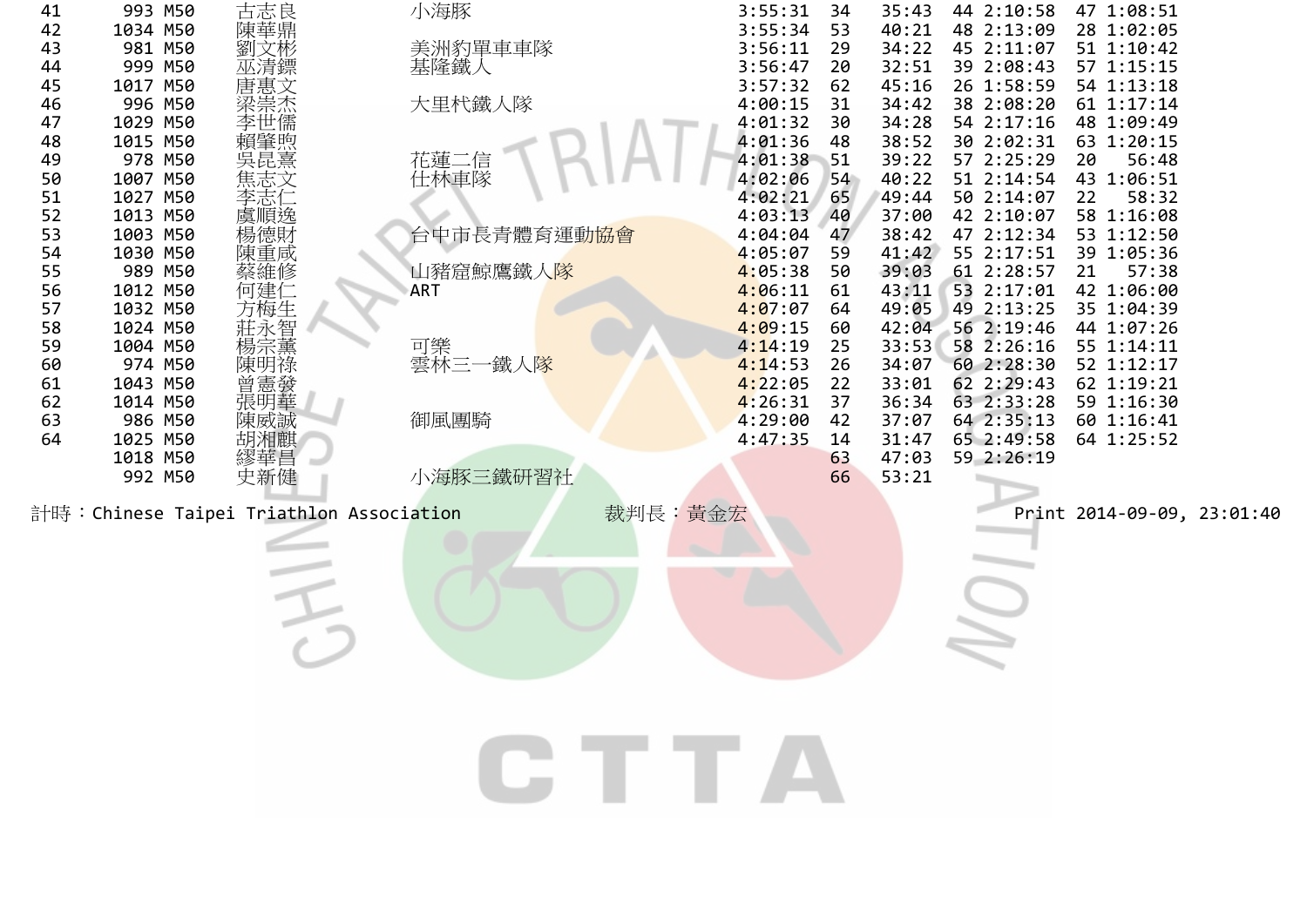| 41       | 993 M50             | 古志良                                     | 小海豚                       | 3:55:31            | 34       | 35:43          | 44 2:10:58               | 47 1:08:51                 |  |
|----------|---------------------|-----------------------------------------|---------------------------|--------------------|----------|----------------|--------------------------|----------------------------|--|
| 42       | 1034 M50            | 陳華鼎                                     |                           | 3:55:34            | 53       | 40:21          | 48 2:13:09               | 28 1:02:05                 |  |
| 43       | 981 M50             | 劉文彬                                     | 美洲豹單車車隊                   | 3:56:11            | 29       | 34:22          | 45 2:11:07               | 51 1:10:42                 |  |
| 44       | 999 M50             |                                         | 基隆鐵人                      | 3:56:47<br>3:57:32 | 20       | 32:51          | 39 2:08:43<br>26 1:58:59 | 57 1:15:15                 |  |
| 45<br>46 | 1017 M50<br>996 M50 |                                         | 大里杙鐵人隊                    | 4:00:15            | 62<br>31 | 45:16<br>34:42 | 38 2:08:20               | 54 1:13:18<br>61 1:17:14   |  |
| 47       | 1029 M50            |                                         |                           | 4:01:32            | 30       | 34:28          | 54 2:17:16               | 48 1:09:49                 |  |
| 48       | 1015 M50            |                                         |                           | 4:01:36            | 48       | 38:52          | 30 2:02:31               | 63 1:20:15                 |  |
| 49       | 978 M50             |                                         | 花蓮二信                      | 4:01:38            | 51       | 39:22          | 57 2:25:29               | 56:48<br>20                |  |
| 50       | 1007 M50            |                                         | 仕林車隊                      | 4:02:06            | 54       | 40:22          | 51 2:14:54               | 43 1:06:51                 |  |
| 51       | 1027 M50            |                                         |                           | 4:02:21            | 65       | 49:44          | 50 2:14:07               | 22<br>58:32                |  |
| 52       | 1013 M50            | 虞順逸                                     |                           | 4:03:13            | 40       | 37:00          | 42 2:10:07               | 58 1:16:08                 |  |
| 53       | 1003 M50            |                                         | 台中市長青體育運動 <mark>協會</mark> | 4:04:04            | 47       | 38:42          | 47 2:12:34               | 53 1:12:50                 |  |
| 54       | 1030 M50            | 陳重咸                                     |                           | 4:05:07            | 59       | 41:42          | 55 2:17:51               | 39 1:05:36                 |  |
| 55       | 989 M50             | 蔡維修                                     | 山豬窟鯨鷹鐵人隊                  | 4:05:38            | 50       | 39:03          | 61 2:28:57               | 57:38<br>21                |  |
| 56       | 1012 M50            | 何建仁                                     | ART                       | 4:06:11            | 61       | 43:11          | 53 2:17:01               | 42 1:06:00                 |  |
| 57       | 1032 M50            | 方梅生                                     |                           | 4:07:07            | 64       | 49:05          | 49 2:13:25               | 35 1:04:39                 |  |
| 58       | 1024 M50            | 莊永智                                     |                           | 4:09:15            | 60       | 42:04          | 56 2:19:46               | 44 1:07:26                 |  |
| 59       | 1004 M50            |                                         | 可樂                        | 4:14:19            | 25       | 33:53          | 58 2:26:16               | 55 1:14:11                 |  |
| 60       | 974 M50             | 陳明祿                                     | 雲林三一鐵人隊                   | 4:14:53            | 26       | 34:07          | 60 2:28:30               | 52 1:12:17                 |  |
| 61       | 1043 M50            | 曾憲發                                     |                           | 4:22:05            | 22       | 33:01          | 62 2:29:43               | 62 1:19:21                 |  |
| 62       | 1014 M50            | 張明華                                     |                           | 4:26:31            | 37       | 36:34          | 63 2:33:28               | 59 1:16:30                 |  |
| 63       | 986 M50             | 陳威誠                                     | 御風團騎                      | 4:29:00            | 42       | 37:07          | 64 2:35:13               | 60 1:16:41                 |  |
| 64       | 1025 M50            | 胡湘麒                                     |                           | 4:47:35            | 14       | 31:47          | 65 2:49:58               | 64 1:25:52                 |  |
|          | 1018 M50<br>992 M50 | 繆華昌<br>史新健                              | 小海豚三鐵研習社                  |                    | 63<br>66 | 47:03<br>53:21 | 59 2:26:19               |                            |  |
|          |                     |                                         |                           |                    |          |                |                          |                            |  |
|          |                     | 計時:Chinese Taipei Triathlon Association | 裁判長:黃金宏                   |                    |          |                |                          | Print 2014-09-09, 23:01:40 |  |
|          |                     |                                         |                           |                    |          |                |                          |                            |  |
|          |                     |                                         |                           |                    |          |                |                          |                            |  |
|          |                     |                                         |                           |                    |          |                |                          |                            |  |
|          |                     |                                         |                           |                    |          |                |                          |                            |  |
|          |                     |                                         |                           |                    |          |                |                          |                            |  |
|          |                     |                                         |                           |                    |          |                |                          |                            |  |
|          |                     |                                         |                           |                    |          |                |                          |                            |  |
|          |                     |                                         |                           |                    |          |                |                          |                            |  |
|          |                     |                                         |                           |                    |          |                |                          |                            |  |
|          |                     |                                         |                           |                    |          |                |                          |                            |  |
|          |                     |                                         |                           |                    |          |                |                          |                            |  |
|          |                     |                                         |                           |                    |          |                |                          |                            |  |
|          |                     |                                         | GTTA                      |                    |          |                |                          |                            |  |
|          |                     |                                         |                           |                    |          |                |                          |                            |  |
|          |                     |                                         |                           |                    |          |                |                          |                            |  |
|          |                     |                                         |                           |                    |          |                |                          |                            |  |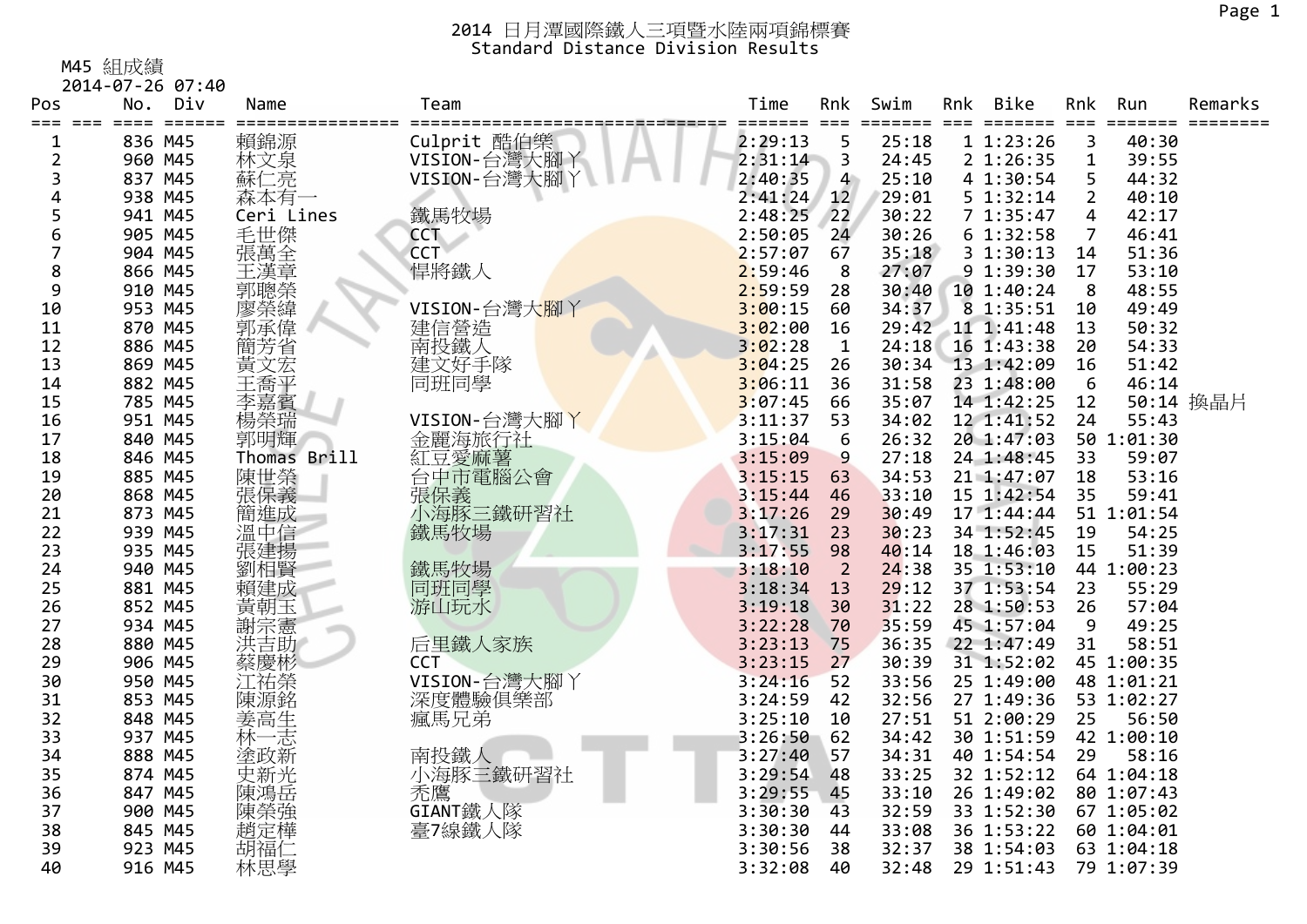M45 組成績

| Pos  | No.             | Div                 | Name                | Team         | Time    | Rnk             | Swim   | Rnk | Bike                    | Rnk            | Run        | Remarks   |
|------|-----------------|---------------------|---------------------|--------------|---------|-----------------|--------|-----|-------------------------|----------------|------------|-----------|
| $==$ | $=====$<br>$==$ | $=$ $=$ $=$ $=$ $=$ |                     |              | ======= | $===$           | ====== |     | $=$ $=$ $=$ $=$ $=$ $=$ | $===$          | ======     |           |
| 1    | 836 M45         |                     | 賴錦源                 | Culprit 酷伯樂  | 2:29:13 | 5               | 25:18  |     | 11:23:26                | 3              | 40:30      |           |
| 2    | 960 M45         |                     | 林文泉                 | VISION-台灣大腳丫 | 2:31:14 | 3               | 24:45  |     | 2 1:26:35               | $\mathbf 1$    | 39:55      |           |
| 3    | 837 M45         |                     | 蘇仁亮                 | VISION-台灣大腳丫 | 2:40:35 | $\overline{4}$  | 25:10  |     | 4 1:30:54               | 5              | 44:32      |           |
| 4    | 938 M45         |                     | 森本有一                |              | 2:41:24 | 12 <sup>2</sup> | 29:01  |     | 5 1:32:14               | $\overline{2}$ | 40:10      |           |
| 5    | 941 M45         |                     | Ceri Lines          | 鐵馬牧場         | 2:48:25 | 22              | 30:22  |     | 7 1:35:47               | 4              | 42:17      |           |
| 6    | 905 M45         |                     | 毛世傑                 | <b>CCT</b>   | 2:50:05 | 24              | 30:26  |     | 61:32:58                | $\overline{7}$ | 46:41      |           |
| 7    | 904 M45         |                     | 張萬全章                | <b>CCT</b>   | 2:57:07 | 67              | 35:18  |     | 31:30:13                | 14             | 51:36      |           |
| 8    | 866 M45         |                     |                     | 悍將鐵人         | 2:59:46 | 8               | 27:07  |     | 9 1:39:30               | 17             | 53:10      |           |
| 9    | 910 M45         |                     | 三郭聰榮緯偉·<br>李明榮<br>李 |              | 2:59:59 | 28              | 30:40  |     | 10 1:40:24              | 8              | 48:55      |           |
| 10   | 953 M45         |                     |                     | VISION-台灣大腳丫 | 3:00:15 | 60              | 34:37  |     | 8 1:35:51               | 10             | 49:49      |           |
| 11   | 870 M45         |                     |                     | 建信營造<br>南投鐵人 | 3:02:00 | 16              | 29:42  |     | 11 1:41:48              | 13             | 50:32      |           |
| 12   | 886 M45         |                     | 簡芳省                 |              | 3:02:28 | $\mathbf{1}$    | 24:18  |     | 16 1:43:38              | 20             | 54:33      |           |
| 13   | 869 M45         |                     | 黃文宏                 | 建文好手隊        | 3:04:25 | 26              | 30:34  |     | 13 1:42:09              | 16             | 51:42      |           |
| 14   | 882 M45         |                     | 王喬平                 | 同班同學         | 3:06:11 | 36              | 31:58  |     | 23 1:48:00              | 6              | 46:14      |           |
| 15   | 785 M45         |                     | 李嘉賓                 |              | 3:07:45 | 66              | 35:07  |     | 14 1:42:25              | 12             |            | 50:14 換晶片 |
| 16   | 951 M45         |                     | 楊榮瑞                 | VISION-台灣大腳丫 | 3:11:37 | 53              | 34:02  |     | 12 1:41:52              | 24             | 55:43      |           |
| 17   | 840 M45         |                     | 郭明輝                 | 金麗海旅行社       | 3:15:04 | 6               | 26:32  |     | 20 1:47:03              |                | 50 1:01:30 |           |
| 18   | 846 M45         |                     | Thomas Brill        | 紅豆愛麻薯        | 3:15:09 | 9               | 27:18  |     | 24 1:48:45              | 33             | 59:07      |           |
| 19   | 885 M45         |                     | 陳世榮                 | 台中市電腦公會      | 3:15:15 | 63              | 34:53  |     | 21 1:47:07              | 18             | 53:16      |           |
| 20   | 868 M45         |                     | 張保義                 | 張保義          | 3:15:44 | 46              | 33:10  |     | 15 1:42:54              | 35             | 59:41      |           |
| 21   | 873 M45         |                     | 簡進成                 | 小海豚三鐵研習社     | 3:17:26 | 29              | 30:49  |     | 17 1:44:44              |                | 51 1:01:54 |           |
| 22   | 939 M45         |                     | 溫中信                 | 鐵馬牧場         | 3:17:31 | 23              | 30:23  |     | 34 1:52:45              | 19             | 54:25      |           |
| 23   | 935 M45         |                     | 張建揚                 |              | 3:17:55 | 98              | 40:14  |     | 18 1:46:03              | 15             | 51:39      |           |
| 24   | 940 M45         |                     | 劉相賢                 | 鐵馬牧場         | 3:18:10 | 2               | 24:38  |     | 35 1:53:10              |                | 44 1:00:23 |           |
| 25   | 881 M45         |                     | 賴建成                 | 同班同學         | 3:18:34 | 13              | 29:12  |     | 37 1:53:54              | 23             | 55:29      |           |
| 26   | 852 M45         |                     | 黃朝玉                 | 游山玩水         | 3:19:18 | 30              | 31:22  |     | 28 1:50:53              | 26             | 57:04      |           |
| 27   | 934 M45         |                     | 謝宗憲                 |              | 3:22:28 | 70              | 35:59  |     | 45 1:57:04              | 9              | 49:25      |           |
| 28   | 880 M45         |                     | 洪吉助                 | 后里鐵人家族       | 3:23:13 | 75              | 36:35  |     | 22 1:47:49              | 31             | 58:51      |           |
| 29   | 906 M45         |                     | 蔡慶彬                 | <b>CCT</b>   | 3:23:15 | 27              | 30:39  |     | 31 1:52:02              |                | 45 1:00:35 |           |
| 30   | 950 M45         |                     | 江祐榮                 | VISION-台灣大腳丫 | 3:24:16 | 52              | 33:56  |     | 25 1:49:00              |                | 48 1:01:21 |           |
| 31   | 853 M45         |                     | 陳源銘                 | 深度體驗俱樂部      | 3:24:59 | 42              | 32:56  |     | 27 1:49:36              |                | 53 1:02:27 |           |
| 32   | 848 M45         |                     |                     | 瘋馬兄弟         | 3:25:10 | 10              | 27:51  |     | 51 2:00:29              | 25             | 56:50      |           |
| 33   | 937 M45         |                     | 姜高生<br>林一志          |              | 3:26:50 | 62              | 34:42  |     | 30 1:51:59              |                | 42 1:00:10 |           |
| 34   | 888 M45         |                     | 塗政新                 | 南投鐵人         | 3:27:40 | 57              | 34:31  |     | 40 1:54:54              | 29             | 58:16      |           |
| 35   | 874 M45         |                     | 史新光                 | 小海豚三鐵研習社     | 3:29:54 | 48              | 33:25  |     | 32 1:52:12              |                | 64 1:04:18 |           |
| 36   | 847 M45         |                     | 陳鴻岳                 | 禿鷹           | 3:29:55 | 45              | 33:10  |     | 26 1:49:02              |                | 80 1:07:43 |           |
| 37   | 900 M45         |                     | 陳榮強                 | GIANT鐵人隊     | 3:30:30 | 43              | 32:59  |     | 33 1:52:30              |                | 67 1:05:02 |           |
| 38   | 845 M45         |                     | 趙定樺                 | 臺7線鐵人隊       | 3:30:30 | 44              | 33:08  |     | 36 1:53:22              |                | 60 1:04:01 |           |
| 39   | 923 M45         |                     | 胡福1                 |              | 3:30:56 | 38              | 32:37  |     | 38 1:54:03              |                | 63 1:04:18 |           |
| 40   | 916 M45         |                     | 林思學                 |              | 3:32:08 | 40              | 32:48  |     | 29 1:51:43              |                | 79 1:07:39 |           |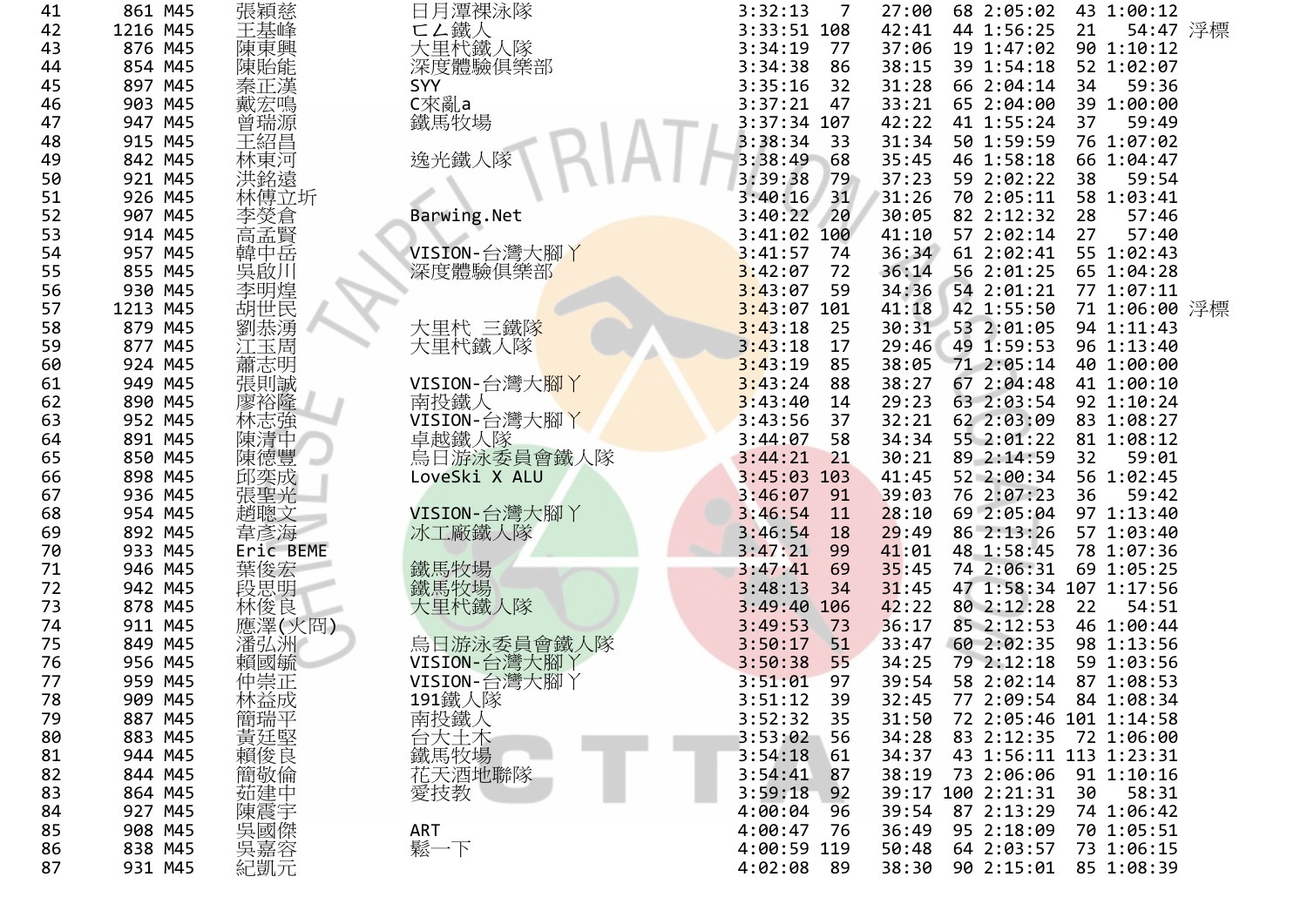| 41 | 861 M45  | 張穎慈             | 日月潭裸泳隊        | 3:32:13<br>7    | 27:00 | 68 2:05:02             |    | 43 1:00:12    |  |
|----|----------|-----------------|---------------|-----------------|-------|------------------------|----|---------------|--|
| 42 | 1216 M45 | 王基峰             | ⊂∠鐵人          | 3:33:51 108     | 42:41 | 44 1:56:25             | 21 | 54:47 浮標      |  |
| 43 | 876 M45  | 陳東興             | 大里杙鐵人隊        | 3:34:19<br>77   | 37:06 | 19 1:47:02             |    | 90 1:10:12    |  |
| 44 | 854 M45  | 陳貽能             | 深度體驗俱樂部       | 3:34:38<br>86   | 38:15 | 39 1:54:18             |    | 52 1:02:07    |  |
| 45 | 897 M45  | 秦正漢             | SYY           | 3:35:16<br>32   | 31:28 | 66 2:04:14             | 34 | 59:36         |  |
| 46 | 903 M45  | 戴宏鳴             | C來亂a          | 3:37:21<br>47   | 33:21 | 65 2:04:00             |    | 39 1:00:00    |  |
| 47 | 947 M45  | 曾瑞源             | 鐵馬牧場          | 3:37:34 107     | 42:22 | 41 1:55:24             | 37 | 59:49         |  |
| 48 | 915 M45  | 王紹昌             |               | 3:38:34<br>33   | 31:34 | 50 1:59:59             |    | 76 1:07:02    |  |
| 49 | 842 M45  | 林東河             | 逸光鐵人隊         | 3:38:49<br>68   | 35:45 | 46 1:58:18             |    | 66 1:04:47    |  |
| 50 | 921 M45  | 洪銘遠             |               | 3:39:38<br>79   | 37:23 | 59 2:02:22             | 38 | 59:54         |  |
| 51 | 926 M45  | 林傅立圻            |               | 3:40:16<br>31   | 31:26 | 70 2:05:11             |    | 58 1:03:41    |  |
| 52 | 907 M45  | 李熒倉             | Barwing.Net   | 3:40:22<br>20   | 30:05 | 82 2:12:32             | 28 | 57:46         |  |
| 53 | 914 M45  | 高孟賢             |               | 3:41:02<br>100  | 41:10 | 57 2:02:14             | 27 | 57:40         |  |
| 54 | 957 M45  | 韓中岳             | VISION-台灣大腳丫  | 3:41:57<br>74   | 36:34 | 61 2:02:41             |    | 55 1:02:43    |  |
| 55 | 855 M45  | 吳啟川             | 深度體驗俱樂部       | 3:42:07<br>72   | 36:14 | 56 2:01:25             |    | 65 1:04:28    |  |
| 56 | 930 M45  | 李明煌             |               | 3:43:07<br>59   | 34:36 | 54 2:01:21             |    | 77 1:07:11    |  |
| 57 | 1213 M45 | 胡世民             |               | 3:43:07<br>101  | 41:18 | 42 1:55:50             |    | 71 1:06:00 浮標 |  |
| 58 | 879 M45  | 劉恭湧             | 大里杙 三鐵隊       | 3:43:18<br>25   | 30:31 | 53 2:01:05             |    | 94 1:11:43    |  |
| 59 | 877 M45  | 江玉周             | 大里杙鐵人隊        | 3:43:18<br>17   | 29:46 | 49 1:59:53             |    | 96 1:13:40    |  |
| 60 | 924 M45  | 蕭志明             |               | 3:43:19<br>85   | 38:05 | 71 2:05:14             |    | 40 1:00:00    |  |
| 61 | 949 M45  | 張則誠             | VISION-台灣大腳丫  | 3:43:24<br>88   | 38:27 | 67 2:04:48             |    | 41 1:00:10    |  |
| 62 | 890 M45  | 廖裕隆             | 南投鐵人          | 3:43:40<br>14   | 29:23 | 63 2:03:54             |    | 92 1:10:24    |  |
| 63 | 952 M45  | 林志強             | VISION-台灣大腳丫  | 3:43:56<br>37   | 32:21 | 62 2:03:09             |    | 83 1:08:27    |  |
| 64 | 891 M45  | 陳清中             | 卓越鐵人隊         | 3:44:07<br>58   | 34:34 | 55 2:01:22             |    | 81 1:08:12    |  |
| 65 | 850 M45  | 陳德豐             | 烏日游泳委員會鐵人隊    | 3:44:21<br>21   | 30:21 | 89 2:14:59             | 32 | 59:01         |  |
| 66 | 898 M45  | 邱奕成             | LoveSki X ALU | 3:45:03 103     | 41:45 | 52 2:00:34             |    | 56 1:02:45    |  |
| 67 | 936 M45  | 張聖光             |               | 3:46:07<br>91   | 39:03 | 76 2:07:23             | 36 | 59:42         |  |
| 68 | 954 M45  | 趙聰文             | VISION-台灣大腳丫  | 3:46:54<br>11   | 28:10 | 69 2:05:04             |    | 97 1:13:40    |  |
| 69 | 892 M45  | 韋彥海             | 冰工廠鐵人隊        | 3:46:54<br>18   | 29:49 | 86 2:13:26             |    | 57 1:03:40    |  |
| 70 | 933 M45  | Eric BEME       |               | 3:47:21<br>99   | 41:01 | 48 1:58:45             |    | 78 1:07:36    |  |
| 71 | 946 M45  | 葉俊宏             | 鐵馬牧場          | 3:47:41<br>69   | 35:45 | 74 2:06:31             |    | 69 1:05:25    |  |
| 72 | 942 M45  | 段思明             | 鐵馬牧場          | 3:48:13<br>34   | 31:45 | 47 1:58:34 107 1:17:56 |    |               |  |
| 73 | 878 M45  | 林俊良             | 大里杙鐵人隊        | $3:49:40$ 106   | 42:22 | 80 2:12:28             | 22 | 54:51         |  |
| 74 | 911 M45  | 應澤(火冏)          |               | 3:49:53<br>73   | 36:17 | 85 2:12:53             |    | 46 1:00:44    |  |
| 75 | 849 M45  | 潘弘洲             | 烏日游泳委員會鐵人隊    | 3:50:17<br>51   | 33:47 | 60 2:02:35             |    | 98 1:13:56    |  |
| 76 | 956 M45  | 賴國毓             | VISION-台灣大腳丫  | 3:50:38<br>55   | 34:25 | 79 2:12:18             |    | 59 1:03:56    |  |
| 77 | 959 M45  | 仲崇正             | VISION-台灣大腳丫  | 3:51:01<br>97   | 39:54 | 58 2:02:14             |    | 87 1:08:53    |  |
| 78 | 909 M45  |                 | 191鐵人隊        | 3:51:12<br>- 39 | 32:45 | 77 2:09:54             |    | 84 1:08:34    |  |
| 79 | 887 M45  | -林簡黃賴等<br>黃瑞延俊# |               | 3:52:32<br>35   | 31:50 | 72 2:05:46 101 1:14:58 |    |               |  |
| 80 | 883 M45  |                 |               | 3:53:02<br>56   | 34:28 | 83 2:12:35             |    | 72 1:06:00    |  |
| 81 | 944 M45  |                 |               | 3:54:18<br>61   | 34:37 | 43 1:56:11 113 1:23:31 |    |               |  |
| 82 | 844 M45  | 簡敬倫             |               | 3:54:41<br>87   | 38:19 | 73 2:06:06             |    | 91 1:10:16    |  |
| 83 | 864 M45  | 茹建中             | 愛技教           | 3:59:18<br>92   |       | 39:17 100 2:21:31      | 30 | 58:31         |  |
| 84 | 927 M45  | 陳震宇             |               | 4:00:04<br>96   | 39:54 | 87 2:13:29             |    | 74 1:06:42    |  |
| 85 | 908 M45  |                 | ART           | 4:00:47<br>76   | 36:49 | 95 2:18:09             |    | 70 1:05:51    |  |
| 86 | 838 M45  | "吴國傑容元<br>吳嘉凱元  | 鬆一下           | 4:00:59 119     | 50:48 | 64 2:03:57             |    | 73 1:06:15    |  |
| 87 | 931 M45  |                 |               | 4:02:08<br>- 89 | 38:30 | 90 2:15:01             |    | 85 1:08:39    |  |
|    |          |                 |               |                 |       |                        |    |               |  |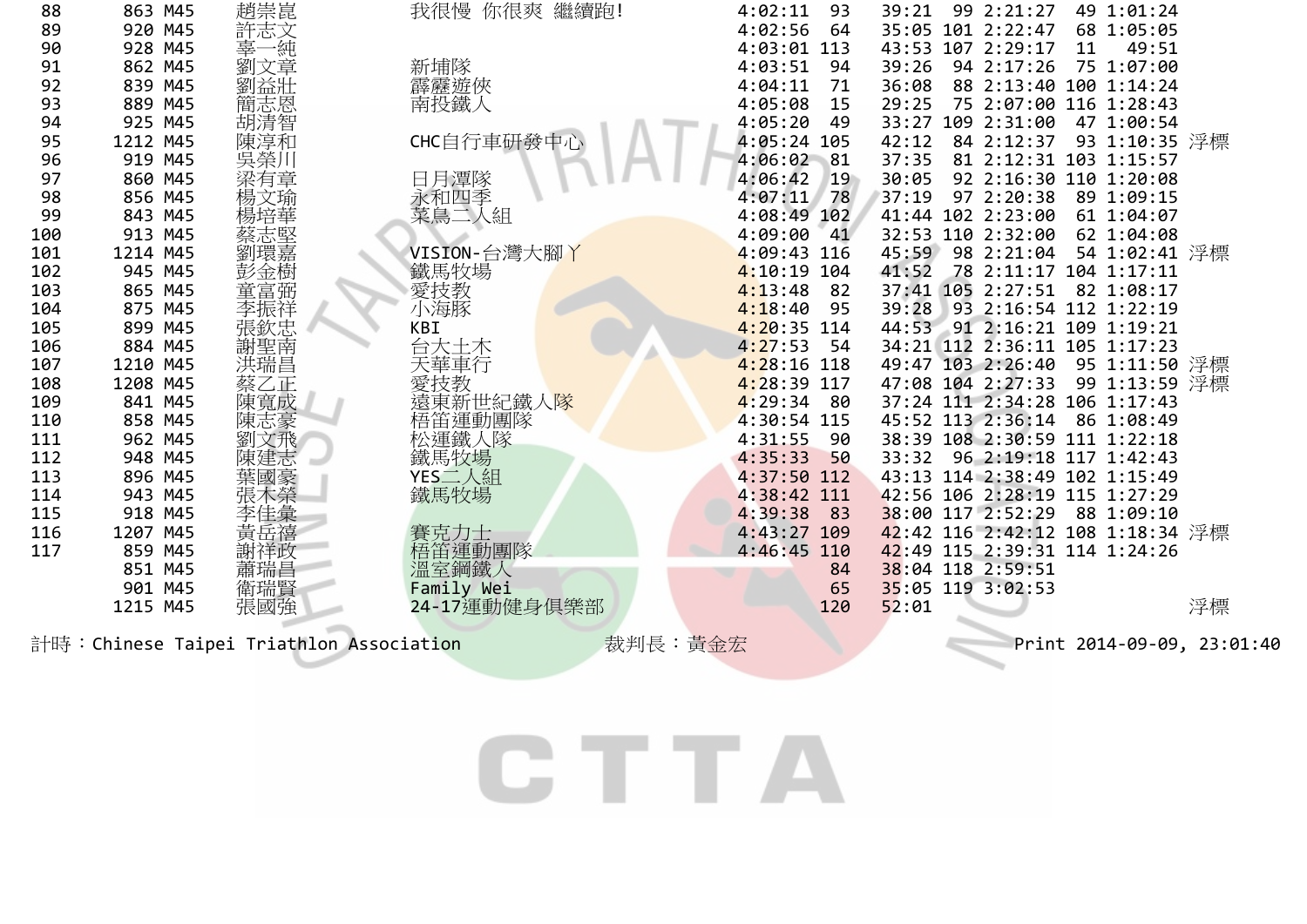| 88  | 863 M45  | 趙崇崑     | 我很慢 你很爽 繼續跑! | 4:02:11<br>93  | 39:21 | 99 2:21:27        | 49 1:01:24                       |    |
|-----|----------|---------|--------------|----------------|-------|-------------------|----------------------------------|----|
| 89  | 920 M45  | 許志文     |              | 64<br>4:02:56  |       | 35:05 101 2:22:47 | 68 1:05:05                       |    |
| 90  | 928 M45  | '純<br>辜 |              | 113<br>4:03:01 | 43:53 | 107 2:29:17       | 11<br>49:51                      |    |
| 91  | 862 M45  | 劉文章     | 新埔隊          | 4:03:51<br>94  | 39:26 | 94 2:17:26        | 75 1:07:00                       |    |
| 92  | 839 M45  | 劉益壯     | 霹靂遊俠         | 4:04:11<br>71  | 36:08 | 88 2:13:40        | 100 1:14:24                      |    |
| 93  | 889 M45  | 簡志恩     | 南投鐵人         | 4:05:08<br>15  | 29:25 | 75 2:07:00        | 116 1:28:43                      |    |
| 94  | 925 M45  | 胡清智     |              | 4:05:20<br>49  | 33:27 | 109 2:31:00       | 47 1:00:54                       |    |
| 95  | 1212 M45 | 陳淳和     | CHC自行車研發中心   | 4:05:24<br>105 | 42:12 | 84 2:12:37        | 93 1:10:35 浮標                    |    |
| 96  | 919 M45  | 吳榮川     |              | 4:06:02<br>81  | 37:35 |                   | 81 2:12:31 103 1:15:57           |    |
| 97  | 860 M45  | 梁有章     | 日月潭隊         | 19<br>4:06:42  | 30:05 |                   | 92 2:16:30 110 1:20:08           |    |
| 98  | 856 M45  | 楊文瑜     | 永和四季         | 78<br>4:07:11  | 37:19 | 97 2:20:38        | 89 1:09:15                       |    |
| 99  | 843 M45  |         | 菜鳥二人組        | 4:08:49<br>102 |       | 41:44 102 2:23:00 | 61 1:04:07                       |    |
| 100 | 913 M45  | 蔡志堅     |              | 4:09:00<br>41  | 32:53 | 110 2:32:00       | 62 1:04:08                       |    |
| 101 | 1214 M45 | 劉環嘉     | VISION-台灣大腳丫 | 4:09:43<br>116 | 45:59 | 98 2:21:04        | 54 1:02:41 浮標                    |    |
| 102 | 945 M45  | 彭金樹     | 鐵馬牧場         | 4:10:19<br>104 | 41:52 |                   | 78 2:11:17 104 1:17:11           |    |
| 103 | 865 M45  | 童富弼     |              | 4:13:48<br>82  |       | 37:41 105 2:27:51 | 82 1:08:17                       |    |
| 104 | 875 M45  | 李振祥     | 愛技教<br>小海豚   | 4:18:40<br>95  | 39:28 |                   | 93 2:16:54 112 1:22:19           |    |
| 105 | 899 M45  | 張欽忠     | KBI          | 4:20:35<br>114 | 44:53 |                   | 91 2:16:21 109 1:19:21           |    |
| 106 | 884 M45  | 謝聖南     | 台大土木         | 4:27:53<br>54  |       |                   | 34:21 112 2:36:11 105 1:17:23    |    |
| 107 | 1210 M45 | 洪瑞昌     | 天華車行         | 4:28:16<br>118 |       | 49:47 103 2:26:40 | 95 1:11:50 浮標                    |    |
| 108 | 1208 M45 | 蔡乙正     | 愛技教          | 4:28:39<br>117 |       | 47:08 104 2:27:33 | 99 1:13:59 浮標                    |    |
| 109 | 841 M45  | 陳寬成     | 東新世紀鐵人隊      | 4:29:34<br>80  |       |                   | 37:24 111 2:34:28 106 1:17:43    |    |
| 110 | 858 M45  | 陳志豪     | 梧笛運動團隊       | 4:30:54<br>115 |       | 45:52 113 2:36:14 | 86 1:08:49                       |    |
| 111 | 962 M45  | 劉文飛     | 松運鐵人隊        | 4:31:55<br>90  | 38:39 |                   | 108 2:30:59 111 1:22:18          |    |
| 112 | 948 M45  | 陳建志     | 鐵馬牧場         | 50<br>4:35:33  | 33:32 |                   | 96 2:19:18 117 1:42:43           |    |
| 113 | 896 M45  | 葉國豪     | YES二人組       | 4:37:50<br>112 | 43:13 |                   | 114 2:38:49 102 1:15:49          |    |
| 114 | 943 M45  | 張木榮     | 鐵馬牧場         | 4:38:42<br>111 |       |                   | 42:56 106 2:28:19 115 1:27:29    |    |
| 115 | 918 M45  | 李佳彙     |              | 4:39:38<br>83  | 38:00 | 117 2:52:29       | 88 1:09:10                       |    |
| 116 | 1207 M45 | 黃岳禧     | 賽克力士         | 4:43:27<br>109 |       |                   | 42:42 116 2:42:12 108 1:18:34 浮標 |    |
| 117 | 859 M45  | 謝祥政     | 梧笛運動團隊       | 4:46:45<br>110 |       |                   | 42:49 115 2:39:31 114 1:24:26    |    |
|     | 851 M45  | 蕭瑞昌     | 溫室鋼鐵人        | 84             |       | 38:04 118 2:59:51 |                                  |    |
|     | 901 M45  | 衛瑞賢     | Family Wei   | 65             |       | 35:05 119 3:02:53 |                                  |    |
|     | 1215 M45 | 張國強     | 24-17運動健身俱樂部 | 120            | 52:01 |                   |                                  | 浮標 |
|     |          |         |              |                |       |                   |                                  |    |

計時:Chinese Taipei Triathlon Association 裁判長:黃金宏 Print 2014-09-09, 23:01:40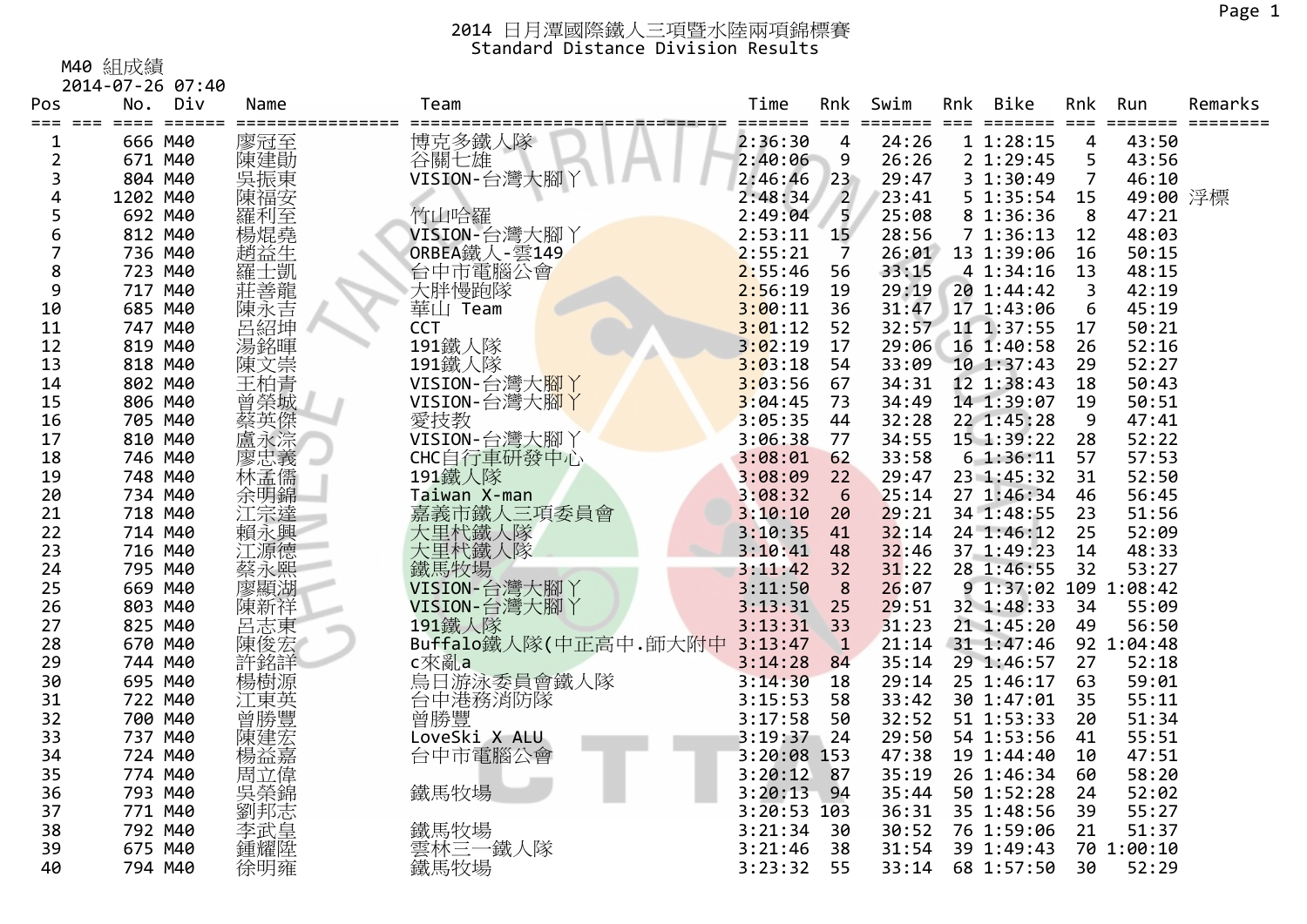M40 組成績

| 2014-07-26 07:40 |  |
|------------------|--|
|------------------|--|

| Pos            | No.      | Div                 | Name       | Team                       | Time          | Rnk            | Swim  | Rnk | Bike                                | Rnk            | Run        | Remarks |
|----------------|----------|---------------------|------------|----------------------------|---------------|----------------|-------|-----|-------------------------------------|----------------|------------|---------|
| 1              | 666 M40  | $=$ $=$ $=$ $=$ $=$ | 廖冠至        | 博克多鐵人隊                     | 2:36:30       | 4              | 24:26 |     | $=$ $=$ $=$ $=$ $=$ $=$<br>11:28:15 | $===$<br>4     | 43:50      |         |
| 2              | 671 M40  |                     | 陳建勛        | 谷關七雄                       | 2:40:06       | 9              | 26:26 |     | 2 1:29:45                           | 5              | 43:56      |         |
| 3              | 804 M40  |                     | 吳振東        | VISION-台灣大腳丫               | 2:46:46       | 23             | 29:47 |     | 3 1:30:49                           | $\overline{7}$ | 46:10      |         |
| 4              | 1202 M40 |                     | 陳福安        |                            | 2:48:34       | $\overline{2}$ | 23:41 |     | 5 1:35:54                           | 15             | 49:00 浮標   |         |
| 5              | 692 M40  |                     | 羅利至        | 竹山哈羅                       | 2:49:04       | 5              | 25:08 |     | 8 1:36:36                           | -8             | 47:21      |         |
| 6              | 812 M40  |                     | 楊焜堯        | VISION-台灣大腳丫               | 2:53:11       | 15             | 28:56 |     | 71:36:13                            | 12             | 48:03      |         |
| $\overline{7}$ | 736 M40  |                     | 趙益生        |                            | 2:55:21       | 7              | 26:01 |     | 13 1:39:06                          | 16             | 50:15      |         |
| 8              | 723 M40  |                     | 羅士凱        | ORBEA鐵人-雲149<br>台中市電腦公會    | 2:55:46       | 56             | 33:15 |     | 4 1:34:16                           | 13             | 48:15      |         |
| 9              | 717 M40  |                     | 莊善龍        | 大胖慢跑隊                      | 2:56:19       | 19             | 29:19 |     | 20 1:44:42                          | 3              | 42:19      |         |
| 10             | 685 M40  |                     | 陳永吉        | 華山 Team                    | 3:00:11       | 36             | 31:47 |     | 17 1:43:06                          | 6              | 45:19      |         |
| 11             | 747 M40  |                     | 呂紹坤        | <b>CCT</b>                 | 3:01:12       | 52             | 32:57 |     | 11 1:37:55                          | 17             | 50:21      |         |
| 12             | 819 M40  |                     | 湯銘暉        | 191鐵人隊                     | 3:02:19       | 17             | 29:06 |     | 16 1:40:58                          | 26             | 52:16      |         |
| 13             | 818 M40  |                     | 陳文崇        | 191鐵人隊                     | 3:03:18       | 54             | 33:09 |     | 10 1:37:43                          | 29             | 52:27      |         |
| 14             | 802 M40  |                     | 王柏青        | VISION-台灣大 <mark>腳丫</mark> | 3:03:56       | 67             | 34:31 |     | 12 1:38:43                          | 18             | 50:43      |         |
| 15             | 806 M40  |                     | 曾榮城        | VISION-台灣大腳丫               | 3:04:45       | 73             | 34:49 |     | 14 1:39:07                          | 19             | 50:51      |         |
| 16             | 705 M40  |                     | 蔡英傑        | 愛技教                        | 3:05:35       | 44             | 32:28 |     | 22 1:45:28                          | 9              | 47:41      |         |
| 17             | 810 M40  |                     | 盧永淙        | VISION-台灣大腳丫               | 3:06:38       | 77             | 34:55 |     | 15 1:39:22                          | 28             | 52:22      |         |
| 18             | 746 M40  |                     |            | CHC自行車研發中心                 | 3:08:01       | 62             | 33:58 |     | 61:36:11                            | 57             | 57:53      |         |
| 19             | 748 M40  |                     | 廖忠義<br>林孟儒 | 191鐵人隊                     | 3:08:09       | 22             | 29:47 |     | 23 1:45:32                          | 31             | 52:50      |         |
| 20             | 734 M40  |                     | 余明錦        | Taiwan X-man               | 3:08:32       | 6              | 25:14 |     | 27 1:46:34                          | 46             | 56:45      |         |
| 21             | 718 M40  |                     | 江宗達        | 嘉義市鐵人三項委員會                 | 3:10:10       | 20             | 29:21 |     | 34 1:48:55                          | 23             | 51:56      |         |
| 22             | 714 M40  |                     | 賴永興        | 大里杙鐵人隊                     | 3:10:35       | 41             | 32:14 |     | 24 1:46:12                          | 25             | 52:09      |         |
| 23             | 716 M40  |                     | 江源德        | 大里杙鐵人隊                     | 3:10:41       | 48             | 32:46 |     | 37 1:49:23                          | 14             | 48:33      |         |
| 24             | 795 M40  |                     | 蔡永熙        | 鐵馬牧場                       | 3:11:42       | 32             | 31:22 |     | 28 1:46:55                          | 32             | 53:27      |         |
| 25             | 669 M40  |                     | 廖顯湖        | VISION-台灣大腳丫               | 3:11:50       | 8              | 26:07 |     | 9 1:37:02 109 1:08:42               |                |            |         |
| 26             | 803 M40  |                     | 陳新祥        | VISION-台灣大腳丫               | 3:13:31       | 25             | 29:51 |     | 32 1:48:33                          | 34             | 55:09      |         |
| 27             | 825 M40  |                     | 呂志東<br>陳俊宏 | 191鐵人隊                     | 3:13:31       | 33             | 31:23 |     | 21 1:45:20                          | 49             | 56:50      |         |
| 28             | 670 M40  |                     |            | Buffalo鐵人隊(中正高中.師大附中       | 3:13:47       | $\mathbf{1}$   | 21:14 |     | 31 1:47:46                          |                | 92 1:04:48 |         |
| 29             | 744 M40  |                     | 許銘詳        | c來亂a                       | 3:14:28       | 84             | 35:14 |     | 29 1:46:57                          | 27             | 52:18      |         |
| 30             | 695 M40  |                     | 楊樹源        | 烏日游泳委員會鐵人隊                 | 3:14:30       | <b>18</b>      | 29:14 |     | 25 1:46:17                          | 63             | 59:01      |         |
| 31             | 722 M40  |                     | 江東英        | 台中港務消防隊                    | 3:15:53       | 58             | 33:42 |     | 30 1:47:01                          | 35             | 55:11      |         |
| 32             | 700 M40  |                     | 曾勝豐        | 曾勝豐                        | 3:17:58       | 50             | 32:52 |     | 51 1:53:33                          | 20             | 51:34      |         |
| 33             | 737 M40  |                     | 陳建宏        | LoveSki X ALU              | 3:19:37       | 24             | 29:50 |     | 54 1:53:56                          | 41             | 55:51      |         |
| 34             | 724 M40  |                     | 楊益嘉        | 台中市電腦公會                    | 3:20:08 153   |                | 47:38 |     | 19 1:44:40                          | 10             | 47:51      |         |
| 35             | 774 M40  |                     | 周立偉        |                            | 3:20:12       | 87             | 35:19 |     | 26 1:46:34                          | 60             | 58:20      |         |
| 36             | 793 M40  |                     | 吳榮錦        | 鐵馬牧場                       | 3:20:13       | 94             | 35:44 |     | 50 1:52:28                          | 24             | 52:02      |         |
| 37             | 771 M40  |                     | 劉邦志        |                            | $3:20:53$ 103 |                | 36:31 |     | 35 1:48:56                          | 39             | 55:27      |         |
| 38             | 792 M40  |                     | 李武皇        | 鐵馬牧場<br>雲林三一鐵人隊            | 3:21:34       | 30             | 30:52 |     | 76 1:59:06                          | 21             | 51:37      |         |
| 39             | 675 M40  |                     | 鍾耀陞        |                            | 3:21:46       | 38             | 31:54 |     | 39 1:49:43                          |                | 70 1:00:10 |         |
| 40             | 794 M40  |                     | 徐明雍        | 鐵馬牧場                       | 3:23:32       | 55             | 33:14 |     | 68 1:57:50                          | 30             | 52:29      |         |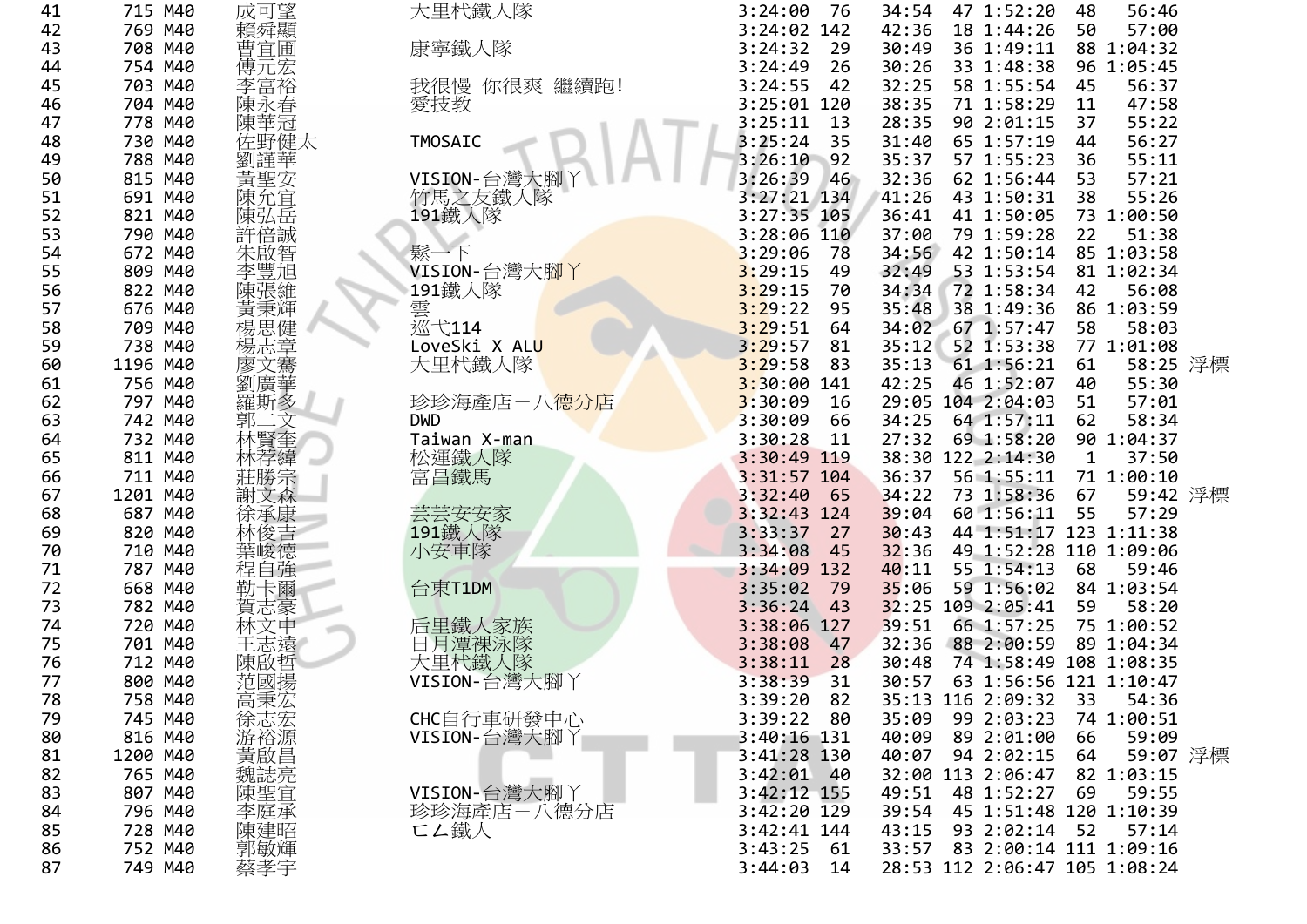| 41       | 715 M40  | 成可望         | 大里杙鐵人隊                   | 3:24:00<br>-76  | 34:54 | 47 1:52:20                    | 48 | 56:46      |  |
|----------|----------|-------------|--------------------------|-----------------|-------|-------------------------------|----|------------|--|
| 42       | 769 M40  | 賴舜顯         |                          | 3:24:02 142     | 42:36 | 18 1:44:26                    | 50 | 57:00      |  |
| 43       | 708 M40  | 曹宜圃         | 康寧鐵人隊                    | 3:24:32<br>29   | 30:49 | 36 1:49:11                    |    | 88 1:04:32 |  |
| 44       | 754 M40  | 傅元宏         |                          | 3:24:49<br>26   | 30:26 | 33 1:48:38                    |    | 96 1:05:45 |  |
| 45       | 703 M40  | 李富裕         | 我很慢 你很爽 繼續跑!             | 3:24:55<br>42   | 32:25 | 58 1:55:54                    | 45 | 56:37      |  |
| 46       | 704 M40  | 陳永春         | 愛技教                      | 3:25:01 120     | 38:35 | 71 1:58:29                    | 11 | 47:58      |  |
| 47       | 778 M40  | 陳華冠         |                          | 3:25:11<br>13   | 28:35 | 90 2:01:15                    | 37 | 55:22      |  |
| 48       | 730 M40  | 佐野健太        | <b>TMOSAIC</b>           | 3:25:24<br>35   | 31:40 | 65 1:57:19                    | 44 | 56:27      |  |
| 49       | 788 M40  | 劉謹華         |                          | 3:26:10<br>92   | 35:37 | 57 1:55:23                    | 36 | 55:11      |  |
| 50       | 815 M40  | 黃聖安         | VISION-台灣大腳丫             | 3:26:39<br>46   | 32:36 | 62 1:56:44                    | 53 | 57:21      |  |
| 51       | 691 M40  | 陳允宜         | 竹馬之友鐵人隊                  | 3:27:21 134     | 41:26 | 43 1:50:31                    | 38 | 55:26      |  |
| 52       | 821 M40  | 陳弘岳         | 191鐵人隊                   | 3:27:35 105     | 36:41 | 41 1:50:05                    |    | 73 1:00:50 |  |
| 53       | 790 M40  | 許倍誠         |                          | 3:28:06<br>110  | 37:00 | 79 1:59:28                    | 22 | 51:38      |  |
| 54       | 672 M40  | 朱啟智         | 鬆一下                      | 3:29:06<br>78   | 34:56 | 42 1:50:14                    |    | 85 1:03:58 |  |
| 55       | 809 M40  | 李豐旭         | VISION-台灣大腳丫             | 3:29:15<br>49   | 32:49 | 53 1:53:54                    |    | 81 1:02:34 |  |
| 56       | 822 M40  | 陳張維         | 191鐵人隊                   | 3:29:15<br>70   | 34:34 | 72 1:58:34                    | 42 | 56:08      |  |
| 57       | 676 M40  | 黃秉輝         |                          | 3:29:22<br>95   | 35:48 | 38 1:49:36                    |    | 86 1:03:59 |  |
| 58       | 709 M40  | 楊思健         | 雲<br>巡弋114               | 3:29:51<br>64   | 34:02 | 67 1:57:47                    | 58 | 58:03      |  |
| 59       | 738 M40  | 楊志章         | LoveSki X ALU            | 3:29:57<br>81   | 35:12 | 52 1:53:38                    |    | 77 1:01:08 |  |
| 60       | 1196 M40 | 廖文騫         | 大里杙鐵人隊                   | 3:29:58<br>83   | 35:13 | 61 1:56:21                    | 61 | 58:25 浮標   |  |
| 61       | 756 M40  | 劉廣華         |                          | $3:30:00$ 141   | 42:25 | 46 1:52:07                    | 40 | 55:30      |  |
| 62       | 797 M40  | 羅斯多         | 珍珍海產店-八 <mark>德分店</mark> | 3:30:09<br>16   | 29:05 | 104 2:04:03                   | 51 | 57:01      |  |
| 63       | 742 M40  |             | <b>DWD</b>               | 3:30:09<br>66   | 34:25 | 64 1:57:11                    | 62 | 58:34      |  |
| 64       | 732 M40  | 至           | Taiwan X-man             | 3:30:28<br>11   | 27:32 | 69 1:58:20                    |    | 90 1:04:37 |  |
| 65       | 811 M40  |             | 松運鐵人隊                    | 3:30:49 119     | 38:30 | 122 2:14:30                   | 1  | 37:50      |  |
| 66       | 711 M40  | 莊勝宗         | 富昌鐵馬                     | 3:31:57 104     | 36:37 | 56 1:55:11                    |    | 71 1:00:10 |  |
| 67       | 1201 M40 | 謝文森         |                          | 3:32:40<br>65   | 34:22 | 73 1:58:36                    | 67 | 59:42 浮標   |  |
| 68       | 687 M40  | 徐承康         | 芸芸安安家                    | 3:32:43<br>124  | 39:04 | 60 1:56:11                    | 55 | 57:29      |  |
| 69       | 820 M40  | 林俊吉         | 191鐵人隊                   | 3:33:37<br>27   | 30:43 | 44 1:51:17 123 1:11:38        |    |            |  |
| 70       | 710 M40  | 葉峻德         | 小安車隊                     | 3:34:08<br>45   | 32:36 | 49 1:52:28 110 1:09:06        |    |            |  |
| 71       | 787 M40  | 程自強         |                          | 3:34:09<br>132  | 40:11 | 55 1:54:13                    | 68 | 59:46      |  |
| 72       | 668 M40  | 勒卡爾         | 台東T1DM                   | 3:35:02<br>- 79 | 35:06 | 59 1:56:02                    |    | 84 1:03:54 |  |
| 73       | 782 M40  | 賀志豪         |                          | 3:36:24<br>43   | 32:25 | 109 2:05:41                   | 59 | 58:20      |  |
| 74       | 720 M40  | 林文中         | 后里鐵人家族                   | 3:38:06<br>127  | 39:51 | 66 1:57:25                    |    | 75 1:00:52 |  |
| 75       | 701 M40  | 王志遠         | 日月潭裸泳隊                   | 3:38:08<br>47   | 32:36 | 88 2:00:59                    |    | 89 1:04:34 |  |
| 76       | 712 M40  | 陳啟哲         | 大里杙鐵人隊                   | 3:38:11<br>28   | 30:48 | 74 1:58:49 108 1:08:35        |    |            |  |
| 77       | 800 M40  | 范國揚         | VISION-台灣大腳丫             | 3:38:39<br>31   | 30:57 | 63 1:56:56 121 1:10:47        |    |            |  |
| 78       | 758 M40  |             |                          | 3:39:20<br>82   |       | 35:13 116 2:09:32             | 33 | 54:36      |  |
| 79       | 745 M40  | :高秉宏<br>徐志宏 | CHC自行車研發中心               | 3:39:22<br>- 80 | 35:09 | 99 2:03:23                    |    | 74 1:00:51 |  |
| 80       | 816 M40  |             | VISION-台灣大腳丫             | 3:40:16 131     | 40:09 | 89 2:01:00                    | 66 | 59:09      |  |
| 81       | 1200 M40 | 游裕源         |                          | $3:41:28$ 130   | 40:07 | 94 2:02:15                    | 64 | 59:07 浮標   |  |
| 82       | 765 M40  | 黃啟昌<br>魏誌亮  |                          | $3:42:01$ 40    |       | 32:00 113 2:06:47             |    | 82 1:03:15 |  |
| 83       | 807 M40  |             | VISION-台灣大腳丫             | 3:42:12 155     | 49:51 | 48 1:52:27                    | 69 | 59:55      |  |
| 84       | 796 M40  | 陳聖宜<br>李庭承  |                          | 3:42:20 129     | 39:54 | 45 1:51:48 120 1:10:39        |    |            |  |
|          | 728 M40  |             | 珍珍海產店一八德分店               | 3:42:41 144     | 43:15 | 93 2:02:14                    | 52 | 57:14      |  |
| 85       |          | 陳建昭         | <b>匸ム鐵人</b>              |                 |       | 83 2:00:14 111 1:09:16        |    |            |  |
| 86<br>87 | 752 M40  | 郭敏輝         |                          | 3:43:25<br>- 61 | 33:57 |                               |    |            |  |
|          | 749 M40  | 蔡孝宇         |                          | 3:44:03<br>14   |       | 28:53 112 2:06:47 105 1:08:24 |    |            |  |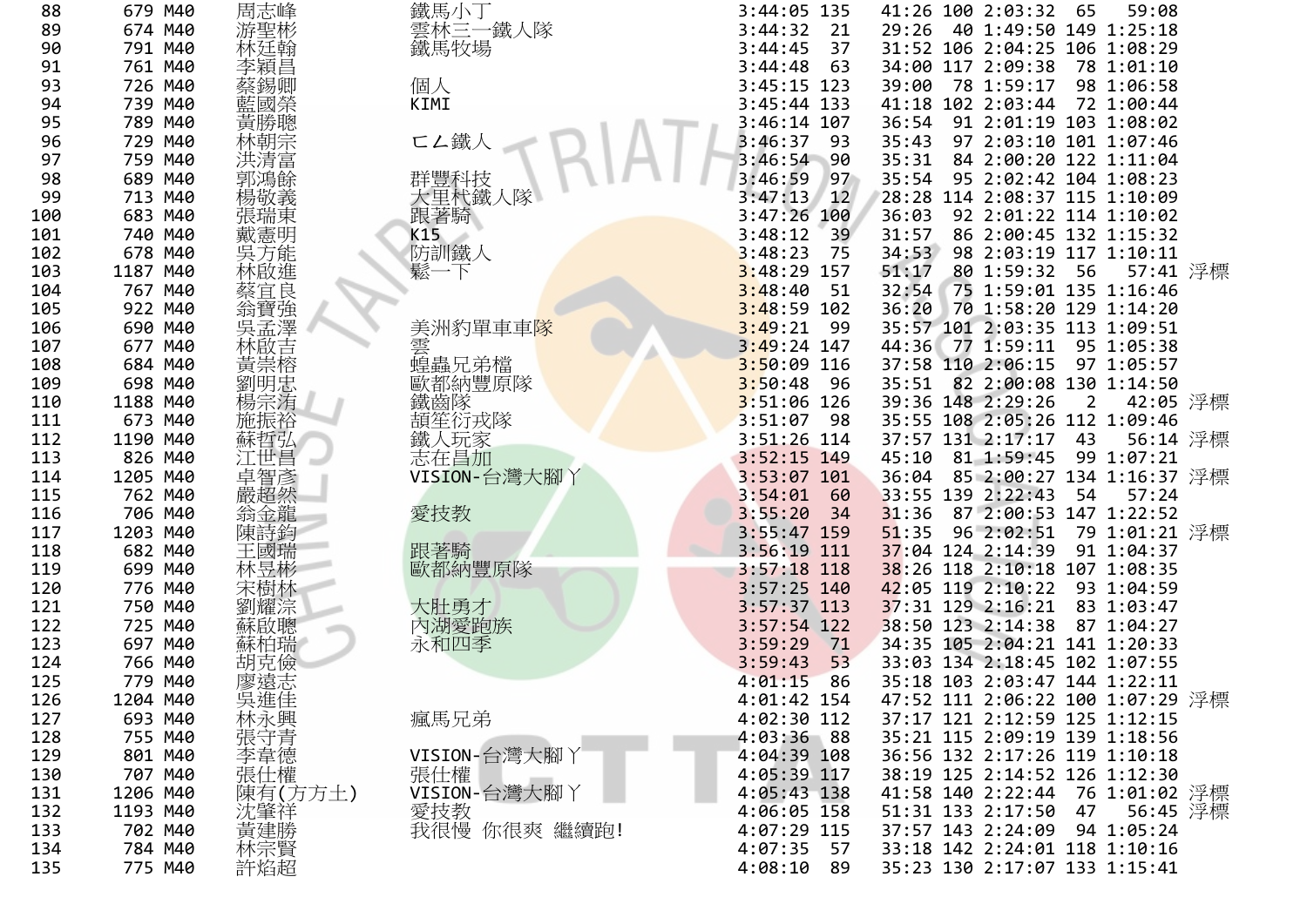| 679 M40  |                                                                                                                                                                                                                                                                                                 |                                                                                                                                                                                                                                                                                                                      | 3:44:05 135                                                                                                                                                                                                                                                                          |                                                                                                                                                                                                                                                          |                                                                                                                                     | 65                                                          | 59:08                                                                                                                                                                                                                                                                                                        |                                                                                                                                                                                                                                                                                                                                                                                                                                                                                                                                                                                                                                                                                                                                                                                                                                                                                                                                                                                                                                                                                                     |
|----------|-------------------------------------------------------------------------------------------------------------------------------------------------------------------------------------------------------------------------------------------------------------------------------------------------|----------------------------------------------------------------------------------------------------------------------------------------------------------------------------------------------------------------------------------------------------------------------------------------------------------------------|--------------------------------------------------------------------------------------------------------------------------------------------------------------------------------------------------------------------------------------------------------------------------------------|----------------------------------------------------------------------------------------------------------------------------------------------------------------------------------------------------------------------------------------------------------|-------------------------------------------------------------------------------------------------------------------------------------|-------------------------------------------------------------|--------------------------------------------------------------------------------------------------------------------------------------------------------------------------------------------------------------------------------------------------------------------------------------------------------------|-----------------------------------------------------------------------------------------------------------------------------------------------------------------------------------------------------------------------------------------------------------------------------------------------------------------------------------------------------------------------------------------------------------------------------------------------------------------------------------------------------------------------------------------------------------------------------------------------------------------------------------------------------------------------------------------------------------------------------------------------------------------------------------------------------------------------------------------------------------------------------------------------------------------------------------------------------------------------------------------------------------------------------------------------------------------------------------------------------|
| 674 M40  |                                                                                                                                                                                                                                                                                                 |                                                                                                                                                                                                                                                                                                                      | 3:44:32<br>21                                                                                                                                                                                                                                                                        | 29:26                                                                                                                                                                                                                                                    |                                                                                                                                     |                                                             |                                                                                                                                                                                                                                                                                                              |                                                                                                                                                                                                                                                                                                                                                                                                                                                                                                                                                                                                                                                                                                                                                                                                                                                                                                                                                                                                                                                                                                     |
| 791 M40  |                                                                                                                                                                                                                                                                                                 |                                                                                                                                                                                                                                                                                                                      | 3:44:45<br>37                                                                                                                                                                                                                                                                        |                                                                                                                                                                                                                                                          |                                                                                                                                     |                                                             |                                                                                                                                                                                                                                                                                                              |                                                                                                                                                                                                                                                                                                                                                                                                                                                                                                                                                                                                                                                                                                                                                                                                                                                                                                                                                                                                                                                                                                     |
| 761 M40  |                                                                                                                                                                                                                                                                                                 |                                                                                                                                                                                                                                                                                                                      | 3:44:48<br>63                                                                                                                                                                                                                                                                        |                                                                                                                                                                                                                                                          |                                                                                                                                     |                                                             |                                                                                                                                                                                                                                                                                                              |                                                                                                                                                                                                                                                                                                                                                                                                                                                                                                                                                                                                                                                                                                                                                                                                                                                                                                                                                                                                                                                                                                     |
| 726 M40  |                                                                                                                                                                                                                                                                                                 |                                                                                                                                                                                                                                                                                                                      | $3:45:15$ 123                                                                                                                                                                                                                                                                        |                                                                                                                                                                                                                                                          |                                                                                                                                     |                                                             |                                                                                                                                                                                                                                                                                                              |                                                                                                                                                                                                                                                                                                                                                                                                                                                                                                                                                                                                                                                                                                                                                                                                                                                                                                                                                                                                                                                                                                     |
| 739 M40  |                                                                                                                                                                                                                                                                                                 | KIMI                                                                                                                                                                                                                                                                                                                 | 3:45:44 133                                                                                                                                                                                                                                                                          |                                                                                                                                                                                                                                                          |                                                                                                                                     |                                                             |                                                                                                                                                                                                                                                                                                              |                                                                                                                                                                                                                                                                                                                                                                                                                                                                                                                                                                                                                                                                                                                                                                                                                                                                                                                                                                                                                                                                                                     |
|          |                                                                                                                                                                                                                                                                                                 |                                                                                                                                                                                                                                                                                                                      |                                                                                                                                                                                                                                                                                      |                                                                                                                                                                                                                                                          |                                                                                                                                     |                                                             |                                                                                                                                                                                                                                                                                                              |                                                                                                                                                                                                                                                                                                                                                                                                                                                                                                                                                                                                                                                                                                                                                                                                                                                                                                                                                                                                                                                                                                     |
|          |                                                                                                                                                                                                                                                                                                 |                                                                                                                                                                                                                                                                                                                      | - 93                                                                                                                                                                                                                                                                                 |                                                                                                                                                                                                                                                          |                                                                                                                                     |                                                             |                                                                                                                                                                                                                                                                                                              |                                                                                                                                                                                                                                                                                                                                                                                                                                                                                                                                                                                                                                                                                                                                                                                                                                                                                                                                                                                                                                                                                                     |
|          |                                                                                                                                                                                                                                                                                                 |                                                                                                                                                                                                                                                                                                                      |                                                                                                                                                                                                                                                                                      |                                                                                                                                                                                                                                                          |                                                                                                                                     |                                                             |                                                                                                                                                                                                                                                                                                              |                                                                                                                                                                                                                                                                                                                                                                                                                                                                                                                                                                                                                                                                                                                                                                                                                                                                                                                                                                                                                                                                                                     |
|          |                                                                                                                                                                                                                                                                                                 |                                                                                                                                                                                                                                                                                                                      | 97                                                                                                                                                                                                                                                                                   |                                                                                                                                                                                                                                                          |                                                                                                                                     |                                                             |                                                                                                                                                                                                                                                                                                              |                                                                                                                                                                                                                                                                                                                                                                                                                                                                                                                                                                                                                                                                                                                                                                                                                                                                                                                                                                                                                                                                                                     |
|          |                                                                                                                                                                                                                                                                                                 |                                                                                                                                                                                                                                                                                                                      | $3:47:13$ 12                                                                                                                                                                                                                                                                         |                                                                                                                                                                                                                                                          |                                                                                                                                     |                                                             |                                                                                                                                                                                                                                                                                                              |                                                                                                                                                                                                                                                                                                                                                                                                                                                                                                                                                                                                                                                                                                                                                                                                                                                                                                                                                                                                                                                                                                     |
|          |                                                                                                                                                                                                                                                                                                 |                                                                                                                                                                                                                                                                                                                      | 3:47:26 100                                                                                                                                                                                                                                                                          |                                                                                                                                                                                                                                                          |                                                                                                                                     |                                                             |                                                                                                                                                                                                                                                                                                              |                                                                                                                                                                                                                                                                                                                                                                                                                                                                                                                                                                                                                                                                                                                                                                                                                                                                                                                                                                                                                                                                                                     |
|          |                                                                                                                                                                                                                                                                                                 |                                                                                                                                                                                                                                                                                                                      | 39                                                                                                                                                                                                                                                                                   |                                                                                                                                                                                                                                                          |                                                                                                                                     |                                                             |                                                                                                                                                                                                                                                                                                              |                                                                                                                                                                                                                                                                                                                                                                                                                                                                                                                                                                                                                                                                                                                                                                                                                                                                                                                                                                                                                                                                                                     |
|          |                                                                                                                                                                                                                                                                                                 |                                                                                                                                                                                                                                                                                                                      | - 75                                                                                                                                                                                                                                                                                 |                                                                                                                                                                                                                                                          |                                                                                                                                     |                                                             |                                                                                                                                                                                                                                                                                                              |                                                                                                                                                                                                                                                                                                                                                                                                                                                                                                                                                                                                                                                                                                                                                                                                                                                                                                                                                                                                                                                                                                     |
|          |                                                                                                                                                                                                                                                                                                 |                                                                                                                                                                                                                                                                                                                      |                                                                                                                                                                                                                                                                                      |                                                                                                                                                                                                                                                          |                                                                                                                                     |                                                             |                                                                                                                                                                                                                                                                                                              |                                                                                                                                                                                                                                                                                                                                                                                                                                                                                                                                                                                                                                                                                                                                                                                                                                                                                                                                                                                                                                                                                                     |
|          |                                                                                                                                                                                                                                                                                                 |                                                                                                                                                                                                                                                                                                                      | 51                                                                                                                                                                                                                                                                                   |                                                                                                                                                                                                                                                          |                                                                                                                                     |                                                             |                                                                                                                                                                                                                                                                                                              |                                                                                                                                                                                                                                                                                                                                                                                                                                                                                                                                                                                                                                                                                                                                                                                                                                                                                                                                                                                                                                                                                                     |
|          |                                                                                                                                                                                                                                                                                                 |                                                                                                                                                                                                                                                                                                                      |                                                                                                                                                                                                                                                                                      |                                                                                                                                                                                                                                                          |                                                                                                                                     |                                                             |                                                                                                                                                                                                                                                                                                              |                                                                                                                                                                                                                                                                                                                                                                                                                                                                                                                                                                                                                                                                                                                                                                                                                                                                                                                                                                                                                                                                                                     |
|          |                                                                                                                                                                                                                                                                                                 |                                                                                                                                                                                                                                                                                                                      | 3:49:21<br>- 99                                                                                                                                                                                                                                                                      |                                                                                                                                                                                                                                                          |                                                                                                                                     |                                                             |                                                                                                                                                                                                                                                                                                              |                                                                                                                                                                                                                                                                                                                                                                                                                                                                                                                                                                                                                                                                                                                                                                                                                                                                                                                                                                                                                                                                                                     |
| 677 M40  |                                                                                                                                                                                                                                                                                                 |                                                                                                                                                                                                                                                                                                                      | 3:49:24 147                                                                                                                                                                                                                                                                          |                                                                                                                                                                                                                                                          |                                                                                                                                     |                                                             |                                                                                                                                                                                                                                                                                                              |                                                                                                                                                                                                                                                                                                                                                                                                                                                                                                                                                                                                                                                                                                                                                                                                                                                                                                                                                                                                                                                                                                     |
|          |                                                                                                                                                                                                                                                                                                 |                                                                                                                                                                                                                                                                                                                      |                                                                                                                                                                                                                                                                                      |                                                                                                                                                                                                                                                          |                                                                                                                                     |                                                             |                                                                                                                                                                                                                                                                                                              |                                                                                                                                                                                                                                                                                                                                                                                                                                                                                                                                                                                                                                                                                                                                                                                                                                                                                                                                                                                                                                                                                                     |
|          |                                                                                                                                                                                                                                                                                                 |                                                                                                                                                                                                                                                                                                                      | 3:50:48<br>- 96                                                                                                                                                                                                                                                                      |                                                                                                                                                                                                                                                          |                                                                                                                                     |                                                             |                                                                                                                                                                                                                                                                                                              |                                                                                                                                                                                                                                                                                                                                                                                                                                                                                                                                                                                                                                                                                                                                                                                                                                                                                                                                                                                                                                                                                                     |
|          |                                                                                                                                                                                                                                                                                                 |                                                                                                                                                                                                                                                                                                                      |                                                                                                                                                                                                                                                                                      |                                                                                                                                                                                                                                                          |                                                                                                                                     | $\overline{2}$                                              |                                                                                                                                                                                                                                                                                                              |                                                                                                                                                                                                                                                                                                                                                                                                                                                                                                                                                                                                                                                                                                                                                                                                                                                                                                                                                                                                                                                                                                     |
| 673 M40  |                                                                                                                                                                                                                                                                                                 |                                                                                                                                                                                                                                                                                                                      | 3:51:07<br>- 98                                                                                                                                                                                                                                                                      |                                                                                                                                                                                                                                                          |                                                                                                                                     |                                                             |                                                                                                                                                                                                                                                                                                              |                                                                                                                                                                                                                                                                                                                                                                                                                                                                                                                                                                                                                                                                                                                                                                                                                                                                                                                                                                                                                                                                                                     |
| 1190 M40 |                                                                                                                                                                                                                                                                                                 |                                                                                                                                                                                                                                                                                                                      | $3:51:26$ 114                                                                                                                                                                                                                                                                        |                                                                                                                                                                                                                                                          |                                                                                                                                     | 43                                                          |                                                                                                                                                                                                                                                                                                              |                                                                                                                                                                                                                                                                                                                                                                                                                                                                                                                                                                                                                                                                                                                                                                                                                                                                                                                                                                                                                                                                                                     |
|          |                                                                                                                                                                                                                                                                                                 |                                                                                                                                                                                                                                                                                                                      |                                                                                                                                                                                                                                                                                      |                                                                                                                                                                                                                                                          |                                                                                                                                     |                                                             |                                                                                                                                                                                                                                                                                                              |                                                                                                                                                                                                                                                                                                                                                                                                                                                                                                                                                                                                                                                                                                                                                                                                                                                                                                                                                                                                                                                                                                     |
|          |                                                                                                                                                                                                                                                                                                 |                                                                                                                                                                                                                                                                                                                      | 3:53:07 101                                                                                                                                                                                                                                                                          | 36:04                                                                                                                                                                                                                                                    |                                                                                                                                     |                                                             |                                                                                                                                                                                                                                                                                                              |                                                                                                                                                                                                                                                                                                                                                                                                                                                                                                                                                                                                                                                                                                                                                                                                                                                                                                                                                                                                                                                                                                     |
|          |                                                                                                                                                                                                                                                                                                 |                                                                                                                                                                                                                                                                                                                      | 60                                                                                                                                                                                                                                                                                   |                                                                                                                                                                                                                                                          |                                                                                                                                     | 54                                                          | 57:24                                                                                                                                                                                                                                                                                                        |                                                                                                                                                                                                                                                                                                                                                                                                                                                                                                                                                                                                                                                                                                                                                                                                                                                                                                                                                                                                                                                                                                     |
|          |                                                                                                                                                                                                                                                                                                 |                                                                                                                                                                                                                                                                                                                      | 34                                                                                                                                                                                                                                                                                   | 31:36                                                                                                                                                                                                                                                    |                                                                                                                                     |                                                             |                                                                                                                                                                                                                                                                                                              |                                                                                                                                                                                                                                                                                                                                                                                                                                                                                                                                                                                                                                                                                                                                                                                                                                                                                                                                                                                                                                                                                                     |
|          |                                                                                                                                                                                                                                                                                                 |                                                                                                                                                                                                                                                                                                                      |                                                                                                                                                                                                                                                                                      |                                                                                                                                                                                                                                                          |                                                                                                                                     |                                                             |                                                                                                                                                                                                                                                                                                              |                                                                                                                                                                                                                                                                                                                                                                                                                                                                                                                                                                                                                                                                                                                                                                                                                                                                                                                                                                                                                                                                                                     |
| 682 M40  |                                                                                                                                                                                                                                                                                                 |                                                                                                                                                                                                                                                                                                                      | $3:56:19$ 111                                                                                                                                                                                                                                                                        |                                                                                                                                                                                                                                                          |                                                                                                                                     |                                                             |                                                                                                                                                                                                                                                                                                              |                                                                                                                                                                                                                                                                                                                                                                                                                                                                                                                                                                                                                                                                                                                                                                                                                                                                                                                                                                                                                                                                                                     |
|          |                                                                                                                                                                                                                                                                                                 |                                                                                                                                                                                                                                                                                                                      | $3:57:18$ 118                                                                                                                                                                                                                                                                        |                                                                                                                                                                                                                                                          |                                                                                                                                     |                                                             |                                                                                                                                                                                                                                                                                                              |                                                                                                                                                                                                                                                                                                                                                                                                                                                                                                                                                                                                                                                                                                                                                                                                                                                                                                                                                                                                                                                                                                     |
|          |                                                                                                                                                                                                                                                                                                 |                                                                                                                                                                                                                                                                                                                      |                                                                                                                                                                                                                                                                                      |                                                                                                                                                                                                                                                          |                                                                                                                                     |                                                             |                                                                                                                                                                                                                                                                                                              |                                                                                                                                                                                                                                                                                                                                                                                                                                                                                                                                                                                                                                                                                                                                                                                                                                                                                                                                                                                                                                                                                                     |
|          |                                                                                                                                                                                                                                                                                                 |                                                                                                                                                                                                                                                                                                                      | $3:57:37$ 113                                                                                                                                                                                                                                                                        |                                                                                                                                                                                                                                                          |                                                                                                                                     |                                                             |                                                                                                                                                                                                                                                                                                              |                                                                                                                                                                                                                                                                                                                                                                                                                                                                                                                                                                                                                                                                                                                                                                                                                                                                                                                                                                                                                                                                                                     |
|          |                                                                                                                                                                                                                                                                                                 |                                                                                                                                                                                                                                                                                                                      | $3:57:54$ 122                                                                                                                                                                                                                                                                        |                                                                                                                                                                                                                                                          |                                                                                                                                     |                                                             |                                                                                                                                                                                                                                                                                                              |                                                                                                                                                                                                                                                                                                                                                                                                                                                                                                                                                                                                                                                                                                                                                                                                                                                                                                                                                                                                                                                                                                     |
| 697 M40  |                                                                                                                                                                                                                                                                                                 |                                                                                                                                                                                                                                                                                                                      | 3:59:29<br>71                                                                                                                                                                                                                                                                        |                                                                                                                                                                                                                                                          |                                                                                                                                     |                                                             |                                                                                                                                                                                                                                                                                                              |                                                                                                                                                                                                                                                                                                                                                                                                                                                                                                                                                                                                                                                                                                                                                                                                                                                                                                                                                                                                                                                                                                     |
| 766 M40  |                                                                                                                                                                                                                                                                                                 |                                                                                                                                                                                                                                                                                                                      | 3:59:43<br>53                                                                                                                                                                                                                                                                        |                                                                                                                                                                                                                                                          |                                                                                                                                     |                                                             |                                                                                                                                                                                                                                                                                                              |                                                                                                                                                                                                                                                                                                                                                                                                                                                                                                                                                                                                                                                                                                                                                                                                                                                                                                                                                                                                                                                                                                     |
| 779 M40  |                                                                                                                                                                                                                                                                                                 |                                                                                                                                                                                                                                                                                                                      | 4:01:15<br>86                                                                                                                                                                                                                                                                        |                                                                                                                                                                                                                                                          |                                                                                                                                     |                                                             |                                                                                                                                                                                                                                                                                                              |                                                                                                                                                                                                                                                                                                                                                                                                                                                                                                                                                                                                                                                                                                                                                                                                                                                                                                                                                                                                                                                                                                     |
|          |                                                                                                                                                                                                                                                                                                 |                                                                                                                                                                                                                                                                                                                      |                                                                                                                                                                                                                                                                                      |                                                                                                                                                                                                                                                          |                                                                                                                                     |                                                             |                                                                                                                                                                                                                                                                                                              |                                                                                                                                                                                                                                                                                                                                                                                                                                                                                                                                                                                                                                                                                                                                                                                                                                                                                                                                                                                                                                                                                                     |
|          |                                                                                                                                                                                                                                                                                                 |                                                                                                                                                                                                                                                                                                                      | 4:02:30 112                                                                                                                                                                                                                                                                          |                                                                                                                                                                                                                                                          |                                                                                                                                     |                                                             |                                                                                                                                                                                                                                                                                                              |                                                                                                                                                                                                                                                                                                                                                                                                                                                                                                                                                                                                                                                                                                                                                                                                                                                                                                                                                                                                                                                                                                     |
| 755 M40  |                                                                                                                                                                                                                                                                                                 |                                                                                                                                                                                                                                                                                                                      |                                                                                                                                                                                                                                                                                      |                                                                                                                                                                                                                                                          |                                                                                                                                     |                                                             |                                                                                                                                                                                                                                                                                                              |                                                                                                                                                                                                                                                                                                                                                                                                                                                                                                                                                                                                                                                                                                                                                                                                                                                                                                                                                                                                                                                                                                     |
| 801 M40  |                                                                                                                                                                                                                                                                                                 |                                                                                                                                                                                                                                                                                                                      | 4:04:39 108                                                                                                                                                                                                                                                                          |                                                                                                                                                                                                                                                          |                                                                                                                                     |                                                             |                                                                                                                                                                                                                                                                                                              |                                                                                                                                                                                                                                                                                                                                                                                                                                                                                                                                                                                                                                                                                                                                                                                                                                                                                                                                                                                                                                                                                                     |
| 707 M40  |                                                                                                                                                                                                                                                                                                 |                                                                                                                                                                                                                                                                                                                      | $4:05:39$ 117                                                                                                                                                                                                                                                                        |                                                                                                                                                                                                                                                          |                                                                                                                                     |                                                             |                                                                                                                                                                                                                                                                                                              |                                                                                                                                                                                                                                                                                                                                                                                                                                                                                                                                                                                                                                                                                                                                                                                                                                                                                                                                                                                                                                                                                                     |
| 1206 M40 |                                                                                                                                                                                                                                                                                                 | VISION-台灣大腳 丫                                                                                                                                                                                                                                                                                                        | 4:05:43 138                                                                                                                                                                                                                                                                          |                                                                                                                                                                                                                                                          |                                                                                                                                     |                                                             |                                                                                                                                                                                                                                                                                                              |                                                                                                                                                                                                                                                                                                                                                                                                                                                                                                                                                                                                                                                                                                                                                                                                                                                                                                                                                                                                                                                                                                     |
| 1193 M40 |                                                                                                                                                                                                                                                                                                 |                                                                                                                                                                                                                                                                                                                      | 4:06:05 158                                                                                                                                                                                                                                                                          |                                                                                                                                                                                                                                                          |                                                                                                                                     | 47                                                          | 56:45 浮標                                                                                                                                                                                                                                                                                                     |                                                                                                                                                                                                                                                                                                                                                                                                                                                                                                                                                                                                                                                                                                                                                                                                                                                                                                                                                                                                                                                                                                     |
| 702 M40  |                                                                                                                                                                                                                                                                                                 |                                                                                                                                                                                                                                                                                                                      | 4:07:29 115                                                                                                                                                                                                                                                                          |                                                                                                                                                                                                                                                          |                                                                                                                                     |                                                             |                                                                                                                                                                                                                                                                                                              |                                                                                                                                                                                                                                                                                                                                                                                                                                                                                                                                                                                                                                                                                                                                                                                                                                                                                                                                                                                                                                                                                                     |
| 784 M40  |                                                                                                                                                                                                                                                                                                 |                                                                                                                                                                                                                                                                                                                      | 4:07:35<br>57                                                                                                                                                                                                                                                                        |                                                                                                                                                                                                                                                          |                                                                                                                                     |                                                             |                                                                                                                                                                                                                                                                                                              |                                                                                                                                                                                                                                                                                                                                                                                                                                                                                                                                                                                                                                                                                                                                                                                                                                                                                                                                                                                                                                                                                                     |
| 775 M40  | 許焰超                                                                                                                                                                                                                                                                                             |                                                                                                                                                                                                                                                                                                                      | 4:08:10<br>89                                                                                                                                                                                                                                                                        |                                                                                                                                                                                                                                                          |                                                                                                                                     |                                                             |                                                                                                                                                                                                                                                                                                              |                                                                                                                                                                                                                                                                                                                                                                                                                                                                                                                                                                                                                                                                                                                                                                                                                                                                                                                                                                                                                                                                                                     |
|          | 789 M40<br>729 M40<br>759 M40<br>689 M40<br>713 M40<br>683 M40<br>740 M40<br>678 M40<br>1187 M40<br>767 M40<br>922 M40<br>690 M40<br>684 M40<br>698 M40<br>1188 M40<br>826 M40<br>1205 M40<br>762 M40<br>706 M40<br>1203 M40<br>699 M40<br>776 M40<br>750 M40<br>725 M40<br>1204 M40<br>693 M40 | 周志峰<br>游聖彬<br>林廷翰<br>李穎昌<br>蔡錫卿<br>藍國榮<br>黃勝聰<br>林朝宗<br>郭鴻餘<br>楊敬義<br>張瑞東<br>戴憲明<br>吳方能<br>林啟進<br>蔡宜良<br>翁寶強<br>吳孟澤<br>林啟吉<br>黃崇榕<br>劉明忠<br>楊宗洧<br>施振裕<br>蘇哲弘<br>江世昌<br>卓智彥<br>嚴超然<br>翁金龍<br>陳詩鈞<br>王國瑞<br>林昱彬<br>宋樹林<br>劉耀淙<br>蘇啟聰<br>蘇柏瑞<br>胡克儉<br>廖遠志<br>吳進佳<br>林永興<br>李韋德<br>張仕權<br>陳有(方方土)<br>沈肇祥<br>黃建勝<br>林宗賢 | 鐵馬小丁<br>雲林三一鐵人隊<br>鐵馬牧場<br>個人<br><b>匸ム鐵人</b><br>群豐科技<br>大里杙鐵人隊<br>跟著騎<br>K15<br>防訓鐵人<br>鬆一<br>美洲豹單車車隊<br>雲<br>蝗蟲兄弟檔<br>歐都納豐原隊<br>鐵齒隊<br>頡笙衍戎隊<br>鐵人玩家<br>志在昌加<br>VISION-台灣大腳丫<br>愛技教<br>跟著騎<br>歐都納豐原隊<br>大肚勇才<br>內湖愛跑族<br>永和四季<br>瘋馬兄弟<br>VISION-台灣大腳丫<br>張仕權<br>愛技教<br>我很慢 你很爽 繼續跑! | 3:46:14 107<br>3:46:37<br>$3:46:54$ 90<br>3:46:59<br>3:48:12<br>3:48:23<br>3:48:29 157<br>3:48:40<br>$3:48:59$ 102<br>$3:50:09$ 116<br>$3:51:06$ 126<br>$3:52:15$ 149<br>3:54:01<br>3:55:20<br>$3:55:47$ 159<br>3:57:25 140<br>4:01:42 154<br>4:03:36 88 | 39:00<br>36:54<br>35:43<br>35:31<br>35:54<br>36:03<br>31:57<br>34:53<br>51:17<br>32:54<br>36:20<br>44:36<br>35:51<br>45:10<br>51:35 | 34:00 117 2:09:38<br>39:36 148 2:29:26<br>33:55 139 2:22:43 | 41:26 100 2:03:32<br>78 1:59:17<br>41:18 102 2:03:44<br>80 1:59:32 56<br>77 1:59:11<br>37:58 110 2:06:15<br>37:57 131 2:17:17<br>81 1:59:45<br>96 2:02:51<br>37:04 124 2:14:39<br>42:05 119 2:10:22<br>37:31 129 2:16:21<br>38:50 123 2:14:38<br>41:58 140 2:22:44<br>51:31 133 2:17:50<br>37:57 143 2:24:09 | 40 1:49:50 149 1:25:18<br>31:52 106 2:04:25 106 1:08:29<br>78 1:01:10<br>98 1:06:58<br>72 1:00:44<br>91 2:01:19 103 1:08:02<br>97 2:03:10 101 1:07:46<br>84 2:00:20 122 1:11:04<br>95 2:02:42 104 1:08:23<br>28:28 114 2:08:37 115 1:10:09<br>92 2:01:22 114 1:10:02<br>86 2:00:45 132 1:15:32<br>98 2:03:19 117 1:10:11<br>57:41 浮標<br>75 1:59:01 135 1:16:46<br>70 1:58:20 129 1:14:20<br>35:57 101 2:03:35 113 1:09:51<br>95 1:05:38<br>97 1:05:57<br>82 2:00:08 130 1:14:50<br>42:05 浮標<br>35:55 108 2:05:26 112 1:09:46<br>56:14 浮標<br>99 1:07:21<br>85 2:00:27 134 1:16:37 浮標<br>87 2:00:53 147 1:22:52<br>79 1:01:21 浮標<br>91 1:04:37<br>38:26 118 2:10:18 107 1:08:35<br>93 1:04:59<br>83 1:03:47<br>87 1:04:27<br>34:35 105 2:04:21 141 1:20:33<br>33:03 134 2:18:45 102 1:07:55<br>35:18 103 2:03:47 144 1:22:11<br>47:52 111 2:06:22 100 1:07:29 浮標<br>37:17 121 2:12:59 125 1:12:15<br>35:21 115 2:09:19 139 1:18:56<br>36:56 132 2:17:26 119 1:10:18<br>38:19 125 2:14:52 126 1:12:30<br>76 1:01:02 浮標<br>94 1:05:24<br>33:18 142 2:24:01 118 1:10:16<br>35:23 130 2:17:07 133 1:15:41 |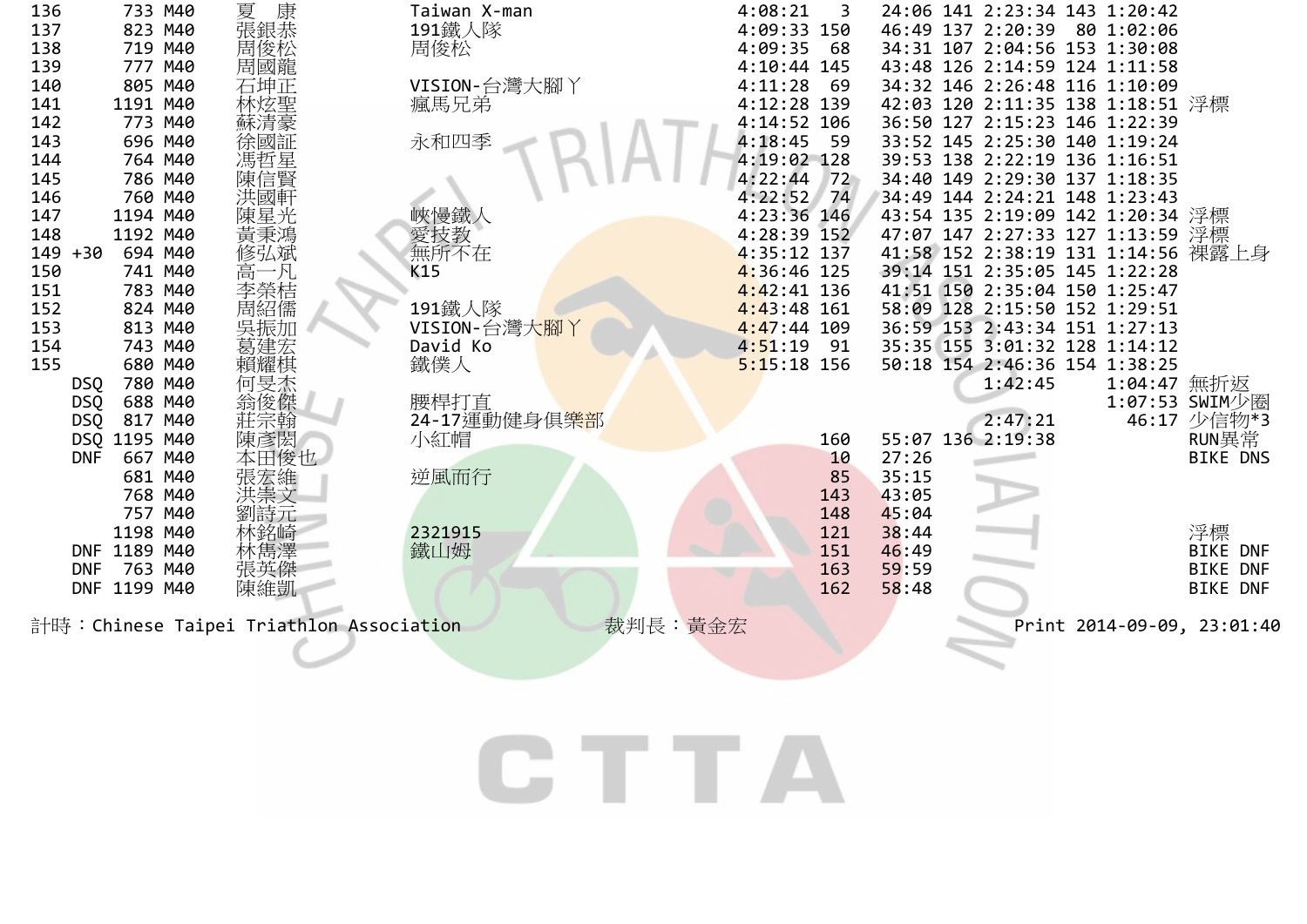| 136          | 733 M40      | 康<br>夏                                   | Taiwan X-man               | 4:08:21       | 3   |       | 24:06 141 2:23:34 143 1:20:42      |             |                            |
|--------------|--------------|------------------------------------------|----------------------------|---------------|-----|-------|------------------------------------|-------------|----------------------------|
| 137          | 823 M40      | 張銀恭<br>周俊松                               | 191鐵人隊                     | 4:09:33 150   |     |       | 46:49 137 2:20:39 80 1:02:06       |             |                            |
| 138          | 719 M40      |                                          | 周俊松                        | 4:09:35       | 68  |       | 34:31 107 2:04:56 153 1:30:08      |             |                            |
| 139          | 777 M40      | 周國龍                                      |                            | 4:10:44 145   |     |       | 43:48 126 2:14:59 124 1:11:58      |             |                            |
| 140          | 805 M40      | 石坤正                                      | VISION-台灣大腳丫               | 4:11:28       | -69 |       | 34:32 146 2:26:48 116 1:10:09      |             |                            |
| 141          | 1191 M40     |                                          | 瘋馬兄弟                       | 4:12:28 139   |     |       | 42:03 120 2:11:35 138 1:18:51 浮標   |             |                            |
| 142          | 773 M40      |                                          |                            | 4:14:52 106   |     |       | 36:50 127 2:15:23 146 1:22:39      |             |                            |
| 143          | 696 M40      |                                          | 永和四季                       | 4:18:45       | 59  |       | 33:52 145 2:25:30 140 1:19:24      |             |                            |
| 144          | 764 M40      |                                          |                            | 4:19:02 128   |     |       | 39:53 138 2:22:19 136 1:16:51      |             |                            |
| 145          | 786 M40      |                                          |                            | 4:22:44       | 72  |       | 34:40 149 2:29:30 137 1:18:35      |             |                            |
| 146          | 760 M40      |                                          |                            | 4:22:52       | 74  |       | 34:49 144 2:24:21 148 1:23:43      |             |                            |
| 147          | 1194 M40     | 陳星光                                      | 峽慢鐵人                       | 4:23:36 146   |     |       | 43:54 135 2:19:09 142 1:20:34 浮標   |             |                            |
| 148          | 1192 M40     | 黃秉鴻                                      | 愛技教                        | 4:28:39 152   |     |       | 47:07 147 2:27:33 127 1:13:59 浮標   |             |                            |
| 149<br>$+30$ | 694 M40      | 修弘斌                                      | 無所不在                       | 4:35:12 137   |     |       | 41:58 152 2:38:19 131 1:14:56 裸露上身 |             |                            |
| 150          | 741 M40      | 高一凡                                      | K15                        | 4:36:46 125   |     |       | 39:14 151 2:35:05 145 1:22:28      |             |                            |
| 151          | 783 M40      | 李榮桔                                      |                            | 4:42:41 136   |     |       | 41:51 150 2:35:04 150 1:25:47      |             |                            |
| 152          | 824 M40      | 周紹儒                                      | 191鐵人隊                     | $4:43:48$ 161 |     |       | 58:09 128 2:15:50 152 1:29:51      |             |                            |
| 153          | 813 M40      | 吳振加                                      | VISION-台灣大腳丫               | $4:47:44$ 109 |     |       | 36:59 153 2:43:34 151 1:27:13      |             |                            |
| 154          | 743 M40      |                                          | David Ko                   | 4:51:19       | 91  |       | 35:35 155 3:01:32 128 1:14:12      |             |                            |
| 155          | 680 M40      | 賴耀棋                                      | 鐵僕人                        | $5:15:18$ 156 |     |       | 50:18 154 2:46:36 154 1:38:25      |             |                            |
| <b>DSQ</b>   | 780 M40      | 何旻杰                                      |                            |               |     |       | 1:42:45                            | 1:04:47 無折返 |                            |
| <b>DSQ</b>   | 688 M40      | 翁俊傑                                      | 腰桿打直                       |               |     |       |                                    |             | 1:07:53 SWIM少圈             |
| <b>DSQ</b>   | 817 M40      | 荘宗翰                                      | 24-17運動健身俱 <mark>樂部</mark> |               |     |       | 2:47:21                            |             | 46:17 少信物*3                |
|              | DSQ 1195 M40 | 陳彥閎                                      | 小紅帽                        |               | 160 |       | 55:07 136 2:19:38                  |             | RUN異常                      |
| <b>DNF</b>   | 667 M40      | 本田俊也                                     |                            |               | 10  | 27:26 |                                    |             | <b>BIKE DNS</b>            |
|              | 681 M40      |                                          | 逆風而行                       |               | 85  | 35:15 |                                    |             |                            |
|              | 768 M40      |                                          |                            |               | 143 | 43:05 |                                    |             |                            |
|              | 757 M40      | 劉詩元                                      |                            |               | 148 | 45:04 |                                    |             |                            |
|              | 1198 M40     | 木銘崎                                      | 2321915                    |               | 121 | 38:44 |                                    |             | 浮標                         |
|              | DNF 1189 M40 |                                          | 鐵山姆                        |               | 151 | 46:49 |                                    |             | <b>BIKE DNF</b>            |
| <b>DNF</b>   | 763 M40      | 張英傑                                      |                            |               | 163 | 59:59 |                                    |             | <b>BIKE DNF</b>            |
| <b>DNF</b>   | 1199 M40     | 陳維凱                                      |                            |               | 162 | 58:48 |                                    |             | <b>BIKE DNF</b>            |
|              |              | 計時: Chinese Taipei Triathlon Association | 裁判長:黃金宏                    |               |     |       |                                    |             | Print 2014-09-09, 23:01:40 |
|              |              |                                          |                            |               |     |       |                                    |             |                            |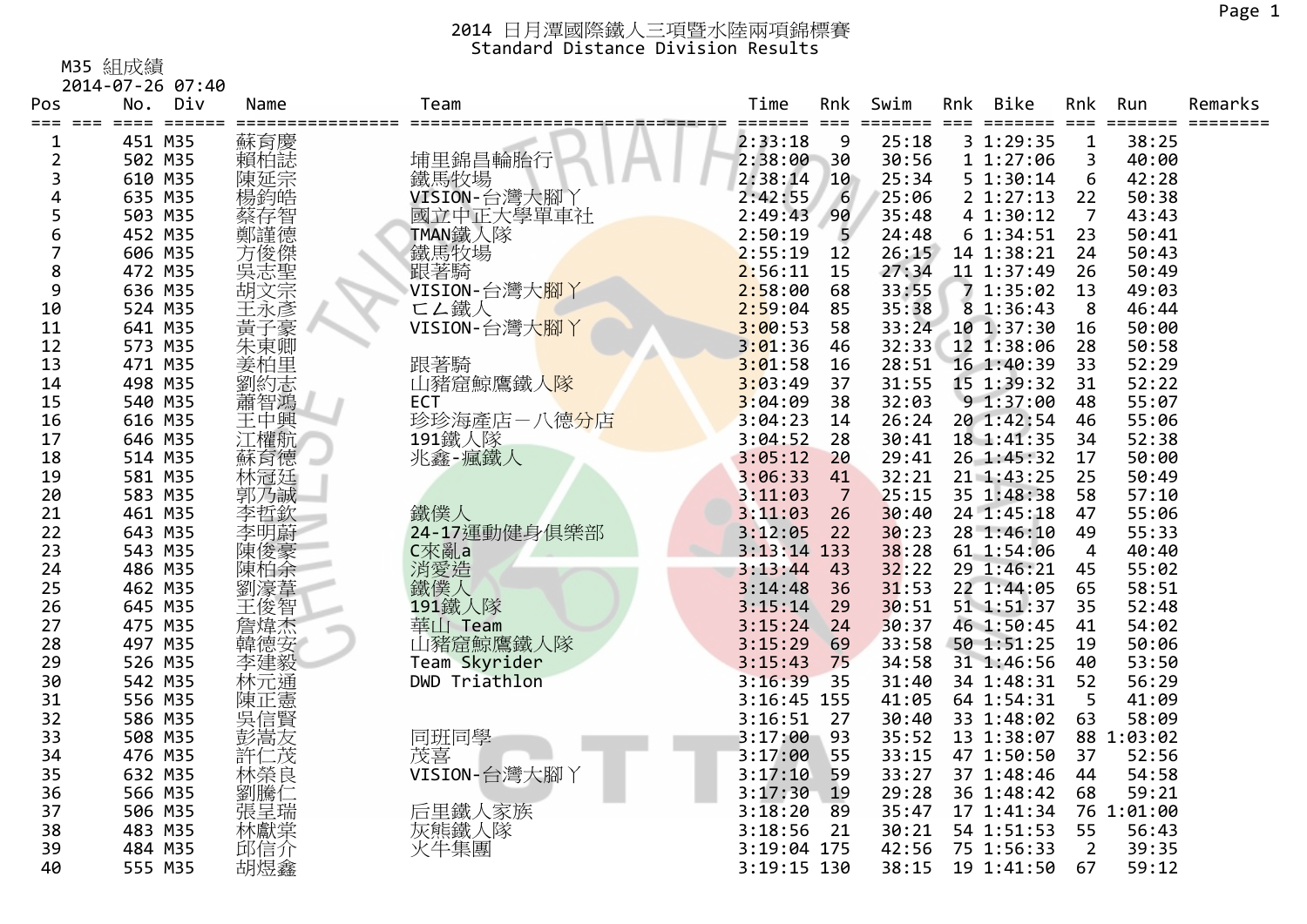M35 組成績

|                         | 2014-07-26 07:40 |            |               |               |     |       |     |            |                |            |         |
|-------------------------|------------------|------------|---------------|---------------|-----|-------|-----|------------|----------------|------------|---------|
| Pos                     | No.<br>Div       | Name       | Team          | Time          | Rnk | Swim  | Rnk | Bike       | Rnk            | Run        | Remarks |
| $===$                   |                  |            |               | ----          |     |       |     | $===$      | $===$          |            |         |
| 1                       | 451 M35          | 蘇育慶        |               | 2:33:18       | 9   | 25:18 |     | 3 1:29:35  | 1              | 38:25      |         |
| $\overline{\mathbf{c}}$ | 502 M35          | 賴柏誌        | 埔里錦昌輪胎行       | 2:38:00       | 30  | 30:56 |     | 11:27:06   | 3              | 40:00      |         |
| 3                       | 610 M35          | 陳延宗        | 鐵馬牧場          | 2:38:14       | 10  | 25:34 |     | 5 1:30:14  | 6              | 42:28      |         |
| 4                       | 635 M35          | 楊鈞皓        | VISION-台灣大腳   | 2:42:55       | 6   | 25:06 |     | 2 1:27:13  | 22             | 50:38      |         |
| 5                       | 503 M35          | 蔡存智        | 國立中正大學單車社     | 2:49:43       | 90  | 35:48 |     | 4 1:30:12  | $\overline{7}$ | 43:43      |         |
| 6                       | 452 M35          | 鄭謹德<br>方俊傑 | TMAN鐵人隊       | 2:50:19       | 5   | 24:48 |     | 61:34:51   | 23             | 50:41      |         |
| 7                       | 606 M35          |            | 鐵馬牧場          | 2:55:19       | 12  | 26:15 |     | 14 1:38:21 | 24             | 50:43      |         |
| 8                       | 472 M35          | 吳志聖<br>胡文宗 | 跟著騎           | 2:56:11       | 15  | 27:34 |     | 11 1:37:49 | 26             | 50:49      |         |
| 9                       | 636 M35          |            | VISION-台灣大腳丫  | 2:58:00       | 68  | 33:55 |     | 7 1:35:02  | 13             | 49:03      |         |
| 10                      | 524 M35          | 王永彥        | □∠鐵人          | 2:59:04       | 85  | 35:38 |     | 8 1:36:43  | 8              | 46:44      |         |
| 11                      | 641 M35          | 黃子豪        | VISION-台灣大腳丫  | 3:00:53       | 58  | 33:24 |     | 10 1:37:30 | 16             | 50:00      |         |
| 12                      | 573 M35          | 朱東卿        |               | 3:01:36       | 46  | 32:33 |     | 12 1:38:06 | 28             | 50:58      |         |
| 13                      | 471 M35          | 姜柏里        | 跟著騎           | 3:01:58       | 16  | 28:51 |     | 16 1:40:39 | 33             | 52:29      |         |
| 14                      | 498 M35          | 劉約志        | 山豬窟鯨鷹鐵人隊      | 3:03:49       | 37  | 31:55 |     | 15 1:39:32 | 31             | 52:22      |         |
| 15                      | 540 M35          | 蕭智鴻        | <b>ECT</b>    | 3:04:09       | 38  | 32:03 |     | 91:37:00   | 48             | 55:07      |         |
| 16                      | 616 M35          | 王中興        | 珍珍海產店-八德分店    | 3:04:23       | 14  | 26:24 |     | 20 1:42:54 | 46             | 55:06      |         |
| 17                      | 646 M35          | 江權航        | 191鐵人隊        | 3:04:52       | 28  | 30:41 |     | 18 1:41:35 | 34             | 52:38      |         |
| 18                      | 514 M35          | 蘇育德        | 兆鑫-瘋鐵人        | 3:05:12       | 20  | 29:41 |     | 26 1:45:32 | 17             | 50:00      |         |
| 19                      | 581 M35          | 林冠廷        |               | 3:06:33       | 41  | 32:21 |     | 21 1:43:25 | 25             | 50:49      |         |
| 20                      | 583 M35          | 郭乃誠        |               | 3:11:03       | 7   | 25:15 |     | 35 1:48:38 | 58             | 57:10      |         |
| 21                      | 461 M35          | 李哲欽        | 鐵僕人           | 3:11:03       | 26  | 30:40 |     | 24 1:45:18 | 47             | 55:06      |         |
| 22                      | 643 M35          | 李明蔚        | 24-17運動健身俱樂部  | 3:12:05       | 22  | 30:23 |     | 28 1:46:10 | 49             | 55:33      |         |
| 23                      | 543 M35          | 陳俊豪        | C來亂a          | $3:13:14$ 133 |     | 38:28 |     | 61 1:54:06 | 4              | 40:40      |         |
| 24                      | 486 M35          | 陳柏余        | 消愛造           | 3:13:44       | 43  | 32:22 |     | 29 1:46:21 | 45             | 55:02      |         |
| 25                      | 462 M35          | 劉濠葦        | 鐵僕人           | 3:14:48       | 36  | 31:53 |     | 22 1:44:05 | 65             | 58:51      |         |
| 26                      | 645 M35          | 王俊智        | 191鐵人隊        | 3:15:14       | 29  | 30:51 |     | 51 1:51:37 | 35             | 52:48      |         |
| 27                      | 475 M35          | 詹煒杰        | 華山 Team       | 3:15:24       | 24  | 30:37 |     | 46 1:50:45 | 41             | 54:02      |         |
| 28                      | 497 M35          | 韓德安        | 山豬窟鯨鷹鐵人隊      | 3:15:29       | 69  | 33:58 |     | 50 1:51:25 | 19             | 50:06      |         |
| 29                      | 526 M35          | 李建毅        | Team Skyrider | 3:15:43       | 75  | 34:58 |     | 31 1:46:56 | 40             | 53:50      |         |
| 30                      | 542 M35          | 林元通        | DWD Triathlon | 3:16:39       | 35  | 31:40 |     | 34 1:48:31 | 52             | 56:29      |         |
| 31                      | 556 M35          | 陳正憲        |               | 3:16:45 155   |     | 41:05 |     | 64 1:54:31 | 5              | 41:09      |         |
| 32                      | 586 M35          | 吳信賢        |               | 3:16:51       | 27  | 30:40 |     | 33 1:48:02 | 63             | 58:09      |         |
| 33                      | 508 M35          | 彭嵩友        | 同班同學          | 3:17:00       | 93  | 35:52 |     | 13 1:38:07 |                | 88 1:03:02 |         |
| 34                      | 476 M35          | 許仁茂        | 茂喜            | 3:17:00       | 55  | 33:15 |     | 47 1:50:50 | 37             | 52:56      |         |
| 35                      | 632 M35          | 林榮良        | VISION-台灣大腳)  | 3:17:10       | 59  | 33:27 |     | 37 1:48:46 | 44             | 54:58      |         |
| 36                      | 566 M35          |            |               | 3:17:30       | 19  | 29:28 |     | 36 1:48:42 | 68             | 59:21      |         |
| 37                      | 506 M35          | 劉騰仁        | 后里鐵人家族        | 3:18:20       | 89  | 35:47 |     | 17 1:41:34 |                | 76 1:01:00 |         |
| 38                      | 483 M35          | 林獻棠        | 灰熊鐵人隊         | 3:18:56       | 21  | 30:21 |     | 54 1:51:53 | 55             | 56:43      |         |
| 39                      | 484 M35          | 邱信介        | 火牛集團          | 3:19:04 175   |     | 42:56 |     | 75 1:56:33 | $\overline{2}$ | 39:35      |         |
| 40                      | 555 M35          | 胡煜鑫        |               | 3:19:15 130   |     | 38:15 |     | 19 1:41:50 | 67             | 59:12      |         |
|                         |                  |            |               |               |     |       |     |            |                |            |         |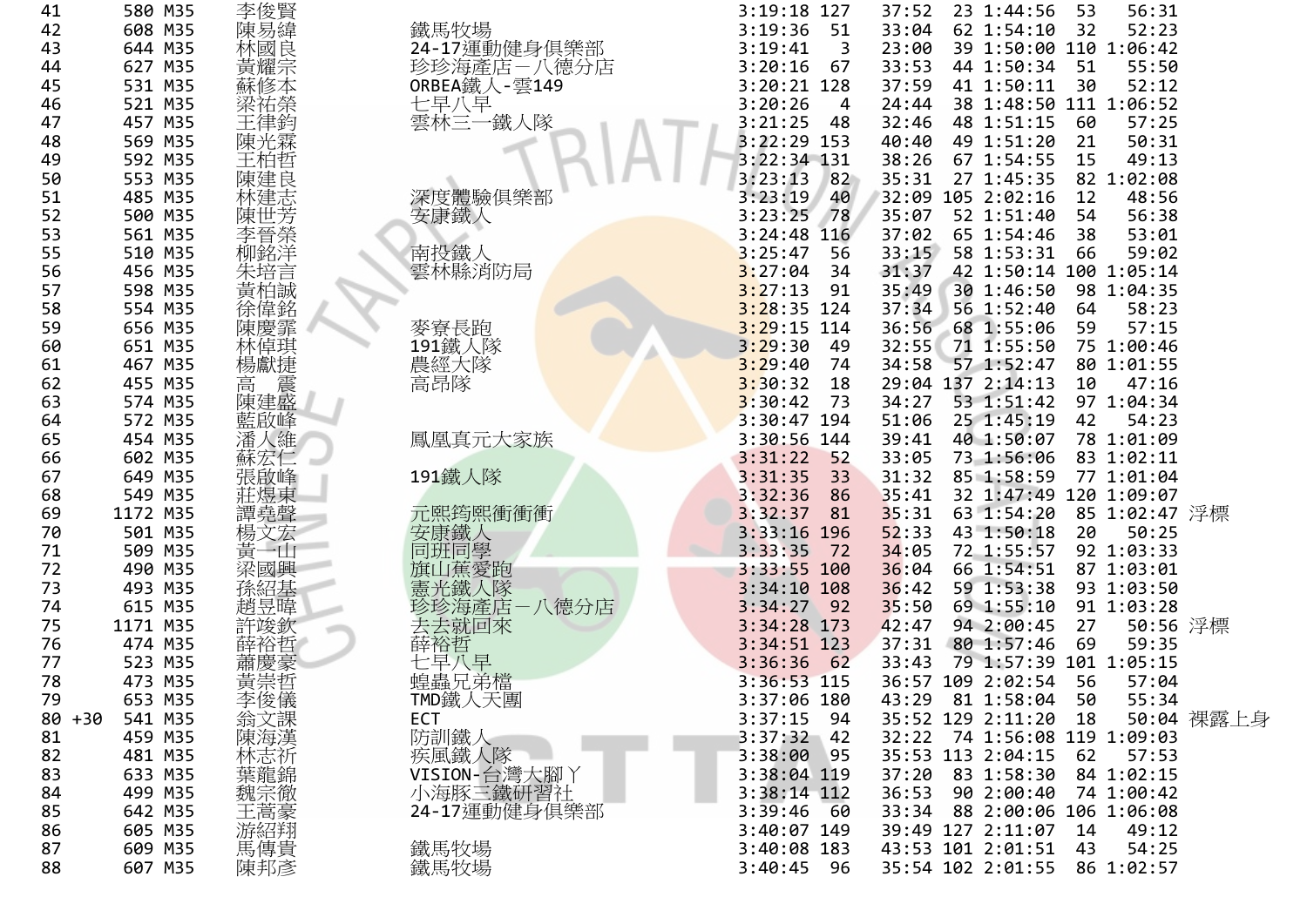| 41        | 580 M35  | 李俊賢                            |                | 3:19:18 127     | 37:52 | 23 1:44:56        | 53 | 56:31                        |            |
|-----------|----------|--------------------------------|----------------|-----------------|-------|-------------------|----|------------------------------|------------|
| 42        | 608 M35  | 陳易緯                            | 鐵馬牧場           | 3:19:36<br>51   | 33:04 | 62 1:54:10        | 32 | 52:23                        |            |
| 43        | 644 M35  | 林國良                            | 24-17運動健身俱樂部   | 3:19:41<br>3    | 23:00 |                   |    | 39 1:50:00 110 1:06:42       |            |
| 44        | 627 M35  | 黃耀宗                            | 珍珍海產店一八德分店     | 3:20:16<br>67   | 33:53 | 44 1:50:34        | 51 | 55:50                        |            |
| 45        | 531 M35  | 蘇修本                            | 0RBEA鐵人-雲149   | 3:20:21 128     | 37:59 | 41 1:50:11        | 30 | 52:12                        |            |
| 46        | 521 M35  | 梁祐榮                            | 七早八早           | 3:20:26<br>4    | 24:44 |                   |    | 38 1:48:50 111 1:06:52       |            |
| 47        | 457 M35  | 王律鈞                            | 雲林三一鐵人隊        | 3:21:25<br>48   | 32:46 | 48 1:51:15        | 60 | 57:25                        |            |
| 48        | 569 M35  | 陳光霖                            |                | $3:22:29$ 153   | 40:40 | 49 1:51:20        | 21 | 50:31                        |            |
| 49        | 592 M35  | 王柏哲                            |                | 3:22:34 131     | 38:26 | 67 1:54:55        | 15 | 49:13                        |            |
| 50        | 553 M35  | 陳建良                            |                | 82<br>3:23:13   | 35:31 | 27 1:45:35        |    | 82 1:02:08                   |            |
| 51        | 485 M35  | 林建志                            | 深度體驗俱樂部        | 3:23:19<br>40   |       | 32:09 105 2:02:16 | 12 | 48:56                        |            |
| 52        | 500 M35  | 陳世芳                            | 安康鐵人           | 3:23:25<br>78   | 35:07 | 52 1:51:40        | 54 | 56:38                        |            |
| 53        | 561 M35  | 李晉榮                            |                | 3:24:48<br>116  | 37:02 | 65 1:54:46        | 38 | 53:01                        |            |
| 55        | 510 M35  | 柳銘洋                            | 南投鐵人           | 3:25:47<br>56   | 33:15 | 58 1:53:31        | 66 | 59:02                        |            |
| 56        | 456 M35  |                                | 雲林縣消防局         | 3:27:04<br>34   | 31:37 |                   |    | 42 1:50:14 100 1:05:14       |            |
| 57        | 598 M35  | 朱培言<br>黄柏誠                     |                | 3:27:13<br>91   | 35:49 | 30 1:46:50        |    | 98 1:04:35                   |            |
| 58        | 554 M35  |                                |                | $3:28:35$ 124   | 37:34 | 56 1:52:40        | 64 | 58:23                        |            |
| 59        | 656 M35  | 徐偉銘<br>陳慶霏                     | 麥寮長跑           | $3:29:15$ 114   | 36:56 | 68 1:55:06        | 59 | 57:15                        |            |
| 60        | 651 M35  | 林倬琪                            | 191鐵人隊         | 3:29:30<br>49   | 32:55 | 71 1:55:50        |    | 75 1:00:46                   |            |
| 61        | 467 M35  | 楊獻捷                            | 農經大隊           | 3:29:40<br>74   | 34:58 | 57 1:52:47        |    | 80 1:01:55                   |            |
| 62        | 455 M35  | 震<br>高                         | 高昂隊            | 3:30:32<br>18   |       | 29:04 137 2:14:13 | 10 | 47:16                        |            |
| 63        | 574 M35  | 陳建盛                            |                | 3:30:42<br>73   | 34:27 | 53 1:51:42        |    | 97 1:04:34                   |            |
| 64        | 572 M35  | 藍啟峰                            |                | 3:30:47 194     | 51:06 | 25 1:45:19        | 42 | 54:23                        |            |
| 65        | 454 M35  |                                |                | 3:30:56 144     | 39:41 | 40 1:50:07        |    | 78 1:01:09                   |            |
|           | 602 M35  | 潘人維                            | 鳳凰真元大家族        | 3:31:22<br>52   | 33:05 | 73 1:56:06        |    | 83 1:02:11                   |            |
| 66        | 649 M35  | 蘇宏仁                            |                | 3:31:35         | 31:32 | 85 1:58:59        |    | 77 1:01:04                   |            |
| 67        |          | 張啟峰                            | 191鐵人隊         | 33<br>3:32:36   |       |                   |    | 120 1:09:07                  |            |
| 68        | 549 M35  | 莊煜東                            |                | 86              | 35:41 | 32 1:47:49        |    |                              |            |
| 69        | 1172 M35 | 譚堯聲                            | 元熙筠熙衝衝衝        | 3:32:37<br>81   | 35:31 | 63 1:54:20        |    | 85 1:02:47 浮標                |            |
| 70        | 501 M35  | 楊文宏                            | 安康鐵人           | $3:33:16$ 196   | 52:33 | 43 1:50:18        | 20 | 50:25                        |            |
| 71        | 509 M35  | 黃一山                            | 同班同學           | 3:33:35<br>72   | 34:05 | 72 1:55:57        |    | 92 1:03:33                   |            |
| 72        | 490 M35  | 梁國興                            | 旗山蕉愛跑          | 3:33:55 100     | 36:04 | 66 1:54:51        |    | 87 1:03:01                   |            |
| 73        | 493 M35  | 孫紹基                            | 憲光鐵人隊          | $3:34:10$ 108   | 36:42 | 59 1:53:38        |    | 93 1:03:50                   |            |
| 74        | 615 M35  | 趙昱暐                            | 珍珍海產店<br>-八德分店 | 3:34:27<br>92   | 35:50 | 69 1:55:10        |    | 91 1:03:28                   |            |
| 75        | 1171 M35 | 許竣欽                            | 去去就回來          | 3:34:28 173     | 42:47 | 94 2:00:45        | 27 | 50:56 浮標                     |            |
| 76        | 474 M35  | 薛裕哲                            | 薛裕哲            | 3:34:51 123     | 37:31 | 80 1:57:46        | 69 | 59:35                        |            |
| 77        | 523 M35  | 蕭慶豪                            | 七早八早<br>蝗蟲兄弟檔  | 3:36:36<br>62   | 33:43 |                   |    | 79 1:57:39 101 1:05:15       |            |
| 78        | 473 M35  | 黃崇哲                            |                | 3:36:53 115     |       | 36:57 109 2:02:54 | 56 | 57:04                        |            |
| 79        | 653 M35  |                                | TMD鐵人天團        | 3:37:06 180     |       | 43:29 81 1:58:04  | 50 | 55:34                        |            |
| $80 + 30$ | 541 M35  |                                | <b>ECT</b>     | 3:37:15<br>- 94 |       | 35:52 129 2:11:20 | 18 |                              | 50:04 裸露上身 |
| 81        | 459 M35  |                                | 防訓鐵人           | $3:37:32$ 42    |       |                   |    | 32:22 74 1:56:08 119 1:09:03 |            |
| 82        | 481 M35  | K李翁陳林葉魏Hel儀課漢<br>宋俊文海志龍宗蓋      | 疾風鐵人隊          | 3:38:00<br>95   |       | 35:53 113 2:04:15 | 62 | 57:53                        |            |
| 83        | 633 M35  |                                | VISION-台灣大腳丫   | 3:38:04 119     |       | 37:20 83 1:58:30  |    | 84 1:02:15                   |            |
| 84        | 499 M35  |                                | 小海豚三鐵研習社       | 3:38:14 112     | 36:53 | 90 2:00:40        |    | 74 1:00:42                   |            |
| 85        | 642 M35  |                                | 24-17運動健身俱樂部   | 3:39:46<br>- 60 |       |                   |    | 33:34 88 2:00:06 106 1:06:08 |            |
| 86        | 605 M35  | 《王游萬傳邦<br>馬福傳<br>陳邦<br>陳邦<br>陳 |                | 3:40:07 149     |       | 39:49 127 2:11:07 | 14 | 49:12                        |            |
| 87        | 609 M35  |                                | 鐵馬牧場           | 3:40:08 183     |       | 43:53 101 2:01:51 | 43 | 54:25                        |            |
| 88        | 607 M35  |                                | 鐵馬牧場           | $3:40:45$ 96    |       | 35:54 102 2:01:55 |    | 86 1:02:57                   |            |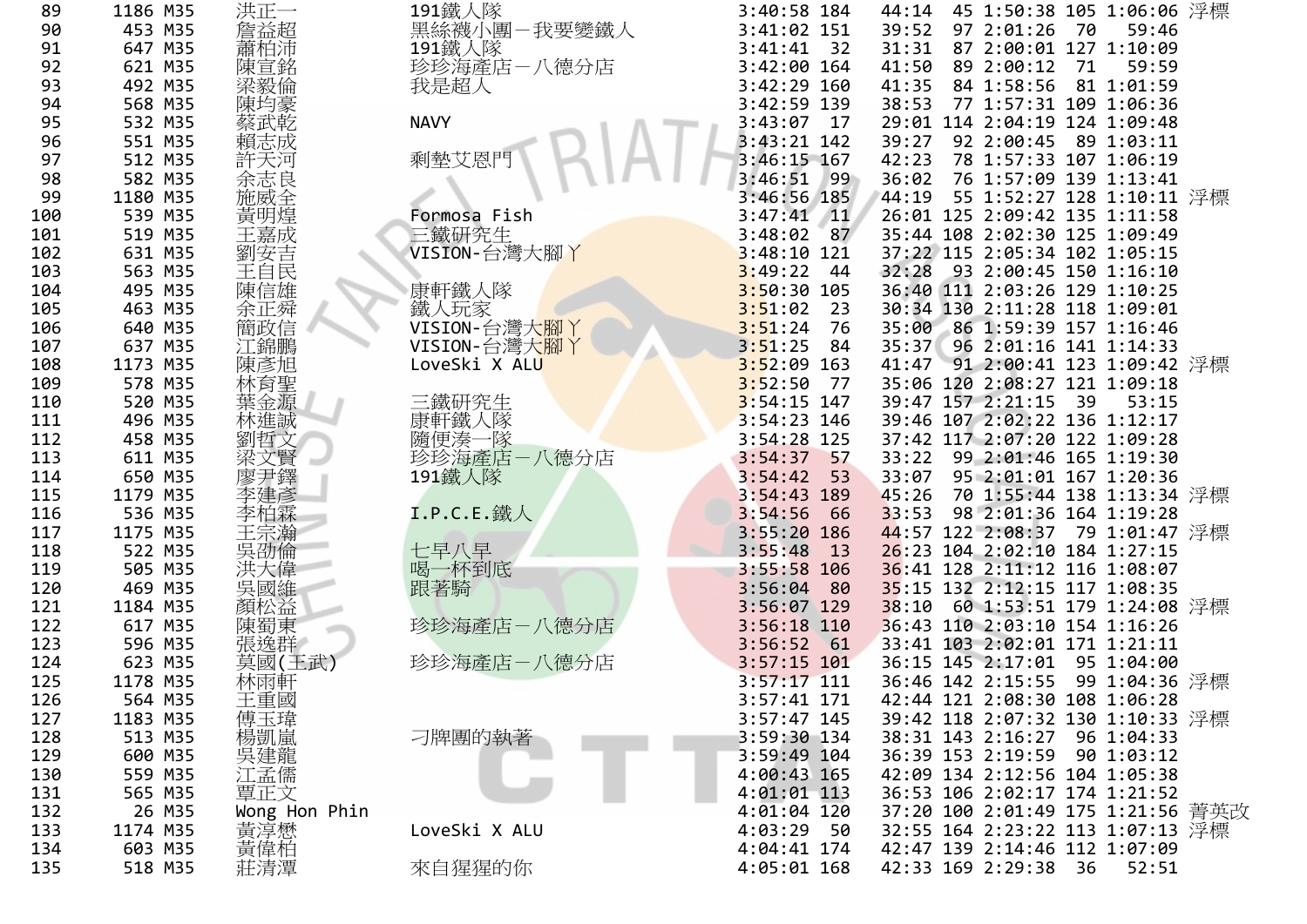| 89  | 1186 M35 | 洪正一                                                                                                                | 191鐵人隊                     | 3:40:58 184            |       | 44:14 45 1:50:38 105 1:06:06 浮標   |    |            |  |
|-----|----------|--------------------------------------------------------------------------------------------------------------------|----------------------------|------------------------|-------|-----------------------------------|----|------------|--|
| 90  | 453 M35  | 詹益超                                                                                                                | 黑絲襪小團-我要變鐵人                | 3:41:02 151            |       | 39:52 97 2:01:26                  | 70 | 59:46      |  |
| 91  | 647 M35  | 蕭柏沛                                                                                                                | 191鐵人隊                     | 3:41:41<br>32          | 31:31 | 87 2:00:01 127 1:10:09            |    |            |  |
| 92  | 621 M35  | 陳宣銘                                                                                                                | 珍珍海產店一八德分店                 | 3:42:00 164            | 41:50 | 89 2:00:12                        | 71 | 59:59      |  |
| 93  | 492 M35  | 梁毅倫                                                                                                                | 我是超人                       | 3:42:29 160            | 41:35 | 84 1:58:56                        |    | 81 1:01:59 |  |
| 94  | 568 M35  | 陳均豪                                                                                                                |                            | 3:42:59 139            | 38:53 | 77 1:57:31 109 1:06:36            |    |            |  |
| 95  | 532 M35  | 蔡武乾                                                                                                                | <b>NAVY</b>                | 3:43:07<br>17          |       | 29:01 114 2:04:19 124 1:09:48     |    |            |  |
| 96  | 551 M35  | 賴志成                                                                                                                |                            | $3:43:21$ 142          | 39:27 | 92 2:00:45 89 1:03:11             |    |            |  |
| 97  | 512 M35  | 許天河                                                                                                                | 剩墊艾恩門                      | $3:46:15$ 167          | 42:23 | 78 1:57:33 107 1:06:19            |    |            |  |
| 98  | 582 M35  |                                                                                                                    |                            | 3:46:51<br>99          | 36:02 | 76 1:57:09 139 1:13:41            |    |            |  |
|     |          | 余志良                                                                                                                |                            |                        |       |                                   |    |            |  |
| 99  | 1180 M35 | 施威全                                                                                                                |                            | 3:46:56 185            | 44:19 | 55 1:52:27 128 1:10:11 浮標         |    |            |  |
| 100 | 539 M35  | 黃明煌                                                                                                                | Formosa Fish               | 3:47:41<br>$\sqrt{11}$ |       | 26:01 125 2:09:42 135 1:11:58     |    |            |  |
| 101 | 519 M35  | 王嘉成                                                                                                                | 三鐵研究生                      | 3:48:02<br>87          |       | 35:44 108 2:02:30 125 1:09:49     |    |            |  |
| 102 | 631 M35  | 劉安吉<br>王自民                                                                                                         | VISION-台灣大腳丫               | $3:48:10$ 121          |       | 37:22 115 2:05:34 102 1:05:15     |    |            |  |
| 103 | 563 M35  |                                                                                                                    |                            | 3:49:22<br>- 44        |       | 32:28 93 2:00:45 150 1:16:10      |    |            |  |
| 104 | 495 M35  | 陳信雄                                                                                                                | 康軒鐵人隊                      | $3:50:30$ 105          |       | 36:40 111 2:03:26 129 1:10:25     |    |            |  |
| 105 | 463 M35  | 余正舜                                                                                                                | 鐵人玩家                       | 3:51:02<br>23          |       | 30:34 130 2:11:28 118 1:09:01     |    |            |  |
| 106 | 640 M35  | 簡政信                                                                                                                | VISION-台灣大 <mark>腳丫</mark> | 3:51:24<br>76          |       | 35:00 86 1:59:39 157 1:16:46      |    |            |  |
| 107 | 637 M35  | 江錦鵬                                                                                                                | VISION-台灣大腳丫               | 3:51:25<br>84          |       | 35:37 96 2:01:16 141 1:14:33      |    |            |  |
| 108 | 1173 M35 | 陳彥旭                                                                                                                | LoveSki X ALU              | $3:52:09$ 163          |       | 41:47 91 2:00:41 123 1:09:42 浮標   |    |            |  |
| 109 | 578 M35  | 林育聖                                                                                                                |                            | 3:52:50<br>77          |       | 35:06 120 2:08:27 121 1:09:18     |    |            |  |
| 110 | 520 M35  | 葉金源                                                                                                                | 三鐵研究生                      | $3:54:15$ 147          |       | 39:47 157 2:21:15 39              |    | 53:15      |  |
| 111 | 496 M35  | 林進誠                                                                                                                | 康軒鐵人隊                      | $3:54:23$ 146          |       | 39:46 107 2:02:22 136 1:12:17     |    |            |  |
| 112 | 458 M35  | 劉哲文                                                                                                                |                            | $3:54:28$ 125          |       | 37:42 117 2:07:20 122 1:09:28     |    |            |  |
| 113 | 611 M35  |                                                                                                                    | 隨便湊一隊<br>珍珍海產店-八德分店        | 3:54:37<br>57          |       | 33:22 99 2:01:46 165 1:19:30      |    |            |  |
| 114 | 650 M35  | 廖尹鐸                                                                                                                | 191鐵人隊                     | 3:54:42<br>- 53        | 33:07 | 95 2:01:01 167 1:20:36            |    |            |  |
| 115 | 1179 M35 | 李建彥                                                                                                                |                            | 3:54:43 189            | 45:26 | 70 1:55:44 138 1:13:34 浮標         |    |            |  |
|     |          |                                                                                                                    |                            |                        |       |                                   |    |            |  |
| 116 | 536 M35  | 李柏霖                                                                                                                | $\tt I.P.C.E.$ 鐵人          | 3:54:56<br>66          |       | 33:53 98 2:01:36 164 1:19:28      |    |            |  |
| 117 | 1175 M35 | 王宗瀚                                                                                                                |                            | $3:55:20$ 186          |       | 44:57 122 2:08:37 79 1:01:47 浮標   |    |            |  |
| 118 | 522 M35  | 吳劭倫                                                                                                                | 七早八早                       | 3:55:48<br>13          |       | 26:23 104 2:02:10 184 1:27:15     |    |            |  |
| 119 | 505 M35  | 洪大偉                                                                                                                | 喝一杯到底                      | 3:55:58 106            |       | 36:41 128 2:11:12 116 1:08:07     |    |            |  |
| 120 | 469 M35  | 吳國維                                                                                                                | 跟著騎                        | 3:56:04<br>80          |       | 35:15 132 2:12:15 117 1:08:35     |    |            |  |
| 121 | 1184 M35 | 顏松益                                                                                                                |                            | 3:56:07 129            | 38:10 | 60 1:53:51 179 1:24:08 浮標         |    |            |  |
| 122 | 617 M35  | 陳蜀東                                                                                                                | 珍珍海產店-八德分店                 | $3:56:18$ 110          |       | 36:43 110 2:03:10 154 1:16:26     |    |            |  |
| 123 | 596 M35  | 張逸群                                                                                                                |                            | 3:56:52<br>61          |       | 33:41 103 2:02:01 171 1:21:11     |    |            |  |
| 124 | 623 M35  | 莫國(王武)                                                                                                             | 珍珍海產店-八德分店                 | $3:57:15$ 101          |       | 36:15 145 2:17:01 95 1:04:00      |    |            |  |
| 125 | 1178 M35 | 林雨軒                                                                                                                |                            | $3:57:17$ 111          |       | 36:46 142 2:15:55 99 1:04:36 浮標   |    |            |  |
| 126 | 564 M35  | 王重國                                                                                                                |                            | 3:57:41 171            |       | 42:44 121 2:08:30 108 1:06:28     |    |            |  |
| 127 | 1183 M35 |                                                                                                                    |                            | 3:57:47 145            |       | 39:42 118 2:07:32 130 1:10:33 浮標  |    |            |  |
| 128 | 513 M35  | 傅揚建龍                                                                                                               | 刁牌團的執著                     | 3:59:30 134            |       | 38:31 143 2:16:27 96 1:04:33      |    |            |  |
| 129 | 600 M35  |                                                                                                                    |                            | 3:59:49 104            |       | 36:39 153 2:19:59                 |    | 90 1:03:12 |  |
| 130 | 559 M35  | 江孟儒                                                                                                                |                            | 4:00:43 165            |       | 42:09 134 2:12:56 104 1:05:38     |    |            |  |
| 131 | 565 M35  | 覃正文                                                                                                                |                            | 4:01:01 113            |       | 36:53 106 2:02:17 174 1:21:52     |    |            |  |
| 132 | 26 M35   |                                                                                                                    |                            | 4:01:04 120            |       | 37:20 100 2:01:49 175 1:21:56 菁英改 |    |            |  |
|     |          | Wong Hon Phin                                                                                                      |                            |                        |       |                                   |    |            |  |
| 133 | 1174 M35 |                                                                                                                    | LoveSki X ALU              | 4:03:29 50             |       | 32:55 164 2:23:22 113 1:07:13 浮標  |    |            |  |
| 134 | 603 M35  | 黃淳<br><br><br><br><br><br><br><br><br><br><br><br><br><br><br><br><br><br><br><br><br><br><br><br><br><br><br><br> |                            | 4:04:41 174            |       | 42:47 139 2:14:46 112 1:07:09     |    |            |  |
| 135 | 518 M35  |                                                                                                                    | 來自猩猩的你                     | 4:05:01 168            |       | 42:33 169 2:29:38 36              |    | 52:51      |  |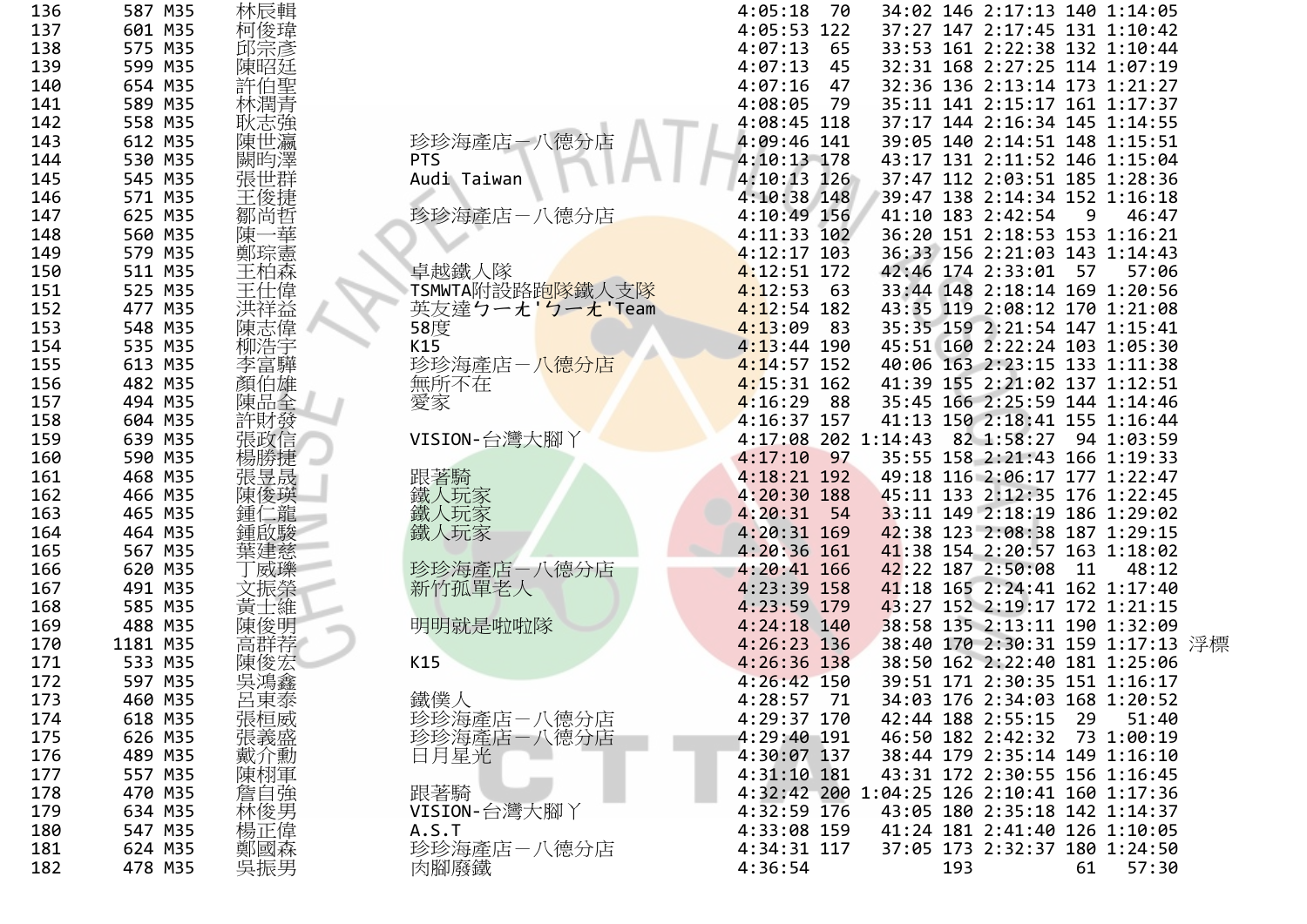| 136 | 587 M35  | 林辰輯                                                                                                        |                          | 34:02 146 2:17:13 140 1:14:05<br>4:05:18<br>- 70  |  |
|-----|----------|------------------------------------------------------------------------------------------------------------|--------------------------|---------------------------------------------------|--|
| 137 | 601 M35  | 柯俊瑋                                                                                                        |                          | 37:27 147 2:17:45 131 1:10:42<br>4:05:53 122      |  |
| 138 | 575 M35  | 邱宗彥                                                                                                        |                          | 4:07:13<br>33:53 161 2:22:38 132 1:10:44<br>65    |  |
| 139 | 599 M35  | 陳昭廷                                                                                                        |                          | 4:07:13<br>32:31 168 2:27:25 114 1:07:19<br>45    |  |
| 140 | 654 M35  | 許伯聖                                                                                                        |                          | $4:07:16$ 47<br>32:36 136 2:13:14 173 1:21:27     |  |
| 141 | 589 M35  | 林潤青                                                                                                        |                          | 4:08:05<br>35:11 141 2:15:17 161 1:17:37<br>79    |  |
| 142 | 558 M35  | 耿志強                                                                                                        |                          | 4:08:45 118<br>37:17 144 2:16:34 145 1:14:55      |  |
| 143 | 612 M35  | 陳世瀛                                                                                                        | 珍珍海產店一八德分店               | 4:09:46 141<br>39:05 140 2:14:51 148 1:15:51      |  |
| 144 | 530 M35  | 闕昀澤                                                                                                        | <b>PTS</b>               | 4:10:13 178<br>43:17 131 2:11:52 146 1:15:04      |  |
| 145 | 545 M35  | 張世群                                                                                                        | Audi Taiwan              | $4:10:13$ 126<br>37:47 112 2:03:51 185 1:28:36    |  |
| 146 | 571 M35  |                                                                                                            |                          | $4:10:38$ 148<br>39:47 138 2:14:34 152 1:16:18    |  |
| 147 | 625 M35  | 鄒尚哲                                                                                                        | 珍珍海產店-八德分店               | 4:10:49 156<br>41:10 183 2:42:54<br>9<br>46:47    |  |
| 148 | 560 M35  | −華<br>陳-                                                                                                   |                          | 36:20 151 2:18:53 153 1:16:21<br>$4:11:33$ 102    |  |
| 149 | 579 M35  | 鄭琮憲                                                                                                        |                          | $4:12:17$ 103<br>36:33 156 2:21:03 143 1:14:43    |  |
| 150 | 511 M35  | 王柏森                                                                                                        | 卓越鐵人隊                    | $4:12:51$ 172<br>42:46 174 2:33:01 57<br>57:06    |  |
| 151 | 525 M35  | 王仕偉                                                                                                        | TSMWTA附設路跑隊鐵人支隊          | $4:12:53$ 63<br>33:44 148 2:18:14 169 1:20:56     |  |
| 152 | 477 M35  | 洪祥益                                                                                                        | 英友達クーえ'クーえ'Team          | $4:12:54$ 182<br>43:35 119 2:08:12 170 1:21:08    |  |
| 153 | 548 M35  | 陳志偉                                                                                                        | 58度                      | $4:13:09$ 83<br>35:35 159 2:21:54 147 1:15:41     |  |
| 154 | 535 M35  | 柳浩宇                                                                                                        | K15                      | 45:51 160 2:22:24 103 1:05:30<br>$4:13:44$ 190    |  |
| 155 | 613 M35  | 李富驊                                                                                                        | 珍珍海產店-八 <mark>德分店</mark> | $4:14:57$ 152<br>40:06 163 2:23:15 133 1:11:38    |  |
| 156 | 482 M35  | 顏伯雄                                                                                                        | 無所不在                     | $4:15:31$ 162<br>41:39 155 2:21:02 137 1:12:51    |  |
| 157 | 494 M35  | 陳品全                                                                                                        | 愛家                       | $4:16:29$ 88<br>35:45 166 2:25:59 144 1:14:46     |  |
| 158 | 604 M35  | 許財發                                                                                                        |                          | 4:16:37 157<br>41:13 150 2:18:41 155 1:16:44      |  |
| 159 | 639 M35  | 張政信                                                                                                        | VISION-台灣大腳 )            | 4:17:08 202 1:14:43 82 1:58:27 94 1:03:59         |  |
| 160 | 590 M35  |                                                                                                            |                          | $4:17:10$ 97<br>35:55 158 2:21:43 166 1:19:33     |  |
| 161 | 468 M35  | 張昱晟                                                                                                        | 跟著騎                      | 4:18:21 192<br>49:18 116 2:06:17 177 1:22:47      |  |
| 162 | 466 M35  | 陳俊瑛                                                                                                        | 鐵人玩家                     | 4:20:30 188<br>45:11 133 2:12:35 176 1:22:45      |  |
| 163 | 465 M35  |                                                                                                            | 鐵人玩家                     | 33:11 149 2:18:19 186 1:29:02<br>$4:20:31$ 54     |  |
| 164 | 464 M35  | 啟駿                                                                                                         | 鐵人玩家                     | $4:20:31$ 169<br>42:38 123 2:08:38 187 1:29:15    |  |
| 165 | 567 M35  | 葉建慈                                                                                                        |                          | $4:20:36$ 161<br>41:38 154 2:20:57 163 1:18:02    |  |
| 166 | 620 M35  | 威瓅                                                                                                         | 珍珍海產店-八德分店               | 42:22 187 2:50:08<br>4:20:41 166<br>- 11<br>48:12 |  |
| 167 | 491 M35  |                                                                                                            | 新竹孤單老人                   | 41:18 165 2:24:41 162 1:17:40<br>4:23:39 158      |  |
| 168 | 585 M35  | 士維<br>ਸ਼੍ਰਾਂ                                                                                               |                          | 4:23:59 179<br>43:27 152 2:19:17 172 1:21:15      |  |
| 169 | 488 M35  | 陳俊明                                                                                                        | 明明就是啦啦隊                  | 4:24:18 140<br>38:58 135 2:13:11 190 1:32:09      |  |
| 170 | 1181 M35 | 高群荐                                                                                                        |                          | 38:40 170 2:30:31 159 1:17:13 浮標<br>4:26:23 136   |  |
| 171 | 533 M35  |                                                                                                            | K15                      | 4:26:36 138<br>38:50 162 2:22:40 181 1:25:06      |  |
| 172 | 597 M35  | 吳鴻鑫                                                                                                        |                          | 39:51 171 2:30:35 151 1:16:17<br>$4:26:42$ 150    |  |
| 173 | 460 M35  | 呂東泰                                                                                                        |                          | 4:28:57 71<br>34:03 176 2:34:03 168 1:20:52       |  |
| 174 | 618 M35  | 張桓威                                                                                                        | 鐵僕人<br>珍珍海產店-八德分店        | 42:44 188 2:55:15<br>4:29:37 170<br>29<br>51:40   |  |
| 175 | 626 M35  | 張義盛                                                                                                        | 珍珍海產店-八德分店               | 46:50 182 2:42:32<br>4:29:40 191<br>73 1:00:19    |  |
| 176 | 489 M35  | 戴介勳                                                                                                        | 日月星光                     | 38:44 179 2:35:14 149 1:16:10<br>4:30:07 137      |  |
| 177 | 557 M35  |                                                                                                            |                          | $4:31:10$ 181<br>43:31 172 2:30:55 156 1:16:45    |  |
| 178 | 470 M35  | ·陳<br><br><br><br><br><br><br><br><br><br><br><br><br><br><br><br><br><br><br><br><br><br><br><br><br><br> | 跟著騎                      | 4:32:42 200 1:04:25 126 2:10:41 160 1:17:36       |  |
| 179 | 634 M35  |                                                                                                            | VISION-台灣大腳丫             | 4:32:59 176<br>43:05 180 2:35:18 142 1:14:37      |  |
| 180 | 547 M35  | 楊正偉                                                                                                        | A.S.T                    | 4:33:08 159<br>41:24 181 2:41:40 126 1:10:05      |  |
| 181 | 624 M35  |                                                                                                            |                          | 4:34:31 117<br>37:05 173 2:32:37 180 1:24:50      |  |
|     |          | 鄭國森<br>吳振男                                                                                                 | 珍珍海產店-八德分店               | 4:36:54<br>193                                    |  |
| 182 | 478 M35  |                                                                                                            | 肉腳廢鐵                     | 61<br>57:30                                       |  |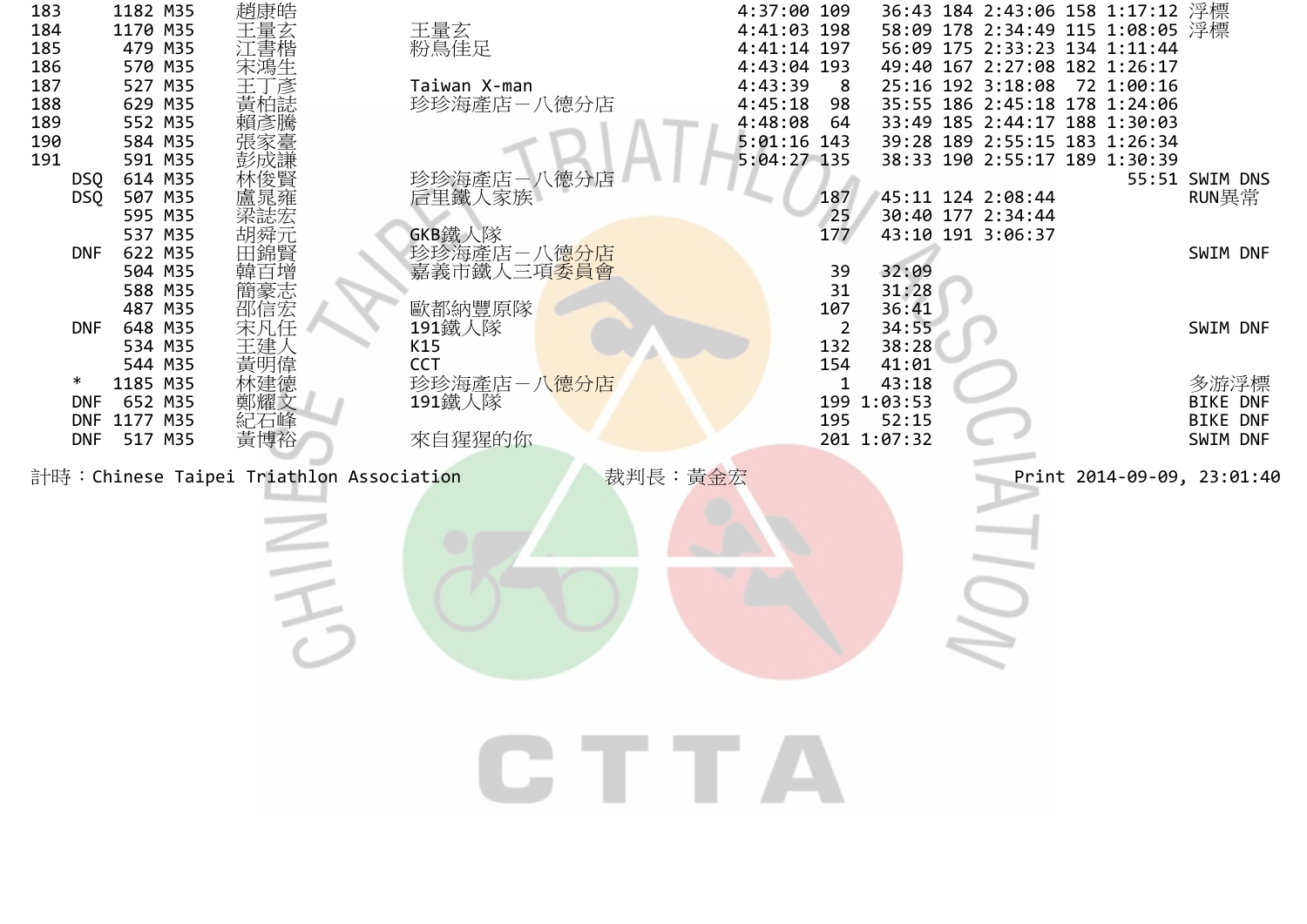| 183 |            | 1182 M35     | 趙康皓                                      |                          | 4:37:00 109   |                |             | 36:43 184 2:43:06 158 1:17:12 浮標 |            |                            |
|-----|------------|--------------|------------------------------------------|--------------------------|---------------|----------------|-------------|----------------------------------|------------|----------------------------|
| 184 |            | 1170 M35     | 王量玄                                      | 王量玄<br>粉鳥佳足              | 4:41:03 198   |                |             | 58:09 178 2:34:49 115 1:08:05 浮標 |            |                            |
| 185 |            | 479 M35      | 江書楷                                      |                          | 4:41:14 197   |                |             | 56:09 175 2:33:23 134 1:11:44    |            |                            |
| 186 |            | 570 M35      | 末鴻生                                      |                          | 4:43:04 193   |                |             | 49:40 167 2:27:08 182 1:26:17    |            |                            |
| 187 |            | 527 M35      | 彦                                        | Taiwan X-man             | 4:43:39       | - 8            |             | 25:16 192 3:18:08                | 72 1:00:16 |                            |
| 188 |            | 629 M35      |                                          | 珍珍海產店-八德分店               | 4:45:18       | 98             |             | 35:55 186 2:45:18 178 1:24:06    |            |                            |
| 189 |            | 552 M35      | 頑彥騰                                      |                          | 4:48:08       | 64             |             | 33:49 185 2:44:17 188 1:30:03    |            |                            |
| 190 |            | 584 M35      |                                          |                          | $5:01:16$ 143 |                |             | 39:28 189 2:55:15 183 1:26:34    |            |                            |
| 191 |            | 591 M35      | 彭成謙                                      |                          | 5:04:27 135   |                |             | 38:33 190 2:55:17 189 1:30:39    |            |                            |
|     | DSQ        | 614 M35      | 林俊賢                                      |                          |               |                |             |                                  |            | 55:51 SWIM DNS             |
|     | <b>DSQ</b> | 507 M35      | 簋晁雍                                      | 珍珍海產店-八德分店<br>后里鐵人家族     |               | 187            |             | 45:11 124 2:08:44                |            | RUN異常                      |
|     |            | 595 M35      | 梁誌宏                                      |                          |               | 25             |             | 30:40 177 2:34:44                |            |                            |
|     |            | 537 M35      | 胡舜元<br>田錦賢                               | GKB鐵人隊                   |               | 177            |             | 43:10 191 3:06:37                |            |                            |
|     | <b>DNF</b> | 622 M35      |                                          | 珍珍海產店-八德 <mark>分店</mark> |               |                |             |                                  |            | SWIM DNF                   |
|     |            | 504 M35      | 韓亘增                                      | 嘉義市鐵人三項 <mark>委員會</mark> |               | 39             | 32:09       |                                  |            |                            |
|     |            | 588 M35      |                                          |                          |               | 31             | 31:28       |                                  |            |                            |
|     |            | 487 M35      | 簡豪志<br>邵信宏<br>宋                          | 歐都納豐原隊                   |               | 107            | 36:41       |                                  |            |                            |
|     | <b>DNF</b> | 648 M35      |                                          | 191鐵人隊                   |               | $\overline{2}$ | 34:55       |                                  |            | SWIM DNF                   |
|     |            | 534 M35      | 王建人                                      | K15                      |               | 132            | 38:28       |                                  |            |                            |
|     |            | 544 M35      | 黃明偉                                      | <b>CCT</b>               |               | 154            | 41:01       |                                  |            |                            |
|     | $\ast$     | 1185 M35     | 沐建德                                      | 珍珍海產店-八 <mark>德分店</mark> |               | 1              | 43:18       |                                  |            | 多游浮標                       |
|     | DNF        | 652 M35      | 鄭耀文                                      | 191鐵人隊                   |               |                | 199 1:03:53 |                                  |            | BIKE DNF                   |
|     |            | DNF 1177 M35 | 紀石峰                                      |                          |               | 195            | 52:15       |                                  |            | <b>BIKE DNF</b>            |
|     | <b>DNF</b> | 517 M35      | 黃博裕                                      | 來自猩猩的你                   |               |                | 201 1:07:32 |                                  |            | SWIM DNF                   |
|     |            |              | 計時: Chinese Taipei Triathlon Association |                          | 裁判長:黃金宏       |                |             |                                  |            | Print 2014-09-09, 23:01:40 |
|     |            |              |                                          |                          |               |                |             |                                  |            |                            |
|     |            |              |                                          |                          |               |                |             |                                  |            |                            |
|     |            |              |                                          |                          |               |                |             |                                  |            |                            |
|     |            |              |                                          |                          |               |                |             |                                  |            |                            |
|     |            |              |                                          |                          |               |                |             |                                  |            |                            |
|     |            |              |                                          |                          |               |                |             |                                  |            |                            |
|     |            |              |                                          |                          |               |                |             |                                  |            |                            |
|     |            |              |                                          |                          |               |                |             |                                  |            |                            |
|     |            |              |                                          |                          |               |                |             |                                  |            |                            |
|     |            |              |                                          |                          |               |                |             |                                  |            |                            |
|     |            |              |                                          |                          |               |                |             |                                  |            |                            |
|     |            |              |                                          |                          |               |                |             |                                  |            |                            |
|     |            |              |                                          |                          |               |                |             |                                  |            |                            |
|     |            |              |                                          |                          |               |                |             |                                  |            |                            |
|     |            |              |                                          | GTTA                     |               |                |             |                                  |            |                            |
|     |            |              |                                          |                          |               |                |             |                                  |            |                            |
|     |            |              |                                          |                          |               |                |             |                                  |            |                            |
|     |            |              |                                          |                          |               |                |             |                                  |            |                            |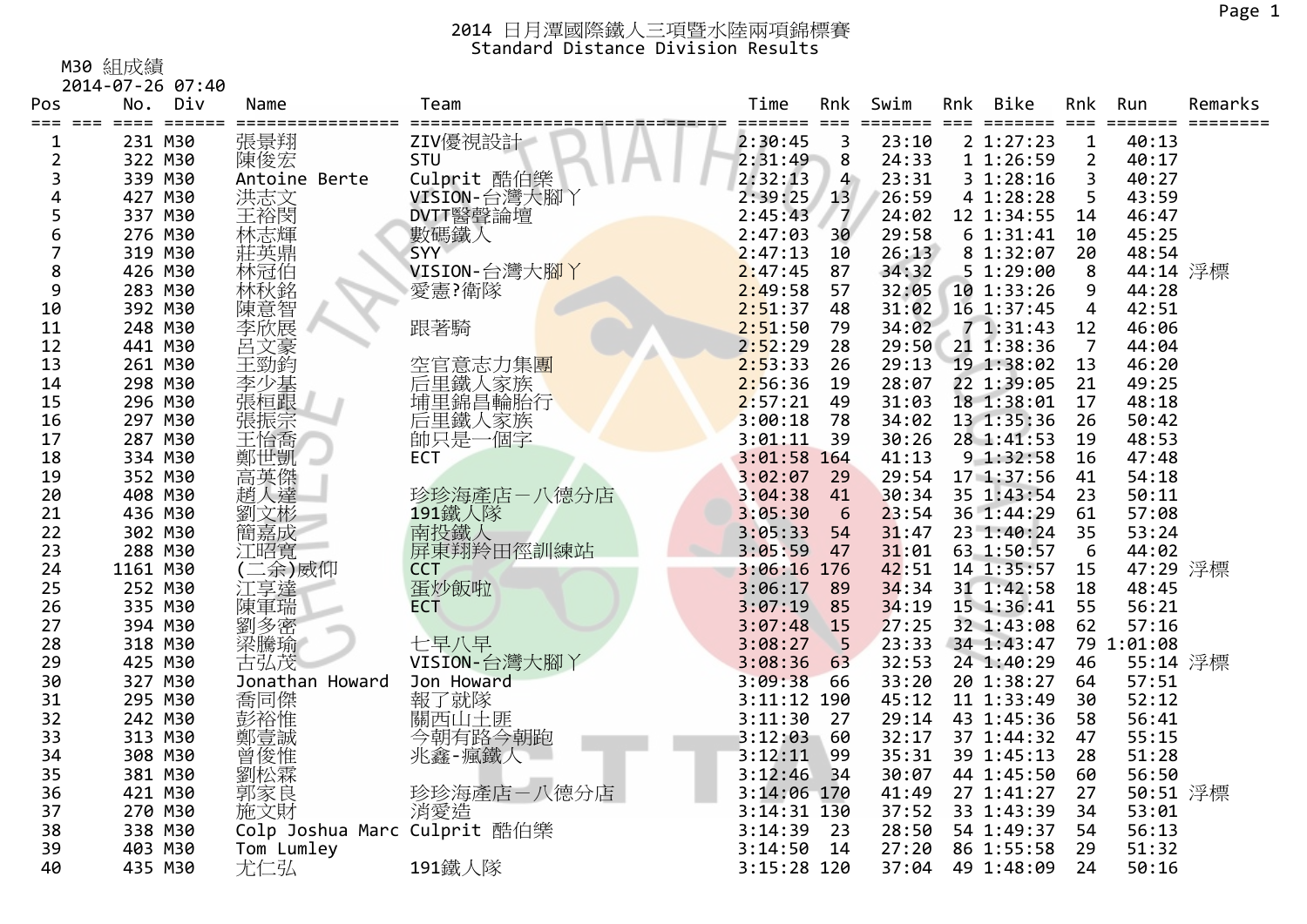#### M30 組成績

2014‐07‐26 07:40

| Pos | No.      | Div | Name                         | Team         | Time          | Rnk<br>===     | Swim<br>==== | Rnk | Bike<br>======= | Rnk                     | Run        | Remarks |
|-----|----------|-----|------------------------------|--------------|---------------|----------------|--------------|-----|-----------------|-------------------------|------------|---------|
| 1   | 231 M30  |     | 張景翔                          | ZIV優視設計      | 2:30:45       | 3              | 23:10        |     | 2 1:27:23       | $\mathbf 1$             | 40:13      |         |
| 2   | 322 M30  |     | 陳俊宏                          | STU          | 2:31:49       | 8              | 24:33        |     | 1 1:26:59       | $\overline{2}$          | 40:17      |         |
| 3   | 339 M30  |     | Antoine Berte                | Culprit 酷伯樂  | 2:32:13       | $\overline{4}$ | 23:31        |     | 31:28:16        | $\overline{\mathbf{3}}$ | 40:27      |         |
| 4   | 427 M30  |     | 洪志文                          | VISION-台灣大腳Y | 2:39:25       | 13             | 26:59        |     | 4 1:28:28       | 5                       | 43:59      |         |
| 5   | 337 M30  |     | 王裕閔                          | DVTT醫聲論壇     | 2:45:43       | $\overline{7}$ | 24:02        |     | 12 1:34:55      | 14                      | 46:47      |         |
| 6   | 276 M30  |     | 林志輝                          | 數碼鐵人         | 2:47:03       | 30             | 29:58        |     | 61:31:41        | 10                      | 45:25      |         |
| 7   | 319 M30  |     | 莊英鼎                          | <b>SYY</b>   | 2:47:13       | 10             | 26:13        |     | 8 1:32:07       | 20                      | 48:54      |         |
| 8   | 426 M30  |     | 林冠伯                          | VISION-台灣大腳丫 | 2:47:45       | 87             | 34:32        |     | 51:29:00        | 8                       | 44:14 浮標   |         |
| 9   | 283 M30  |     | 林秋銘                          | 愛憲?衛隊        | 2:49:58       | 57             | 32:05        |     | 10 1:33:26      | 9                       | 44:28      |         |
| 10  | 392 M30  |     | 陳意智<br>李欣展                   |              | 2:51:37       | 48             | 31:02        |     | 16 1:37:45      | $\overline{4}$          | 42:51      |         |
| 11  | 248 M30  |     |                              | 跟著騎          | 2:51:50       | 79             | 34:02        |     | 71:31:43        | 12                      | 46:06      |         |
| 12  | 441 M30  |     | 呂文豪<br>王勁鈞                   |              | 2:52:29       | 28             | 29:50        |     | 21 1:38:36      | $\overline{7}$          | 44:04      |         |
| 13  | 261 M30  |     |                              | 空官意志力集團      | 2:53:33       | 26             | 29:13        |     | 19 1:38:02      | 13                      | 46:20      |         |
| 14  | 298 M30  |     | 李少基                          | 后里鐵人家族       | 2:56:36       | 19             | 28:07        |     | 22 1:39:05      | 21                      | 49:25      |         |
| 15  | 296 M30  |     | 張桓跟                          | 埔里錦昌輪胎行      | 2:57:21       | 49             | 31:03        |     | 18 1:38:01      | 17                      | 48:18      |         |
| 16  | 297 M30  |     | 張振宗                          | 后里鐵人家族       | 3:00:18       | 78             | 34:02        |     | 13 1:35:36      | 26                      | 50:42      |         |
| 17  | 287 M30  |     | 王怡喬                          | 帥只是一個字       | 3:01:11       | 39             | 30:26        |     | 28 1:41:53      | 19                      | 48:53      |         |
| 18  | 334 M30  |     | 鄭世凱                          | <b>ECT</b>   | 3:01:58 164   |                | 41:13        |     | 9 1:32:58       | 16                      | 47:48      |         |
| 19  | 352 M30  |     | 高英傑<br>趙人達                   |              | 3:02:07       | 29             | 29:54        |     | 17 1:37:56      | 41                      | 54:18      |         |
| 20  | 408 M30  |     |                              | 珍珍海產店-八德分店   | 3:04:38       | 41             | 30:34        |     | 35 1:43:54      | 23                      | 50:11      |         |
| 21  | 436 M30  |     | 劉文彬                          | 191鐵人隊       | 3:05:30       | 6              | 23:54        |     | 36 1:44:29      | 61                      | 57:08      |         |
| 22  | 302 M30  |     | 簡嘉成                          | 南投鐵人         | 3:05:33       | 54             | 31:47        |     | 23 1:40:24      | 35                      | 53:24      |         |
| 23  | 288 M30  |     | 江昭寬                          | 屏東翔羚田徑訓練站    | 3:05:59       | 47             | 31:01        |     | 63 1:50:57      | 6                       | 44:02      |         |
| 24  | 1161 M30 |     | 三余)威仰                        | <b>CCT</b>   | 3:06:16 176   |                | 42:51        |     | 14 1:35:57      | 15                      | 47:29 浮標   |         |
| 25  | 252 M30  |     | 江享達                          | 蛋炒飯啦         | 3:06:17       | 89             | 34:34        |     | 31 1:42:58      | 18                      | 48:45      |         |
| 26  | 335 M30  |     | 陳軍瑞                          | <b>ECT</b>   | 3:07:19       | 85             | 34:19        |     | 15 1:36:41      | 55                      | 56:21      |         |
| 27  | 394 M30  |     | 劉多密                          |              | 3:07:48       | 15             | 27:25        |     | 32 1:43:08      | 62                      | 57:16      |         |
| 28  | 318 M30  |     | 梁騰瑜                          | 七早八早         | 3:08:27       | 5              | 23:33        |     | 34 1:43:47      |                         | 79 1:01:08 |         |
| 29  | 425 M30  |     | 古弘茂                          | VISION-台灣大腳丫 | 3:08:36       | 63             | 32:53        |     | 24 1:40:29      | 46                      | 55:14 浮標   |         |
| 30  | 327 M30  |     | Jonathan Howard              | Jon Howard   | 3:09:38       | 66             | 33:20        |     | 20 1:38:27      | 64                      | 57:51      |         |
| 31  | 295 M30  |     | 喬同傑                          | 報了就隊         | 3:11:12 190   |                | 45:12        |     | 11 1:33:49      | 30                      | 52:12      |         |
| 32  | 242 M30  |     | 彭裕惟                          | 關西山土匪        | 3:11:30       | 27             | 29:14        |     | 43 1:45:36      | 58                      | 56:41      |         |
| 33  | 313 M30  |     | 鄭壹誠                          | 今朝有路今朝跑      | 3:12:03       | 60             | 32:17        |     | 37 1:44:32      | 47                      | 55:15      |         |
| 34  | 308 M30  |     | 曾俊惟                          | 兆鑫-瘋鐵人       | 3:12:11       | 99             | 35:31        |     | 39 1:45:13      | 28                      | 51:28      |         |
| 35  | 381 M30  |     | 劉松霖                          |              | 3:12:46       | 34             | 30:07        |     | 44 1:45:50      | 60                      | 56:50      |         |
| 36  | 421 M30  |     | 郭家良                          | 珍珍海產店一八德分店   | 3:14:06 170   |                | 41:49        |     | 27 1:41:27      | 27                      | 50:51 浮標   |         |
| 37  | 270 M30  |     | 施文財                          | 消愛造          | $3:14:31$ 130 |                | 37:52        |     | 33 1:43:39      | 34                      | 53:01      |         |
| 38  | 338 M30  |     | Colp Joshua Marc Culprit 酷伯樂 |              | 3:14:39       | 23             | 28:50        |     | 54 1:49:37      | 54                      | 56:13      |         |
| 39  | 403 M30  |     | Tom Lumley                   |              | 3:14:50       | 14             | 27:20        |     | 86 1:55:58      | 29                      | 51:32      |         |
| 40  | 435 M30  |     | 尤仁弘                          | 191鐵人隊       | 3:15:28 120   |                | 37:04        |     | 49 1:48:09      | 24                      | 50:16      |         |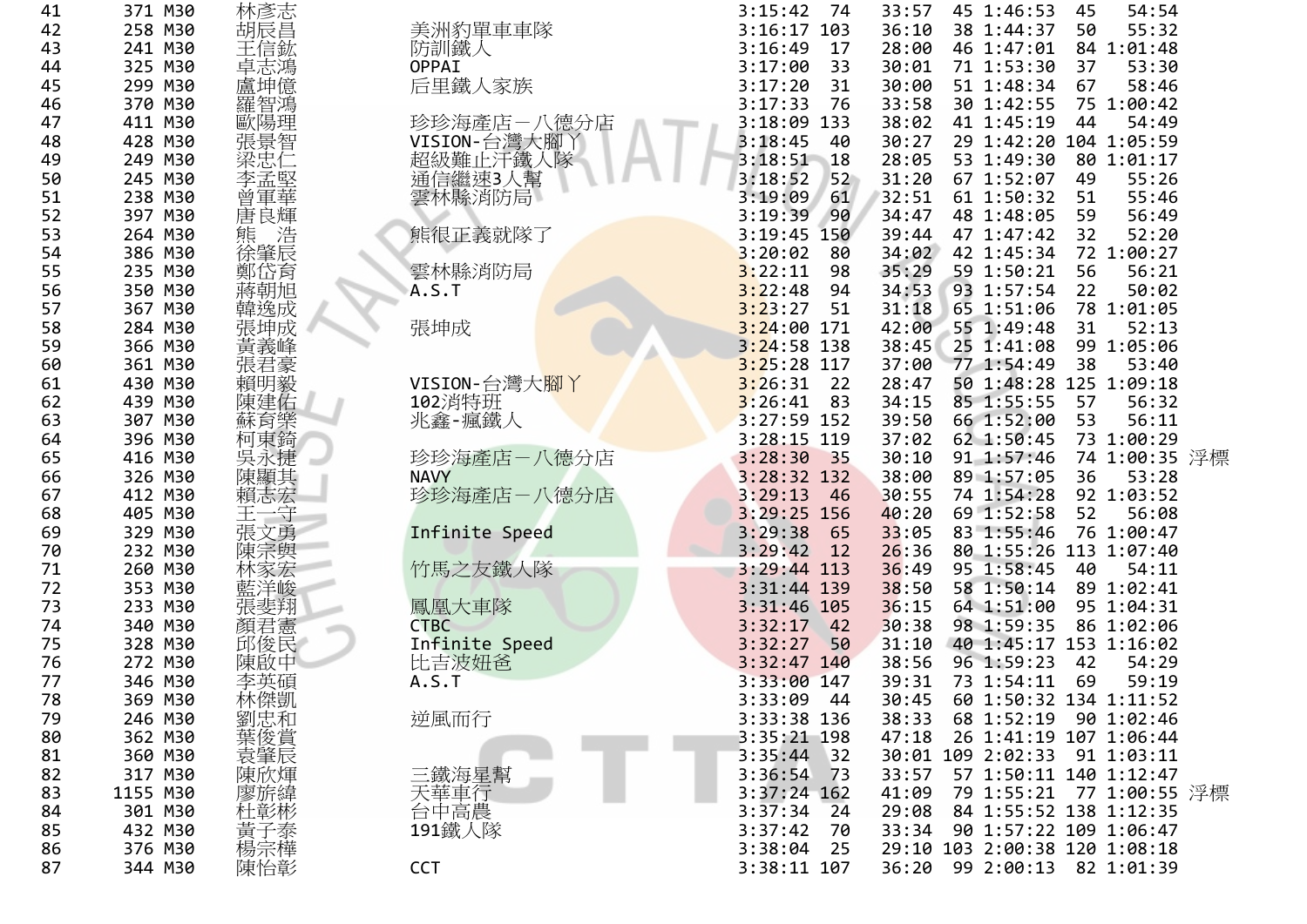| 41 | 371 M30  | 林彥志              |                   | 3:15:42<br>- 74 | 33:57 | 45 1:46:53                    | 45 | 54:54         |  |
|----|----------|------------------|-------------------|-----------------|-------|-------------------------------|----|---------------|--|
| 42 | 258 M30  | 胡辰昌              | 美洲豹單車車隊           | $3:16:17$ 103   | 36:10 | 38 1:44:37                    | 50 | 55:32         |  |
| 43 | 241 M30  | 王信鉱              | 防訓鐵人              | 3:16:49<br>17   | 28:00 | 46 1:47:01                    |    | 84 1:01:48    |  |
| 44 | 325 M30  | 卓志鴻              | <b>OPPAI</b>      | 3:17:00<br>33   | 30:01 | 71 1:53:30                    | 37 | 53:30         |  |
| 45 | 299 M30  | 盧坤億              | 后里鐵人家族            | 3:17:20<br>31   | 30:00 | 51 1:48:34                    | 67 | 58:46         |  |
| 46 | 370 M30  | 羅智鴻              |                   | 3:17:33<br>76   | 33:58 | 30 1:42:55                    | 75 | 1:00:42       |  |
| 47 | 411 M30  | 歐陽理              | 珍珍海產店-八德分店        | 3:18:09<br>133  | 38:02 | 41 1:45:19                    | 44 | 54:49         |  |
| 48 | 428 M30  | 張景智              | VISION-台灣大腳丫      | 3:18:45<br>40   | 30:27 | 29 1:42:20                    |    | 104 1:05:59   |  |
| 49 | 249 M30  | 梁忠               | 超級難止汗鐵人隊          | 3:18:51<br>18   | 28:05 | 53 1:49:30                    |    | 80 1:01:17    |  |
|    |          |                  |                   |                 |       | 67 1:52:07                    |    |               |  |
| 50 | 245 M30  | 李孟堅              | 通信繼速3人幫<br>雲林縣消防局 | 3:18:52<br>52   | 31:20 |                               | 49 | 55:26         |  |
| 51 | 238 M30  | 曾軍華              |                   | 3:19:09<br>61   | 32:51 | 61 1:50:32                    | 51 | 55:46         |  |
| 52 | 397 M30  | 唐良輝              |                   | 3:19:39<br>90   | 34:47 | 48 1:48:05                    | 59 | 56:49         |  |
| 53 | 264 M30  | ·熊 浩辰            | 熊很正義就隊了           | 3:19:45<br>150  | 39:44 | 47 1:47:42                    | 32 | 52:20         |  |
| 54 | 386 M30  |                  |                   | 3:20:02<br>80   | 34:02 | 42 1:45:34                    |    | 72 1:00:27    |  |
| 55 | 235 M30  | 鄭岱育              | 雲林縣消防局            | 3:22:11<br>98   | 35:29 | 59 1:50:21                    | 56 | 56:21         |  |
| 56 | 350 M30  | 蔣朝旭              | A.S.T             | 3:22:48<br>94   | 34:53 | 93 1:57:54                    | 22 | 50:02         |  |
| 57 | 367 M30  | 韓逸成              |                   | 3:23:27<br>51   | 31:18 | 65 1:51:06                    |    | 78 1:01:05    |  |
| 58 | 284 M30  | 張坤成              | 張坤成               | 3:24:00<br>171  | 42:00 | 55 1:49:48                    | 31 | 52:13         |  |
| 59 | 366 M30  | 黃義峰              |                   | $3:24:58$ 138   | 38:45 | 25 1:41:08                    | 99 | 1:05:06       |  |
| 60 | 361 M30  | 張君豪              |                   | $3:25:28$ 117   | 37:00 | 77 1:54:49                    | 38 | 53:40         |  |
| 61 | 430 M30  | 賴明毅              | VISION-台灣大腳丫      | 3:26:31<br>22   | 28:47 | 50 1:48:28                    |    | 125 1:09:18   |  |
| 62 | 439 M30  | 陳建佑              | 102消特班            | 3:26:41<br>83   | 34:15 | 85 1:55:55                    | 57 | 56:32         |  |
| 63 | 307 M30  |                  | 兆鑫-瘋鐵人            | $3:27:59$ 152   | 39:50 | 66 1:52:00                    | 53 | 56:11         |  |
| 64 | 396 M30  | 蘇育樂<br>柯東錡       |                   | 3:28:15 119     | 37:02 | 62 1:50:45                    |    | 73 1:00:29    |  |
| 65 | 416 M30  | 吳永捷              | 珍珍海產店-八德分店        | 3:28:30<br>35   | 30:10 | 91 1:57:46                    |    | 74 1:00:35 浮標 |  |
| 66 | 326 M30  | 陳顯其              | <b>NAVY</b>       | 3:28:32 132     | 38:00 | 89 1:57:05                    | 36 | 53:28         |  |
| 67 | 412 M30  | 賴志宏              | 珍珍海產店一八德分店        | 3:29:13<br>46   | 30:55 | 74 1:54:28                    |    | 92 1:03:52    |  |
| 68 | 405 M30  | 一斗<br>王一         |                   | 3:29:25 156     | 40:20 | 69 1:52:58                    | 52 | 56:08         |  |
| 69 | 329 M30  | 張文勇              | Infinite Speed    | 3:29:38<br>65   | 33:05 | 83 1:55:46                    |    | 76 1:00:47    |  |
| 70 | 232 M30  | 陳宗與              |                   | 3:29:42<br>12   | 26:36 | 80 1:55:26                    |    | 113 1:07:40   |  |
| 71 | 260 M30  | 林家宏              |                   | 3:29:44 113     | 36:49 | 95 1:58:45                    | 40 | 54:11         |  |
| 72 |          |                  | 竹馬之友鐵人隊           | 3:31:44 139     | 38:50 | 58 1:50:14                    |    | 89 1:02:41    |  |
|    | 353 M30  | 藍洋峻              |                   |                 |       |                               |    |               |  |
| 73 | 233 M30  | 張斐翔              | 鳳凰大車隊             | 3:31:46 105     | 36:15 | 64 1:51:00                    |    | 95 1:04:31    |  |
| 74 | 340 M30  | 顏君憲              | <b>CTBC</b>       | 3:32:17<br>42   | 30:38 | 98 1:59:35                    |    | 86 1:02:06    |  |
| 75 | 328 M30  | 邱俊民              | Infinite Speed    | 3:32:27<br>50   | 31:10 | 40 1:45:17                    |    | 153 1:16:02   |  |
| 76 | 272 M30  | 陳啟中              | 比吉波妞爸             | 3:32:47<br>140  | 38:56 | 96 1:59:23                    | 42 | 54:29         |  |
| 77 | 346 M30  | 李英碩              | A.S.T             | 3:33:00 147     | 39:31 | 73 1:54:11                    | 69 | 59:19         |  |
| 78 | 369 M30  |                  |                   | 3:33:09<br>- 44 | 30:45 | 60 1:50:32 134 1:11:52        |    |               |  |
| 79 | 246 M30  | ,林劉葉俊、           | 逆風而行              | 3:33:38 136     | 38:33 | 68 1:52:19                    |    | 90 1:02:46    |  |
| 80 | 362 M30  |                  |                   | 3:35:21 198     | 47:18 | 26 1:41:19 107 1:06:44        |    |               |  |
| 81 | 360 M30  |                  |                   | 3:35:44<br>32   |       | 30:01 109 2:02:33 91 1:03:11  |    |               |  |
| 82 | 317 M30  | {袁陳欣旂¥#          | 三鐵海星幫             | 3:36:54<br>73   | 33:57 | 57 1:50:11 140 1:12:47        |    |               |  |
| 83 | 1155 M30 |                  | 天華車行              | $3:37:24$ 162   | 41:09 | 79 1:55:21 77 1:00:55 浮標      |    |               |  |
| 84 | 301 M30  | 杜彰彬              | 台中高農              | 3:37:34<br>24   | 29:08 | 84 1:55:52 138 1:12:35        |    |               |  |
| 85 | 432 M30  |                  | 191鐵人隊            | 3:37:42<br>-70  | 33:34 | 90 1:57:22 109 1:06:47        |    |               |  |
| 86 | 376 M30  | 黃子<br>楊宗樺<br>陳怡彰 |                   | 3:38:04<br>25   |       | 29:10 103 2:00:38 120 1:08:18 |    |               |  |
| 87 | 344 M30  |                  | <b>CCT</b>        | 3:38:11 107     | 36:20 | 99 2:00:13                    |    | 82 1:01:39    |  |
|    |          |                  |                   |                 |       |                               |    |               |  |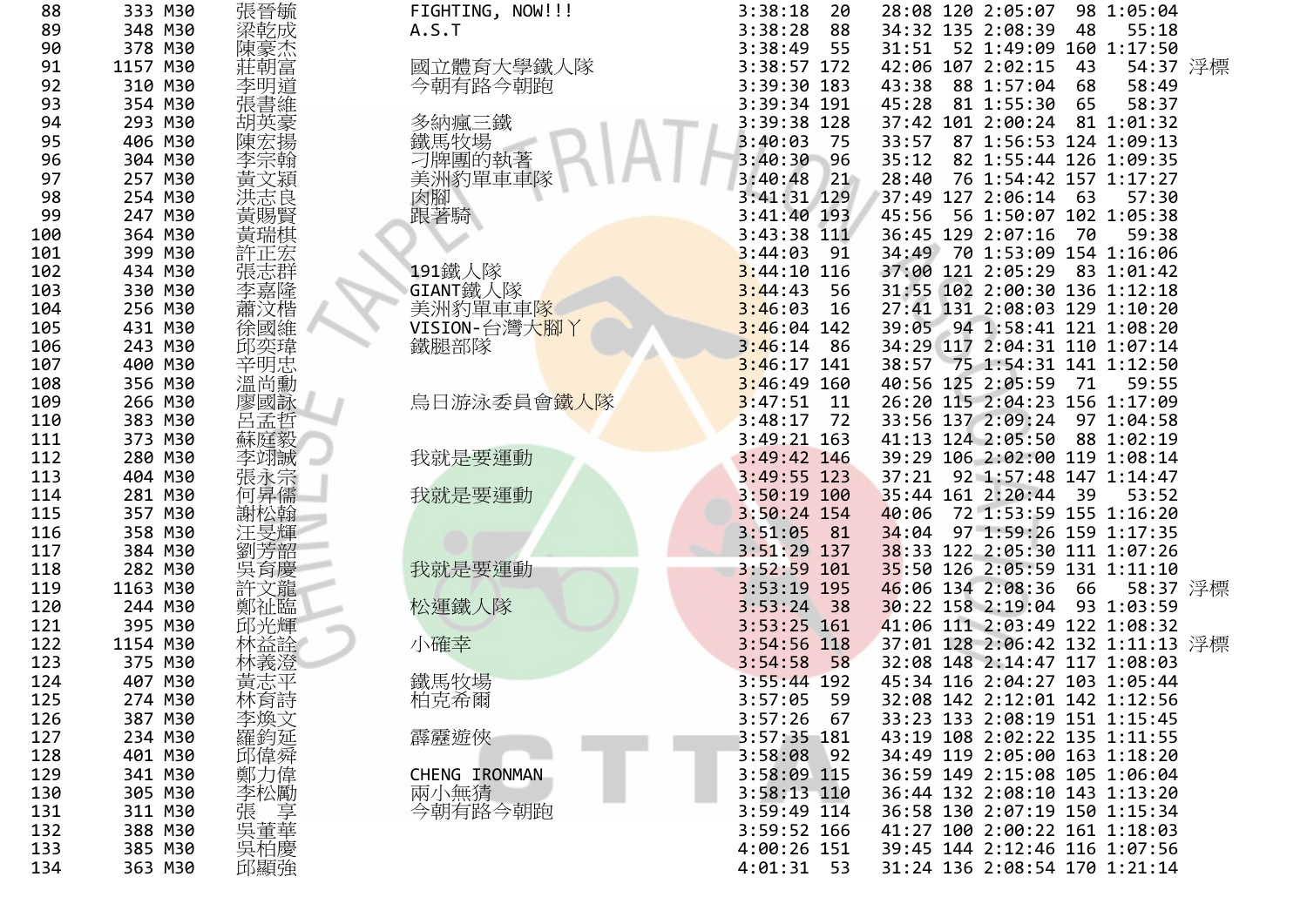| 張晉毓                                                                                                                                                                                                                                                                                                                                                                                                                                                                                                                       |                                                                                                                                                                                                                                                                                                        | 3:38:18<br>20                                                                                                                                                                                                                                                          |                                                                                                                                                                                                                                                                                                                                                                                                                                                                                                                                                                                                                                                                                                                                                      |                                  | 28:08 120 2:05:07                |                   | 98 1:05:04                                                                                                                                                                                                                                                                           |                                                                                                                                                                                                                                                                                                                                                                                                                                                                                                                                                                                                                                                                                                                                                                                                                                                                                                                                                                                                                                                                                                                                                                                                                        |
|---------------------------------------------------------------------------------------------------------------------------------------------------------------------------------------------------------------------------------------------------------------------------------------------------------------------------------------------------------------------------------------------------------------------------------------------------------------------------------------------------------------------------|--------------------------------------------------------------------------------------------------------------------------------------------------------------------------------------------------------------------------------------------------------------------------------------------------------|------------------------------------------------------------------------------------------------------------------------------------------------------------------------------------------------------------------------------------------------------------------------|------------------------------------------------------------------------------------------------------------------------------------------------------------------------------------------------------------------------------------------------------------------------------------------------------------------------------------------------------------------------------------------------------------------------------------------------------------------------------------------------------------------------------------------------------------------------------------------------------------------------------------------------------------------------------------------------------------------------------------------------------|----------------------------------|----------------------------------|-------------------|--------------------------------------------------------------------------------------------------------------------------------------------------------------------------------------------------------------------------------------------------------------------------------------|------------------------------------------------------------------------------------------------------------------------------------------------------------------------------------------------------------------------------------------------------------------------------------------------------------------------------------------------------------------------------------------------------------------------------------------------------------------------------------------------------------------------------------------------------------------------------------------------------------------------------------------------------------------------------------------------------------------------------------------------------------------------------------------------------------------------------------------------------------------------------------------------------------------------------------------------------------------------------------------------------------------------------------------------------------------------------------------------------------------------------------------------------------------------------------------------------------------------|
|                                                                                                                                                                                                                                                                                                                                                                                                                                                                                                                           | FIGHTING, NOW!!!<br>A.S.T                                                                                                                                                                                                                                                                              | 3:38:28<br>88                                                                                                                                                                                                                                                          |                                                                                                                                                                                                                                                                                                                                                                                                                                                                                                                                                                                                                                                                                                                                                      |                                  |                                  | 48                | 55:18                                                                                                                                                                                                                                                                                |                                                                                                                                                                                                                                                                                                                                                                                                                                                                                                                                                                                                                                                                                                                                                                                                                                                                                                                                                                                                                                                                                                                                                                                                                        |
|                                                                                                                                                                                                                                                                                                                                                                                                                                                                                                                           |                                                                                                                                                                                                                                                                                                        |                                                                                                                                                                                                                                                                        |                                                                                                                                                                                                                                                                                                                                                                                                                                                                                                                                                                                                                                                                                                                                                      |                                  |                                  |                   |                                                                                                                                                                                                                                                                                      |                                                                                                                                                                                                                                                                                                                                                                                                                                                                                                                                                                                                                                                                                                                                                                                                                                                                                                                                                                                                                                                                                                                                                                                                                        |
|                                                                                                                                                                                                                                                                                                                                                                                                                                                                                                                           |                                                                                                                                                                                                                                                                                                        |                                                                                                                                                                                                                                                                        |                                                                                                                                                                                                                                                                                                                                                                                                                                                                                                                                                                                                                                                                                                                                                      |                                  |                                  |                   |                                                                                                                                                                                                                                                                                      |                                                                                                                                                                                                                                                                                                                                                                                                                                                                                                                                                                                                                                                                                                                                                                                                                                                                                                                                                                                                                                                                                                                                                                                                                        |
|                                                                                                                                                                                                                                                                                                                                                                                                                                                                                                                           |                                                                                                                                                                                                                                                                                                        |                                                                                                                                                                                                                                                                        |                                                                                                                                                                                                                                                                                                                                                                                                                                                                                                                                                                                                                                                                                                                                                      |                                  |                                  |                   |                                                                                                                                                                                                                                                                                      |                                                                                                                                                                                                                                                                                                                                                                                                                                                                                                                                                                                                                                                                                                                                                                                                                                                                                                                                                                                                                                                                                                                                                                                                                        |
|                                                                                                                                                                                                                                                                                                                                                                                                                                                                                                                           |                                                                                                                                                                                                                                                                                                        |                                                                                                                                                                                                                                                                        |                                                                                                                                                                                                                                                                                                                                                                                                                                                                                                                                                                                                                                                                                                                                                      |                                  |                                  |                   |                                                                                                                                                                                                                                                                                      |                                                                                                                                                                                                                                                                                                                                                                                                                                                                                                                                                                                                                                                                                                                                                                                                                                                                                                                                                                                                                                                                                                                                                                                                                        |
|                                                                                                                                                                                                                                                                                                                                                                                                                                                                                                                           |                                                                                                                                                                                                                                                                                                        |                                                                                                                                                                                                                                                                        |                                                                                                                                                                                                                                                                                                                                                                                                                                                                                                                                                                                                                                                                                                                                                      |                                  |                                  |                   |                                                                                                                                                                                                                                                                                      |                                                                                                                                                                                                                                                                                                                                                                                                                                                                                                                                                                                                                                                                                                                                                                                                                                                                                                                                                                                                                                                                                                                                                                                                                        |
|                                                                                                                                                                                                                                                                                                                                                                                                                                                                                                                           |                                                                                                                                                                                                                                                                                                        |                                                                                                                                                                                                                                                                        |                                                                                                                                                                                                                                                                                                                                                                                                                                                                                                                                                                                                                                                                                                                                                      |                                  |                                  |                   |                                                                                                                                                                                                                                                                                      |                                                                                                                                                                                                                                                                                                                                                                                                                                                                                                                                                                                                                                                                                                                                                                                                                                                                                                                                                                                                                                                                                                                                                                                                                        |
|                                                                                                                                                                                                                                                                                                                                                                                                                                                                                                                           |                                                                                                                                                                                                                                                                                                        |                                                                                                                                                                                                                                                                        |                                                                                                                                                                                                                                                                                                                                                                                                                                                                                                                                                                                                                                                                                                                                                      |                                  |                                  |                   |                                                                                                                                                                                                                                                                                      |                                                                                                                                                                                                                                                                                                                                                                                                                                                                                                                                                                                                                                                                                                                                                                                                                                                                                                                                                                                                                                                                                                                                                                                                                        |
|                                                                                                                                                                                                                                                                                                                                                                                                                                                                                                                           |                                                                                                                                                                                                                                                                                                        |                                                                                                                                                                                                                                                                        |                                                                                                                                                                                                                                                                                                                                                                                                                                                                                                                                                                                                                                                                                                                                                      |                                  |                                  |                   |                                                                                                                                                                                                                                                                                      |                                                                                                                                                                                                                                                                                                                                                                                                                                                                                                                                                                                                                                                                                                                                                                                                                                                                                                                                                                                                                                                                                                                                                                                                                        |
|                                                                                                                                                                                                                                                                                                                                                                                                                                                                                                                           |                                                                                                                                                                                                                                                                                                        |                                                                                                                                                                                                                                                                        |                                                                                                                                                                                                                                                                                                                                                                                                                                                                                                                                                                                                                                                                                                                                                      |                                  |                                  |                   |                                                                                                                                                                                                                                                                                      |                                                                                                                                                                                                                                                                                                                                                                                                                                                                                                                                                                                                                                                                                                                                                                                                                                                                                                                                                                                                                                                                                                                                                                                                                        |
|                                                                                                                                                                                                                                                                                                                                                                                                                                                                                                                           |                                                                                                                                                                                                                                                                                                        |                                                                                                                                                                                                                                                                        |                                                                                                                                                                                                                                                                                                                                                                                                                                                                                                                                                                                                                                                                                                                                                      |                                  |                                  |                   |                                                                                                                                                                                                                                                                                      |                                                                                                                                                                                                                                                                                                                                                                                                                                                                                                                                                                                                                                                                                                                                                                                                                                                                                                                                                                                                                                                                                                                                                                                                                        |
|                                                                                                                                                                                                                                                                                                                                                                                                                                                                                                                           |                                                                                                                                                                                                                                                                                                        |                                                                                                                                                                                                                                                                        |                                                                                                                                                                                                                                                                                                                                                                                                                                                                                                                                                                                                                                                                                                                                                      |                                  |                                  |                   |                                                                                                                                                                                                                                                                                      |                                                                                                                                                                                                                                                                                                                                                                                                                                                                                                                                                                                                                                                                                                                                                                                                                                                                                                                                                                                                                                                                                                                                                                                                                        |
|                                                                                                                                                                                                                                                                                                                                                                                                                                                                                                                           |                                                                                                                                                                                                                                                                                                        |                                                                                                                                                                                                                                                                        |                                                                                                                                                                                                                                                                                                                                                                                                                                                                                                                                                                                                                                                                                                                                                      |                                  |                                  |                   |                                                                                                                                                                                                                                                                                      |                                                                                                                                                                                                                                                                                                                                                                                                                                                                                                                                                                                                                                                                                                                                                                                                                                                                                                                                                                                                                                                                                                                                                                                                                        |
|                                                                                                                                                                                                                                                                                                                                                                                                                                                                                                                           |                                                                                                                                                                                                                                                                                                        |                                                                                                                                                                                                                                                                        |                                                                                                                                                                                                                                                                                                                                                                                                                                                                                                                                                                                                                                                                                                                                                      |                                  |                                  |                   |                                                                                                                                                                                                                                                                                      |                                                                                                                                                                                                                                                                                                                                                                                                                                                                                                                                                                                                                                                                                                                                                                                                                                                                                                                                                                                                                                                                                                                                                                                                                        |
|                                                                                                                                                                                                                                                                                                                                                                                                                                                                                                                           |                                                                                                                                                                                                                                                                                                        |                                                                                                                                                                                                                                                                        |                                                                                                                                                                                                                                                                                                                                                                                                                                                                                                                                                                                                                                                                                                                                                      |                                  |                                  |                   |                                                                                                                                                                                                                                                                                      |                                                                                                                                                                                                                                                                                                                                                                                                                                                                                                                                                                                                                                                                                                                                                                                                                                                                                                                                                                                                                                                                                                                                                                                                                        |
|                                                                                                                                                                                                                                                                                                                                                                                                                                                                                                                           |                                                                                                                                                                                                                                                                                                        |                                                                                                                                                                                                                                                                        |                                                                                                                                                                                                                                                                                                                                                                                                                                                                                                                                                                                                                                                                                                                                                      |                                  |                                  |                   |                                                                                                                                                                                                                                                                                      |                                                                                                                                                                                                                                                                                                                                                                                                                                                                                                                                                                                                                                                                                                                                                                                                                                                                                                                                                                                                                                                                                                                                                                                                                        |
|                                                                                                                                                                                                                                                                                                                                                                                                                                                                                                                           |                                                                                                                                                                                                                                                                                                        |                                                                                                                                                                                                                                                                        |                                                                                                                                                                                                                                                                                                                                                                                                                                                                                                                                                                                                                                                                                                                                                      |                                  |                                  |                   |                                                                                                                                                                                                                                                                                      |                                                                                                                                                                                                                                                                                                                                                                                                                                                                                                                                                                                                                                                                                                                                                                                                                                                                                                                                                                                                                                                                                                                                                                                                                        |
|                                                                                                                                                                                                                                                                                                                                                                                                                                                                                                                           |                                                                                                                                                                                                                                                                                                        |                                                                                                                                                                                                                                                                        |                                                                                                                                                                                                                                                                                                                                                                                                                                                                                                                                                                                                                                                                                                                                                      |                                  |                                  |                   |                                                                                                                                                                                                                                                                                      |                                                                                                                                                                                                                                                                                                                                                                                                                                                                                                                                                                                                                                                                                                                                                                                                                                                                                                                                                                                                                                                                                                                                                                                                                        |
|                                                                                                                                                                                                                                                                                                                                                                                                                                                                                                                           |                                                                                                                                                                                                                                                                                                        |                                                                                                                                                                                                                                                                        |                                                                                                                                                                                                                                                                                                                                                                                                                                                                                                                                                                                                                                                                                                                                                      |                                  |                                  |                   |                                                                                                                                                                                                                                                                                      |                                                                                                                                                                                                                                                                                                                                                                                                                                                                                                                                                                                                                                                                                                                                                                                                                                                                                                                                                                                                                                                                                                                                                                                                                        |
|                                                                                                                                                                                                                                                                                                                                                                                                                                                                                                                           |                                                                                                                                                                                                                                                                                                        |                                                                                                                                                                                                                                                                        |                                                                                                                                                                                                                                                                                                                                                                                                                                                                                                                                                                                                                                                                                                                                                      |                                  |                                  |                   |                                                                                                                                                                                                                                                                                      |                                                                                                                                                                                                                                                                                                                                                                                                                                                                                                                                                                                                                                                                                                                                                                                                                                                                                                                                                                                                                                                                                                                                                                                                                        |
|                                                                                                                                                                                                                                                                                                                                                                                                                                                                                                                           |                                                                                                                                                                                                                                                                                                        |                                                                                                                                                                                                                                                                        |                                                                                                                                                                                                                                                                                                                                                                                                                                                                                                                                                                                                                                                                                                                                                      |                                  |                                  |                   |                                                                                                                                                                                                                                                                                      |                                                                                                                                                                                                                                                                                                                                                                                                                                                                                                                                                                                                                                                                                                                                                                                                                                                                                                                                                                                                                                                                                                                                                                                                                        |
|                                                                                                                                                                                                                                                                                                                                                                                                                                                                                                                           |                                                                                                                                                                                                                                                                                                        |                                                                                                                                                                                                                                                                        |                                                                                                                                                                                                                                                                                                                                                                                                                                                                                                                                                                                                                                                                                                                                                      |                                  |                                  |                   |                                                                                                                                                                                                                                                                                      |                                                                                                                                                                                                                                                                                                                                                                                                                                                                                                                                                                                                                                                                                                                                                                                                                                                                                                                                                                                                                                                                                                                                                                                                                        |
|                                                                                                                                                                                                                                                                                                                                                                                                                                                                                                                           |                                                                                                                                                                                                                                                                                                        |                                                                                                                                                                                                                                                                        |                                                                                                                                                                                                                                                                                                                                                                                                                                                                                                                                                                                                                                                                                                                                                      |                                  |                                  |                   |                                                                                                                                                                                                                                                                                      |                                                                                                                                                                                                                                                                                                                                                                                                                                                                                                                                                                                                                                                                                                                                                                                                                                                                                                                                                                                                                                                                                                                                                                                                                        |
|                                                                                                                                                                                                                                                                                                                                                                                                                                                                                                                           |                                                                                                                                                                                                                                                                                                        |                                                                                                                                                                                                                                                                        |                                                                                                                                                                                                                                                                                                                                                                                                                                                                                                                                                                                                                                                                                                                                                      |                                  |                                  |                   |                                                                                                                                                                                                                                                                                      |                                                                                                                                                                                                                                                                                                                                                                                                                                                                                                                                                                                                                                                                                                                                                                                                                                                                                                                                                                                                                                                                                                                                                                                                                        |
|                                                                                                                                                                                                                                                                                                                                                                                                                                                                                                                           |                                                                                                                                                                                                                                                                                                        |                                                                                                                                                                                                                                                                        |                                                                                                                                                                                                                                                                                                                                                                                                                                                                                                                                                                                                                                                                                                                                                      |                                  |                                  |                   |                                                                                                                                                                                                                                                                                      |                                                                                                                                                                                                                                                                                                                                                                                                                                                                                                                                                                                                                                                                                                                                                                                                                                                                                                                                                                                                                                                                                                                                                                                                                        |
|                                                                                                                                                                                                                                                                                                                                                                                                                                                                                                                           |                                                                                                                                                                                                                                                                                                        |                                                                                                                                                                                                                                                                        |                                                                                                                                                                                                                                                                                                                                                                                                                                                                                                                                                                                                                                                                                                                                                      |                                  |                                  |                   |                                                                                                                                                                                                                                                                                      |                                                                                                                                                                                                                                                                                                                                                                                                                                                                                                                                                                                                                                                                                                                                                                                                                                                                                                                                                                                                                                                                                                                                                                                                                        |
|                                                                                                                                                                                                                                                                                                                                                                                                                                                                                                                           |                                                                                                                                                                                                                                                                                                        |                                                                                                                                                                                                                                                                        |                                                                                                                                                                                                                                                                                                                                                                                                                                                                                                                                                                                                                                                                                                                                                      |                                  |                                  |                   |                                                                                                                                                                                                                                                                                      |                                                                                                                                                                                                                                                                                                                                                                                                                                                                                                                                                                                                                                                                                                                                                                                                                                                                                                                                                                                                                                                                                                                                                                                                                        |
|                                                                                                                                                                                                                                                                                                                                                                                                                                                                                                                           |                                                                                                                                                                                                                                                                                                        |                                                                                                                                                                                                                                                                        |                                                                                                                                                                                                                                                                                                                                                                                                                                                                                                                                                                                                                                                                                                                                                      |                                  |                                  |                   |                                                                                                                                                                                                                                                                                      |                                                                                                                                                                                                                                                                                                                                                                                                                                                                                                                                                                                                                                                                                                                                                                                                                                                                                                                                                                                                                                                                                                                                                                                                                        |
|                                                                                                                                                                                                                                                                                                                                                                                                                                                                                                                           |                                                                                                                                                                                                                                                                                                        |                                                                                                                                                                                                                                                                        |                                                                                                                                                                                                                                                                                                                                                                                                                                                                                                                                                                                                                                                                                                                                                      |                                  |                                  |                   |                                                                                                                                                                                                                                                                                      |                                                                                                                                                                                                                                                                                                                                                                                                                                                                                                                                                                                                                                                                                                                                                                                                                                                                                                                                                                                                                                                                                                                                                                                                                        |
|                                                                                                                                                                                                                                                                                                                                                                                                                                                                                                                           |                                                                                                                                                                                                                                                                                                        |                                                                                                                                                                                                                                                                        |                                                                                                                                                                                                                                                                                                                                                                                                                                                                                                                                                                                                                                                                                                                                                      |                                  |                                  |                   |                                                                                                                                                                                                                                                                                      |                                                                                                                                                                                                                                                                                                                                                                                                                                                                                                                                                                                                                                                                                                                                                                                                                                                                                                                                                                                                                                                                                                                                                                                                                        |
|                                                                                                                                                                                                                                                                                                                                                                                                                                                                                                                           |                                                                                                                                                                                                                                                                                                        |                                                                                                                                                                                                                                                                        |                                                                                                                                                                                                                                                                                                                                                                                                                                                                                                                                                                                                                                                                                                                                                      |                                  |                                  |                   |                                                                                                                                                                                                                                                                                      |                                                                                                                                                                                                                                                                                                                                                                                                                                                                                                                                                                                                                                                                                                                                                                                                                                                                                                                                                                                                                                                                                                                                                                                                                        |
|                                                                                                                                                                                                                                                                                                                                                                                                                                                                                                                           |                                                                                                                                                                                                                                                                                                        |                                                                                                                                                                                                                                                                        |                                                                                                                                                                                                                                                                                                                                                                                                                                                                                                                                                                                                                                                                                                                                                      |                                  |                                  |                   |                                                                                                                                                                                                                                                                                      |                                                                                                                                                                                                                                                                                                                                                                                                                                                                                                                                                                                                                                                                                                                                                                                                                                                                                                                                                                                                                                                                                                                                                                                                                        |
|                                                                                                                                                                                                                                                                                                                                                                                                                                                                                                                           |                                                                                                                                                                                                                                                                                                        |                                                                                                                                                                                                                                                                        |                                                                                                                                                                                                                                                                                                                                                                                                                                                                                                                                                                                                                                                                                                                                                      |                                  |                                  |                   |                                                                                                                                                                                                                                                                                      |                                                                                                                                                                                                                                                                                                                                                                                                                                                                                                                                                                                                                                                                                                                                                                                                                                                                                                                                                                                                                                                                                                                                                                                                                        |
|                                                                                                                                                                                                                                                                                                                                                                                                                                                                                                                           |                                                                                                                                                                                                                                                                                                        |                                                                                                                                                                                                                                                                        |                                                                                                                                                                                                                                                                                                                                                                                                                                                                                                                                                                                                                                                                                                                                                      |                                  |                                  |                   |                                                                                                                                                                                                                                                                                      |                                                                                                                                                                                                                                                                                                                                                                                                                                                                                                                                                                                                                                                                                                                                                                                                                                                                                                                                                                                                                                                                                                                                                                                                                        |
|                                                                                                                                                                                                                                                                                                                                                                                                                                                                                                                           |                                                                                                                                                                                                                                                                                                        |                                                                                                                                                                                                                                                                        |                                                                                                                                                                                                                                                                                                                                                                                                                                                                                                                                                                                                                                                                                                                                                      |                                  |                                  |                   |                                                                                                                                                                                                                                                                                      |                                                                                                                                                                                                                                                                                                                                                                                                                                                                                                                                                                                                                                                                                                                                                                                                                                                                                                                                                                                                                                                                                                                                                                                                                        |
|                                                                                                                                                                                                                                                                                                                                                                                                                                                                                                                           |                                                                                                                                                                                                                                                                                                        |                                                                                                                                                                                                                                                                        |                                                                                                                                                                                                                                                                                                                                                                                                                                                                                                                                                                                                                                                                                                                                                      |                                  |                                  |                   |                                                                                                                                                                                                                                                                                      |                                                                                                                                                                                                                                                                                                                                                                                                                                                                                                                                                                                                                                                                                                                                                                                                                                                                                                                                                                                                                                                                                                                                                                                                                        |
|                                                                                                                                                                                                                                                                                                                                                                                                                                                                                                                           |                                                                                                                                                                                                                                                                                                        |                                                                                                                                                                                                                                                                        |                                                                                                                                                                                                                                                                                                                                                                                                                                                                                                                                                                                                                                                                                                                                                      |                                  |                                  |                   |                                                                                                                                                                                                                                                                                      |                                                                                                                                                                                                                                                                                                                                                                                                                                                                                                                                                                                                                                                                                                                                                                                                                                                                                                                                                                                                                                                                                                                                                                                                                        |
|                                                                                                                                                                                                                                                                                                                                                                                                                                                                                                                           |                                                                                                                                                                                                                                                                                                        |                                                                                                                                                                                                                                                                        |                                                                                                                                                                                                                                                                                                                                                                                                                                                                                                                                                                                                                                                                                                                                                      |                                  |                                  |                   |                                                                                                                                                                                                                                                                                      |                                                                                                                                                                                                                                                                                                                                                                                                                                                                                                                                                                                                                                                                                                                                                                                                                                                                                                                                                                                                                                                                                                                                                                                                                        |
|                                                                                                                                                                                                                                                                                                                                                                                                                                                                                                                           |                                                                                                                                                                                                                                                                                                        |                                                                                                                                                                                                                                                                        |                                                                                                                                                                                                                                                                                                                                                                                                                                                                                                                                                                                                                                                                                                                                                      |                                  |                                  |                   |                                                                                                                                                                                                                                                                                      |                                                                                                                                                                                                                                                                                                                                                                                                                                                                                                                                                                                                                                                                                                                                                                                                                                                                                                                                                                                                                                                                                                                                                                                                                        |
|                                                                                                                                                                                                                                                                                                                                                                                                                                                                                                                           |                                                                                                                                                                                                                                                                                                        |                                                                                                                                                                                                                                                                        |                                                                                                                                                                                                                                                                                                                                                                                                                                                                                                                                                                                                                                                                                                                                                      |                                  |                                  |                   |                                                                                                                                                                                                                                                                                      |                                                                                                                                                                                                                                                                                                                                                                                                                                                                                                                                                                                                                                                                                                                                                                                                                                                                                                                                                                                                                                                                                                                                                                                                                        |
|                                                                                                                                                                                                                                                                                                                                                                                                                                                                                                                           |                                                                                                                                                                                                                                                                                                        |                                                                                                                                                                                                                                                                        |                                                                                                                                                                                                                                                                                                                                                                                                                                                                                                                                                                                                                                                                                                                                                      |                                  |                                  |                   |                                                                                                                                                                                                                                                                                      |                                                                                                                                                                                                                                                                                                                                                                                                                                                                                                                                                                                                                                                                                                                                                                                                                                                                                                                                                                                                                                                                                                                                                                                                                        |
|                                                                                                                                                                                                                                                                                                                                                                                                                                                                                                                           |                                                                                                                                                                                                                                                                                                        |                                                                                                                                                                                                                                                                        |                                                                                                                                                                                                                                                                                                                                                                                                                                                                                                                                                                                                                                                                                                                                                      |                                  |                                  |                   |                                                                                                                                                                                                                                                                                      |                                                                                                                                                                                                                                                                                                                                                                                                                                                                                                                                                                                                                                                                                                                                                                                                                                                                                                                                                                                                                                                                                                                                                                                                                        |
|                                                                                                                                                                                                                                                                                                                                                                                                                                                                                                                           |                                                                                                                                                                                                                                                                                                        |                                                                                                                                                                                                                                                                        |                                                                                                                                                                                                                                                                                                                                                                                                                                                                                                                                                                                                                                                                                                                                                      |                                  |                                  |                   |                                                                                                                                                                                                                                                                                      |                                                                                                                                                                                                                                                                                                                                                                                                                                                                                                                                                                                                                                                                                                                                                                                                                                                                                                                                                                                                                                                                                                                                                                                                                        |
|                                                                                                                                                                                                                                                                                                                                                                                                                                                                                                                           |                                                                                                                                                                                                                                                                                                        |                                                                                                                                                                                                                                                                        |                                                                                                                                                                                                                                                                                                                                                                                                                                                                                                                                                                                                                                                                                                                                                      |                                  |                                  |                   |                                                                                                                                                                                                                                                                                      |                                                                                                                                                                                                                                                                                                                                                                                                                                                                                                                                                                                                                                                                                                                                                                                                                                                                                                                                                                                                                                                                                                                                                                                                                        |
|                                                                                                                                                                                                                                                                                                                                                                                                                                                                                                                           |                                                                                                                                                                                                                                                                                                        |                                                                                                                                                                                                                                                                        |                                                                                                                                                                                                                                                                                                                                                                                                                                                                                                                                                                                                                                                                                                                                                      |                                  |                                  |                   |                                                                                                                                                                                                                                                                                      |                                                                                                                                                                                                                                                                                                                                                                                                                                                                                                                                                                                                                                                                                                                                                                                                                                                                                                                                                                                                                                                                                                                                                                                                                        |
|                                                                                                                                                                                                                                                                                                                                                                                                                                                                                                                           |                                                                                                                                                                                                                                                                                                        |                                                                                                                                                                                                                                                                        |                                                                                                                                                                                                                                                                                                                                                                                                                                                                                                                                                                                                                                                                                                                                                      |                                  |                                  |                   |                                                                                                                                                                                                                                                                                      |                                                                                                                                                                                                                                                                                                                                                                                                                                                                                                                                                                                                                                                                                                                                                                                                                                                                                                                                                                                                                                                                                                                                                                                                                        |
|                                                                                                                                                                                                                                                                                                                                                                                                                                                                                                                           |                                                                                                                                                                                                                                                                                                        |                                                                                                                                                                                                                                                                        |                                                                                                                                                                                                                                                                                                                                                                                                                                                                                                                                                                                                                                                                                                                                                      |                                  |                                  |                   |                                                                                                                                                                                                                                                                                      |                                                                                                                                                                                                                                                                                                                                                                                                                                                                                                                                                                                                                                                                                                                                                                                                                                                                                                                                                                                                                                                                                                                                                                                                                        |
| 348 M30<br>378 M30<br>1157 M30<br>310 M30<br>354 M30<br>293 M30<br>406 M30<br>304 M30<br>257 M30<br>254 M30<br>247 M30<br>364 M30<br>399 M30<br>434 M30<br>330 M30<br>256 M30<br>431 M30<br>243 M30<br>400 M30<br>356 M30<br>266 M30<br>383 M30<br>373 M30<br>280 M30<br>404 M30<br>281 M30<br>357 M30<br>358 M30<br>384 M30<br>282 M30<br>1163 M30<br>244 M30<br>395 M30<br>1154 M30<br>375 M30<br>407 M30<br>274 M30<br>387 M30<br>234 M30<br>401 M30<br>341 M30<br>305 M30<br>311 M30<br>388 M30<br>385 M30<br>363 M30 | 梁乾成<br>陳豪杰<br>莊朝富<br>李明道<br>張書維<br>胡英豪<br>陳宏揚<br>黃文潁<br>洪志良<br>黃賜賢<br>黃瑞棋<br>張志群<br>李嘉隆<br>蕭汶楷<br>徐國維<br>邱奕瑋<br>辛明忠<br>溫尚勳<br>廖國詠<br>呂孟哲<br>蘇庭毅<br>李翊誠<br>張永宗<br>何昇儒<br>謝松翰<br>汪旻輝<br>劉芳韶<br>吳育慶<br>許文龍<br>鄭祉臨<br>邱光輝<br>林益詮<br>黃志平<br>林育詩<br>-李羅邱鄭左<br>鄭煥鈞偉力<br>《李張呉三章》<br>《大学》<br>《大学》<br>吳柏慶<br>邱顯強 | 國立體育大學鐵人隊<br>今朝有路今朝跑<br>多納瘋三鐵<br>鐵馬牧場<br>刁牌團的執著<br>美洲豹單車車隊<br>肉腳<br>跟著騎<br>191鐵人隊<br>GIANT鐵人隊<br>美洲豹單車車隊<br>VISION-台灣大腳丫<br>鐵腿部隊<br>烏日游泳委員會 <mark>鐵人隊</mark><br>我就是要運動<br>我就是要運動<br>我就是要運動<br>松運鐵人隊<br>小確幸<br>鐵馬牧場<br>柏克希爾<br>霹靂遊俠<br>CHENG IRONMAN<br>兩小無猜<br>今朝有路今朝跑 | 3:38:49<br>55<br>3:38:57 172<br>3:39:30 183<br>3:39:34 191<br>3:39:38 128<br>3:40:03<br>75<br>$3:40:30$ 96<br>3:40:48<br>21<br>3:41:31 129<br>3:41:40 193<br>3:43:38 111<br>3:44:03<br>- 91<br>$3:44:10$ 116<br>3:44:43<br>- 56<br>3:46:03<br>16<br>$3:46:04$ 142<br>$3:46:14$ 86<br>$3:46:17$ 141<br>$3:46:49$ 160<br>3:47:51<br>11<br>$3:48:17$ 72<br>$3:49:21$ 163<br>3:49:42 146<br>$3:49:55$ 123<br>$3:50:19$ 100<br>3:50:24 154<br>$3:51:05$ 81<br>$3:51:29$ 137<br>3:52:59 101<br>3:53:19 195<br>$3:53:24$ 38<br>3:53:25 161<br>3:54:56 118<br>3:54:58<br>58<br>$3:55:44$ 192<br>3:57:05<br>59<br>3:57:26<br>67<br>3:57:35 181<br>3:58:08<br>92<br>3:58:09 115<br>3:58:13 110<br>3:59:49 114<br>3:59:52 166<br>4:00:26 151<br>4:01:31<br>- 53 | 45:28<br>28:40<br>45:56<br>40:06 | 43:38<br>33:57<br>35:12<br>34:04 | 40:56 125 2:05:59 | 34:32 135 2:08:39<br>42:06 107 2:02:15<br>43<br>88 1:57:04<br>68<br>81 1:55:30 65<br>37:42 101 2:00:24<br>37:49 127 2:06:14<br>63<br>36:45 129 2:07:16<br>70<br>71<br>33:56 137 2:09:24<br>41:13 124 2:05:50<br>35:44 161 2:20:44<br>39<br>46:06 134 2:08:36 66<br>30:22 158 2:19:04 | 31:51 52 1:49:09 160 1:17:50<br>54:37 浮標<br>58:49<br>58:37<br>81 1:01:32<br>87 1:56:53 124 1:09:13<br>82 1:55:44 126 1:09:35<br>76 1:54:42 157 1:17:27<br>57:30<br>56 1:50:07 102 1:05:38<br>59:38<br>34:49 70 1:53:09 154 1:16:06<br>37:00 121 2:05:29 83 1:01:42<br>31:55 102 2:00:30 136 1:12:18<br>27:41 131 2:08:03 129 1:10:20<br>39:05 94 1:58:41 121 1:08:20<br>34:29 117 2:04:31 110 1:07:14<br>38:57 75 1:54:31 141 1:12:50<br>59:55<br>26:20 115 2:04:23 156 1:17:09<br>97 1:04:58<br>88 1:02:19<br>39:29 106 2:02:00 119 1:08:14<br>37:21 92 1:57:48 147 1:14:47<br>53:52<br>72 1:53:59 155 1:16:20<br>97 1:59:26 159 1:17:35<br>38:33 122 2:05:30 111 1:07:26<br>35:50 126 2:05:59 131 1:11:10<br>58:37 浮標<br>93 1:03:59<br>41:06 111 2:03:49 122 1:08:32<br>37:01 128 2:06:42 132 1:11:13 浮標<br>32:08 148 2:14:47 117 1:08:03<br>45:34 116 2:04:27 103 1:05:44<br>32:08 142 2:12:01 142 1:12:56<br>33:23 133 2:08:19 151 1:15:45<br>43:19 108 2:02:22 135 1:11:55<br>34:49 119 2:05:00 163 1:18:20<br>36:59 149 2:15:08 105 1:06:04<br>36:44 132 2:08:10 143 1:13:20<br>36:58 130 2:07:19 150 1:15:34<br>41:27 100 2:00:22 161 1:18:03<br>39:45 144 2:12:46 116 1:07:56<br>31:24 136 2:08:54 170 1:21:14 |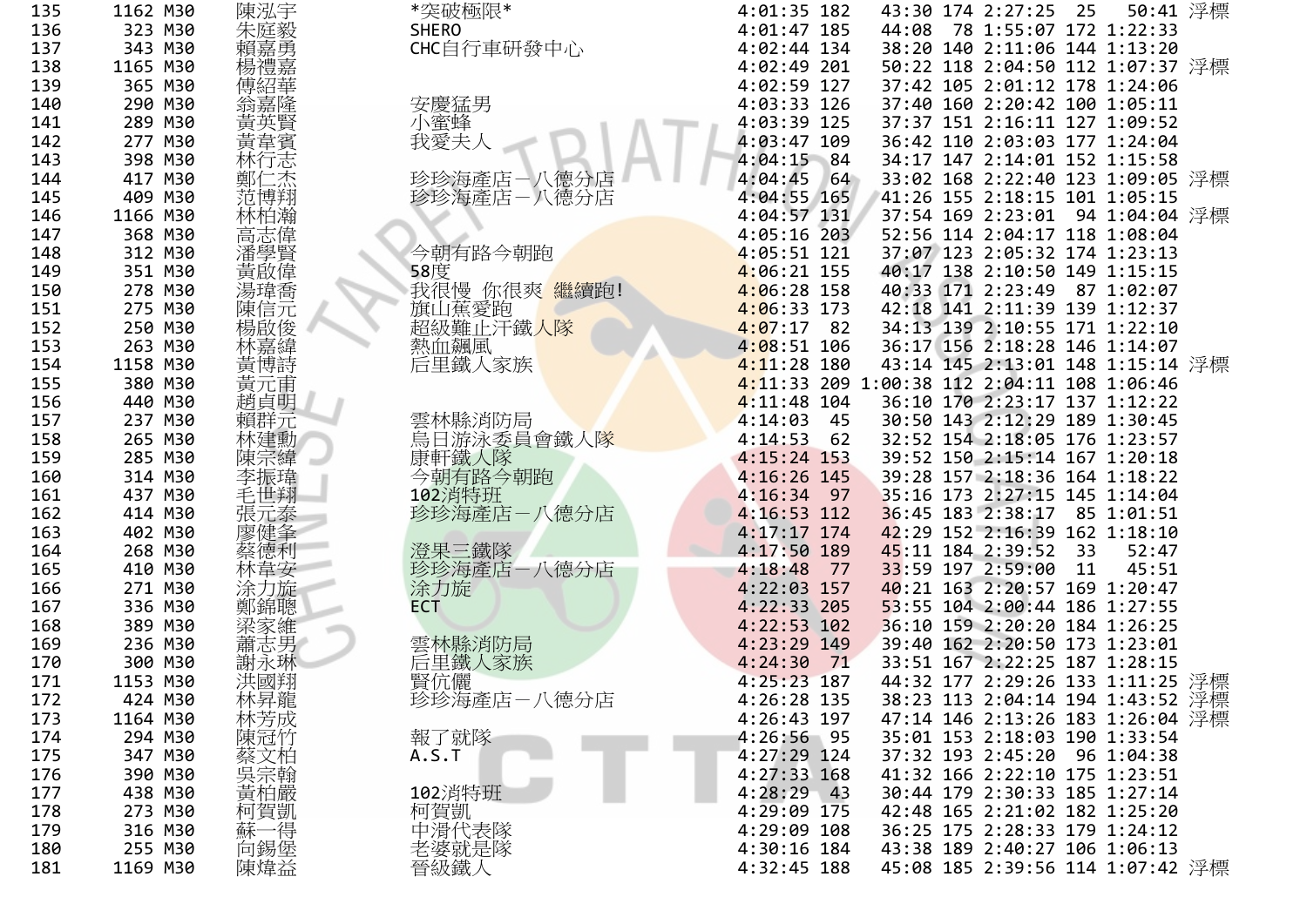| 5 | 1162 M30 | 陳泓宇          | *突破極限*                 | $4:01:35$ 182                               |  | 43:30 174 2:27:25 25             | 50:41 浮標 |  |
|---|----------|--------------|------------------------|---------------------------------------------|--|----------------------------------|----------|--|
| 6 | 323 M30  | 朱庭毅          | <b>SHERO</b>           | $4:01:47$ 185                               |  | 44:08 78 1:55:07 172 1:22:33     |          |  |
| 7 | 343 M30  |              | CHC自行車研發中心             | $4:02:44$ 134                               |  | 38:20 140 2:11:06 144 1:13:20    |          |  |
| 8 | 1165 M30 | 楊禮嘉          |                        | 4:02:49 201                                 |  | 50:22 118 2:04:50 112 1:07:37 浮標 |          |  |
| 9 | 365 M30  |              |                        | $4:02:59$ 127                               |  | 37:42 105 2:01:12 178 1:24:06    |          |  |
| 0 | 290 M30  |              | 安慶猛男                   | 4:03:33 126                                 |  | 37:40 160 2:20:42 100 1:05:11    |          |  |
|   | 289 M30  |              | 小蜜蜂                    | 4:03:39 125                                 |  | 37:37 151 2:16:11 127 1:09:52    |          |  |
| 2 | 277 M30  | 黃韋賓          | 我愛夫人                   | $4:03:47$ 109                               |  | 36:42 110 2:03:03 177 1:24:04    |          |  |
|   | 398 M30  | 林行志          |                        | $4:04:15$ 84                                |  | 34:17 147 2:14:01 152 1:15:58    |          |  |
| 4 | 417 M30  | 誌            | 珍珍海產店-八德分店             | 4:04:45<br>64                               |  | 33:02 168 2:22:40 123 1:09:05 浮標 |          |  |
| 5 | 409 M30  | 范博翔          | 珍珍海產店-八德分店             | 4:04:55 165                                 |  | 41:26 155 2:18:15 101 1:05:15    |          |  |
| 6 | 1166 M30 | 林柏瀚          |                        | 4:04:57 131                                 |  | 37:54 169 2:23:01 94 1:04:04 浮標  |          |  |
| 7 | 368 M30  | 高潘學啟         |                        | $4:05:16$ 203                               |  | 52:56 114 2:04:17 118 1:08:04    |          |  |
| 8 | 312 M30  |              | 今朝有路今朝跑                | $4:05:51$ 121                               |  | 37:07 123 2:05:32 174 1:23:13    |          |  |
| 9 | 351 M30  |              | 58度                    | $4:06:21$ 155                               |  | 40:17 138 2:10:50 149 1:15:15    |          |  |
| 0 | 278 M30  | 湯瑋喬          | 我很慢 你很爽 繼續跑!           | $4:06:28$ 158                               |  | 40:33 171 2:23:49 87 1:02:07     |          |  |
|   | 275 M30  | 陳信元          | 旗山蕉愛跑                  | $4:06:33$ 173                               |  | 42:18 141 2:11:39 139 1:12:37    |          |  |
| 2 | 250 M30  | 楊啟俊          | 超級難止汗鐵 <mark>人隊</mark> | $4:07:17$ 82                                |  | 34:13 139 2:10:55 171 1:22:10    |          |  |
| 3 | 263 M30  |              | 熱血飆風                   | $4:08:51$ 106                               |  | 36:17 156 2:18:28 146 1:14:07    |          |  |
| 4 | 1158 M30 | 林嘉緯<br>黄博詩   | 后里鐵人家族                 | $4:11:28$ 180                               |  | 43:14 145 2:13:01 148 1:15:14 浮標 |          |  |
| 5 | 380 M30  | 黃元甫          |                        | 4:11:33 209 1:00:38 112 2:04:11 108 1:06:46 |  |                                  |          |  |
| 6 | 440 M30  | 趙貞明          |                        | $4:11:48$ 104                               |  | 36:10 170 2:23:17 137 1:12:22    |          |  |
|   | 237 M30  | 賴群元          | 雲林縣消防局                 | $4:14:03$ 45                                |  | 30:50 143 2:12:29 189 1:30:45    |          |  |
| 8 | 265 M30  | 林建勳          | 烏日游泳委員會鐵人隊             | $4:14:53$ 62                                |  | 32:52 154 2:18:05 176 1:23:57    |          |  |
| 9 | 285 M30  | 陳宗緯          | 康軒鐵人隊                  | $4:15:24$ 153                               |  | 39:52 150 2:15:14 167 1:20:18    |          |  |
| 0 | 314 M30  | 李振瑋          | 今朝有路今朝跑                | 4:16:26 145                                 |  | 39:28 157 2:18:36 164 1:18:22    |          |  |
| 1 | 437 M30  | 毛世翔          | 102消特班                 | $4:16:34$ 97                                |  | 35:16 173 2:27:15 145 1:14:04    |          |  |
| 2 | 414 M30  | 張元泰          | 珍珍海產店-八德分店             | $4:16:53$ 112                               |  | 36:45 183 2:38:17 85 1:01:51     |          |  |
| 3 | 402 M30  | 廖健夆          |                        | $4:17:17$ 174                               |  | 42:29 152 2:16:39 162 1:18:10    |          |  |
| 4 | 268 M30  | 蔡德利          | 澄果三鐵隊                  | $4:17:50$ 189                               |  | 45:11 184 2:39:52 33             | 52:47    |  |
| 5 | 410 M30  |              | 珍珍海產店-八德分店             | 4:18:48<br>77                               |  | 33:59 197 2:59:00 11             | 45:51    |  |
| 6 | 271 M30  | 涂力旋          | 涂力旋                    | $4:22:03$ 157                               |  | 40:21 163 2:20:57 169 1:20:47    |          |  |
| 7 | 336 M30  | 鄭錦聰          | <b>ECT</b>             | $4:22:33$ 205                               |  | 53:55 104 2:00:44 186 1:27:55    |          |  |
| 8 | 389 M30  | 梁家維          |                        | $4:22:53$ 102                               |  | 36:10 159 2:20:20 184 1:26:25    |          |  |
| 9 | 236 M30  | 蕭志男          | 雲林縣消防局                 | $4:23:29$ 149                               |  | 39:40 162 2:20:50 173 1:23:01    |          |  |
| 0 | 300 M30  | 謝永琳          | 后里鐵人家族                 | 4:24:30<br>71                               |  | 33:51 167 2:22:25 187 1:28:15    |          |  |
|   | 1153 M30 | 洪國翔          | 賢伉儷                    | $4:25:23$ 187                               |  | 44:32 177 2:29:26 133 1:11:25 浮標 |          |  |
| 2 | 424 M30  | 林昇龍          | 珍珍海產店一八德分店             | 4:26:28 135                                 |  | 38:23 113 2:04:14 194 1:43:52 浮標 |          |  |
| 3 | 1164 M30 | 林芳成          |                        | 4:26:43 197                                 |  | 47:14 146 2:13:26 183 1:26:04 浮標 |          |  |
| 4 | 294 M30  | 陳冠竹          | 報了就隊                   | 4:26:56 95                                  |  | 35:01 153 2:18:03 190 1:33:54    |          |  |
| 5 | 347 M30  |              | A.S.T                  | 4:27:29 124                                 |  | 37:32 193 2:45:20 96 1:04:38     |          |  |
| 6 | 390 M30  | <b>蔡吴贵柏那</b> |                        | $4:27:33$ 168                               |  | 41:32 166 2:22:10 175 1:23:51    |          |  |
| 7 | 438 M30  |              | 102消特班                 | 4:28:29<br>$-43$                            |  | 30:44 179 2:30:33 185 1:27:14    |          |  |
| 8 | 273 M30  |              | 柯賀凱                    | 4:29:09 175                                 |  | 42:48 165 2:21:02 182 1:25:20    |          |  |
| 9 | 316 M30  | 柯賀凱<br>蘇一得   | 中滑代表隊                  | 4:29:09 108                                 |  | 36:25 175 2:28:33 179 1:24:12    |          |  |
| 0 | 255 M30  | 向錫堡          |                        | 4:30:16 184                                 |  | 43:38 189 2:40:27 106 1:06:13    |          |  |
| 1 | 1169 M30 | 陳煒益          | 老婆就是隊<br>晉級鐵人          | 4:32:45 188                                 |  | 45:08 185 2:39:56 114 1:07:42 浮標 |          |  |
|   |          |              |                        |                                             |  |                                  |          |  |

135

136

137

138

139

140

141

142

143

144

145

146

147

148

149

150

151

152

153

154

155

156

157

158

159

160

161

162

163

164

165

166

167

168

169

170

171

172

173

174

175

176

177

178

179

180

181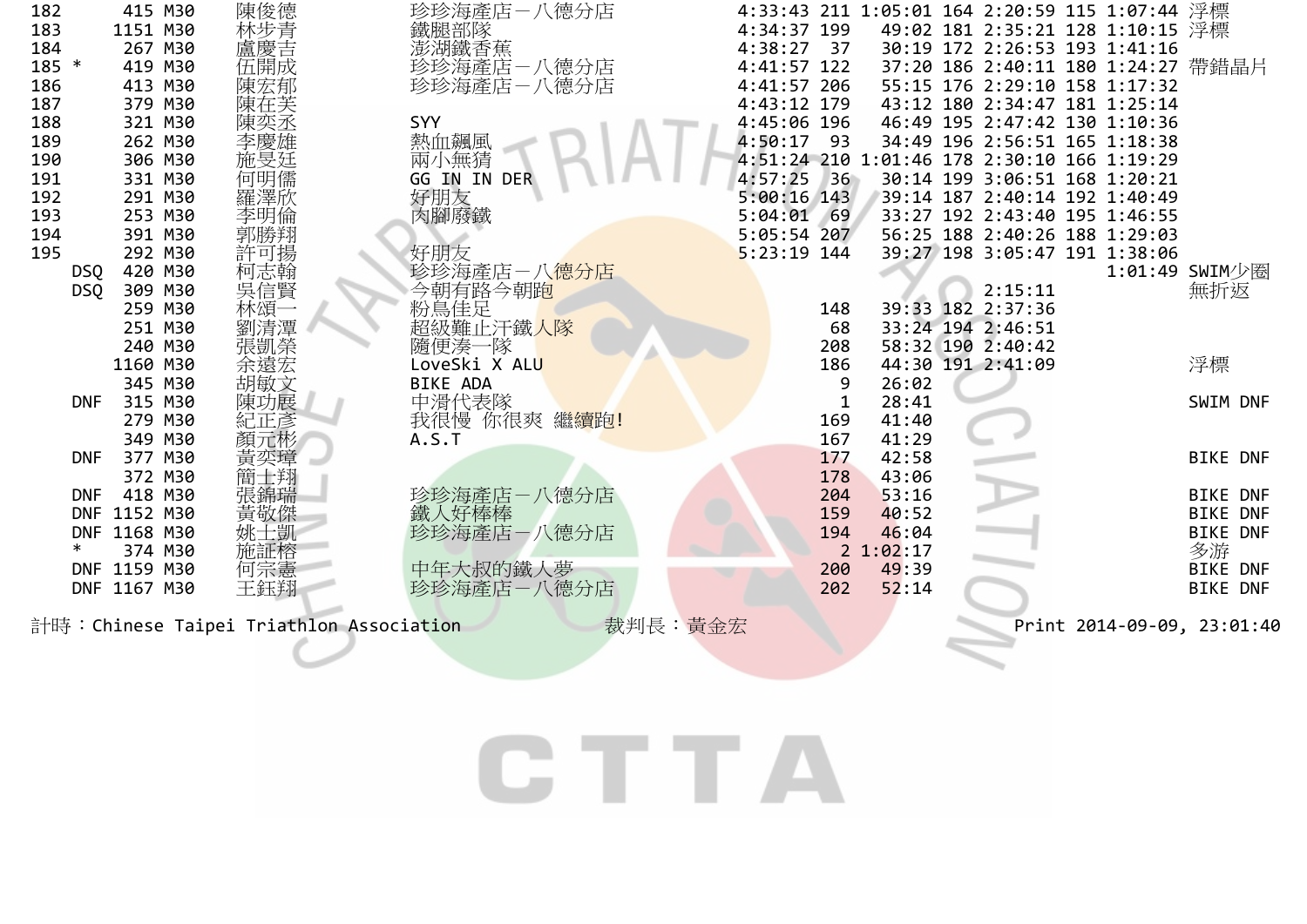| 182        | 415 M30                                                                          | 陳俊德        | 珍珍海產店-八德分店               | 4:33:43 211 1:05:01 164 2:20:59 115 1:07:44 浮標    |                           |  |  |  |  |  |  |
|------------|----------------------------------------------------------------------------------|------------|--------------------------|---------------------------------------------------|---------------------------|--|--|--|--|--|--|
| 183        | 1151 M30                                                                         |            | 鐵腿部隊<br>澎湖鐵香蕉            | 4:34:37 199<br>49:02 181 2:35:21 128 1:10:15 浮標   |                           |  |  |  |  |  |  |
| 184        | 267 M30                                                                          |            |                          | $4:38:27$ 37<br>30:19 172 2:26:53 193 1:41:16     |                           |  |  |  |  |  |  |
| 185 *      | 419 M30                                                                          | :林盧慶開成     | 珍珍海產店一八德分店               | 4:41:57 122<br>37:20 186 2:40:11 180 1:24:27 帶錯晶片 |                           |  |  |  |  |  |  |
| 186        | 413 M30                                                                          | 陳宏郁        | 珍珍海產店-八德分店               | 4:41:57 206<br>55:15 176 2:29:10 158 1:17:32      |                           |  |  |  |  |  |  |
| 187        | 379 M30                                                                          | 陳在芙        |                          | 4:43:12 179<br>43:12 180 2:34:47 181 1:25:14      |                           |  |  |  |  |  |  |
| 188        | 321 M30                                                                          |            | SYY                      | 4:45:06 196<br>46:49 195 2:47:42 130 1:10:36      |                           |  |  |  |  |  |  |
| 189        | 262 M30                                                                          | 李慶雄        | 熱血飆風                     | 4:50:17<br>93<br>34:49 196 2:56:51 165 1:18:38    |                           |  |  |  |  |  |  |
| 190        | 306 M30                                                                          | 施旻廷        | 兩小無猜                     | 4:51:24 210 1:01:46 178 2:30:10 166 1:19:29       |                           |  |  |  |  |  |  |
| 191        | 331 M30                                                                          | 何明儒        | GG IN IN DER             | 4:57:25<br>36<br>30:14 199 3:06:51 168 1:20:21    |                           |  |  |  |  |  |  |
| 192        | 291 M30                                                                          | 羅澤欣        | 好朋友                      | $5:00:16$ 143<br>39:14 187 2:40:14 192 1:40:49    |                           |  |  |  |  |  |  |
| 193        | 253 M30                                                                          | 李明倫        | 肉腳廢鐵                     | 5:04:01<br>33:27 192 2:43:40 195 1:46:55<br>69    |                           |  |  |  |  |  |  |
| 194        | 391 M30                                                                          | 郭勝翔        |                          | 56:25 188 2:40:26 188 1:29:03<br>$5:05:54$ 207    |                           |  |  |  |  |  |  |
| 195        | 292 M30                                                                          | 許可揚        | 好朋友                      | $5:23:19$ 144<br>39:27 198 3:05:47 191 1:38:06    |                           |  |  |  |  |  |  |
| DSQ        | 420 M30                                                                          |            | 珍珍海產店-八 <mark>德分店</mark> | 1:01:49 SWIM少圈                                    |                           |  |  |  |  |  |  |
| <b>DSQ</b> | 309 M30                                                                          | 柯志翰<br>吳信賢 |                          | 2:15:11                                           | 無折返                       |  |  |  |  |  |  |
|            | 259 M30                                                                          | 林頌         | 今朝有路今朝跑<br>粉鳥佳足          | 39:33 182 2:37:36<br>148                          |                           |  |  |  |  |  |  |
|            | 251 M30                                                                          | 劉清潭        | 超級難止汗鐵人隊                 | 33:24 194 2:46:51<br>68                           |                           |  |  |  |  |  |  |
|            | 240 M30                                                                          | 張凱榮        | 隨便湊一隊                    | 208<br>58:32 190 2:40:42                          |                           |  |  |  |  |  |  |
|            | 1160 M30                                                                         | 余遠宏        | LoveSki X ALU            | 186<br>44:30 191 2:41:09                          | 浮標                        |  |  |  |  |  |  |
|            | 345 M30                                                                          | 胡敏文        | <b>BIKE ADA</b>          | 9<br>26:02                                        |                           |  |  |  |  |  |  |
| <b>DNF</b> | 315 M30                                                                          | 陳功展        | 中滑代表隊                    | 28:41                                             | SWIM DNF                  |  |  |  |  |  |  |
|            | 279 M30                                                                          | 紀正彥        | 我很慢 你很爽 繼續跑!             | 41:40<br>169                                      |                           |  |  |  |  |  |  |
|            | 349 M30                                                                          | 顏元彬        | A.S.T                    | 41:29<br>167                                      |                           |  |  |  |  |  |  |
| <b>DNF</b> | 377 M30                                                                          | 黃奕璋        |                          | 42:58<br>177                                      | <b>BIKE DNF</b>           |  |  |  |  |  |  |
|            | 372 M30                                                                          | 簡士翔        |                          | 43:06<br>178                                      |                           |  |  |  |  |  |  |
| <b>DNF</b> | 418 M30                                                                          |            | 珍珍海產店一八德分店               | 53:16<br>204                                      | <b>BIKE DNF</b>           |  |  |  |  |  |  |
|            | DNF 1152 M30                                                                     | 黃敬傑        | 鐵人好棒棒                    | 159<br>40:52                                      | <b>BIKE DNF</b>           |  |  |  |  |  |  |
|            | DNF 1168 M30                                                                     | 姚士凱        | 珍珍海產店一八德分店               | 194<br>46:04                                      | <b>BIKE DNF</b>           |  |  |  |  |  |  |
|            | 374 M30                                                                          | 施証榕        |                          | 2 1:02:17                                         | 多游                        |  |  |  |  |  |  |
|            | DNF 1159 M30                                                                     | 何宗憲        | 中年大叔的鐵人夢                 | 49:39<br>200                                      | <b>BIKE DNF</b>           |  |  |  |  |  |  |
| <b>DNF</b> | 1167 M30                                                                         | 王鈺翔        | 珍珍海產店一八德分店               | 52:14<br>202                                      | <b>BIKE</b><br><b>DNF</b> |  |  |  |  |  |  |
|            | 裁判長:黃金宏<br>計時:Chinese Taipei Triathlon Association<br>Print 2014-09-09, 23:01:40 |            |                          |                                                   |                           |  |  |  |  |  |  |

CTTA

 $\overline{\phantom{a}}$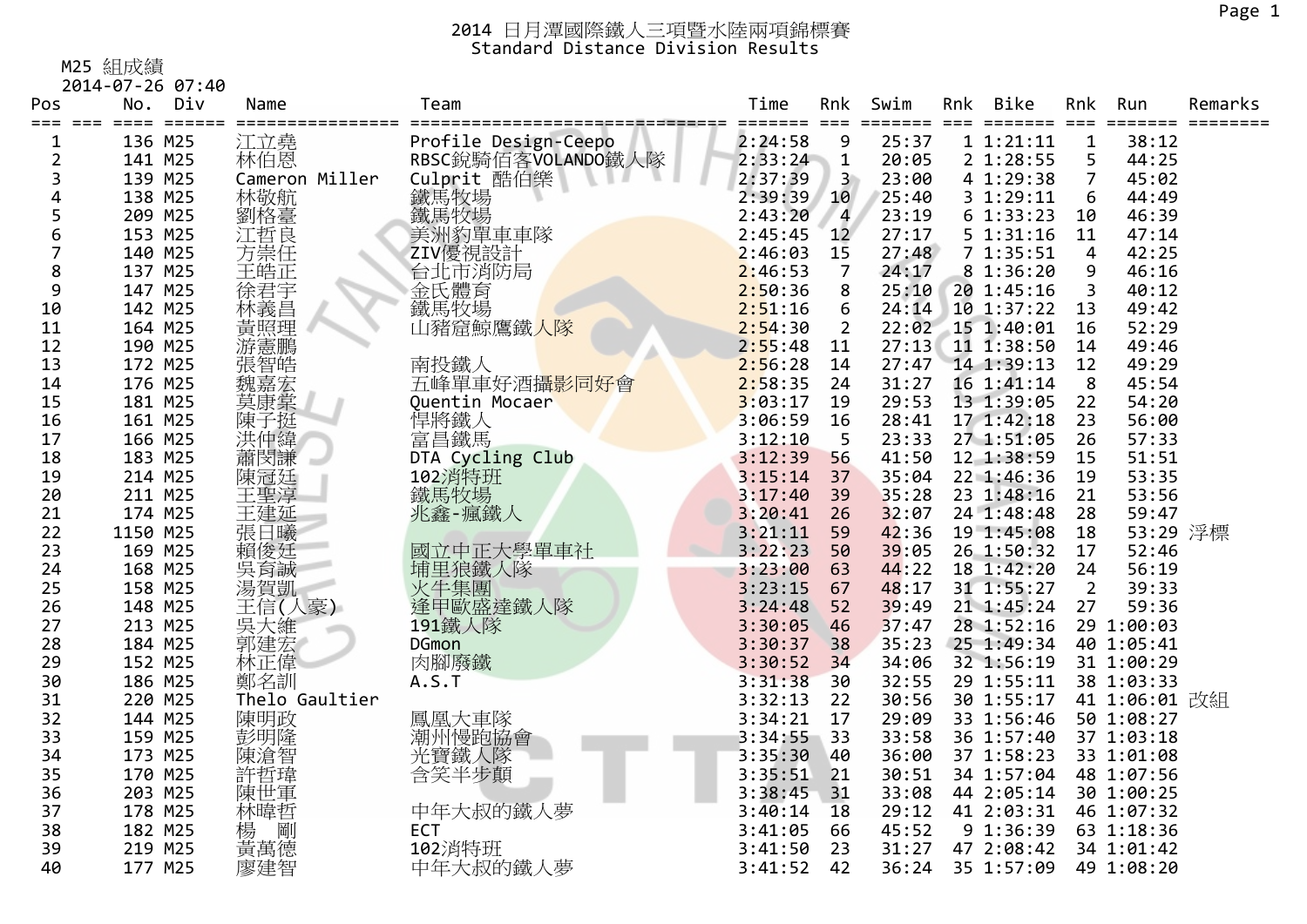#### M25 組成績

2014‐07‐26 07:40

| Pos            | No.<br>==== | Div<br>$=$ $=$ $=$ $=$ $=$ | Name           | Team                        | Time<br>==== | Rnk<br>$===$            | Swim<br>==== | Rnk | <b>Bike</b><br>======= | Rnk<br>$=$ $=$ $=$ | Run<br>====   | Remarks |
|----------------|-------------|----------------------------|----------------|-----------------------------|--------------|-------------------------|--------------|-----|------------------------|--------------------|---------------|---------|
| 1              | 136 M25     |                            | 江立堯            | Profile Design-Ceepo        | 2:24:58      | 9                       | 25:37        |     | 1 1:21:11              | 1                  | 38:12         |         |
| $\overline{2}$ | 141 M25     |                            | 林伯恩            | RBSC銳騎佰客VOLANDO鐵人隊          | 2:33:24      | $\mathbf{1}$            | 20:05        |     | 2 1:28:55              | 5                  | 44:25         |         |
| 3              | 139 M25     |                            | Cameron Miller | Culprit 酷伯樂<br>鐵馬牧場<br>鐵馬牧場 | 2:37:39      | $\overline{\mathbf{3}}$ | 23:00        |     | 4 1:29:38              | $\overline{7}$     | 45:02         |         |
| 4              | 138 M25     |                            | 林敬航<br>劉格臺     |                             | 2:39:39      | 10                      | 25:40        |     | 3 1:29:11              | 6                  | 44:49         |         |
| 5              | 209 M25     |                            |                |                             | 2:43:20      | $\overline{\mathbf{4}}$ | 23:19        |     | 61:33:23               | 10                 | 46:39         |         |
| 6              | 153 M25     |                            | 江哲良<br>方崇任     | 美洲豹單車車隊                     | 2:45:45      | 12 <sup>2</sup>         | 27:17        |     | 5 1:31:16              | 11                 | 47:14         |         |
| 7              | 140 M25     |                            |                | ZIV優視設計                     | 2:46:03      | 15                      | 27:48        |     | 71:35:51               | $\overline{4}$     | 42:25         |         |
| 8              | 137 M25     |                            | ,王徐林<br>,皓君義   | 台北市消防局<br>金氏體育<br>鐵馬牧場      | 2:46:53      | $\overline{7}$          | 24:17        |     | 8 1:36:20              | 9                  | 46:16         |         |
| 9              | 147 M25     |                            |                |                             | 2:50:36      | 8                       | 25:10        |     | 20 1:45:16             | 3                  | 40:12         |         |
| 10             | 142 M25     |                            |                |                             | 2:51:16      | 6                       | 24:14        |     | 10 1:37:22             | 13                 | 49:42         |         |
| 11             | 164 M25     |                            | 黃照理            | 山豬窟鯨鷹鐵人隊                    | 2:54:30      | $\overline{2}$          | 22:02        |     | 15 1:40:01             | 16                 | 52:29         |         |
| 12             | 190 M25     |                            |                |                             | 2:55:48      | 11                      | 27:13        |     | 11 1:38:50             | 14                 | 49:46         |         |
| 13             | 172 M25     |                            | <b>、游憲智嘉堂</b>  | 南投鐵人                        | 2:56:28      | 14                      | 27:47        |     | 14 1:39:13             | 12                 | 49:29         |         |
| 14             | 176 M25     |                            |                | 五峰單車好酒攝影同好會                 | 2:58:35      | 24                      | 31:27        |     | 16 1:41:14             | 8                  | 45:54         |         |
| 15             | 181 M25     |                            | 莫康棠            | Quentin Mocaer              | 3:03:17      | 19                      | 29:53        |     | 13 1:39:05             | 22                 | 54:20         |         |
| 16             | 161 M25     |                            | 陳子挺            | 悍將鐵人                        | 3:06:59      | 16                      | 28:41        |     | 17 1:42:18             | 23                 | 56:00         |         |
| 17             | 166 M25     |                            | 洪仲緯            | 富昌鐵馬                        | 3:12:10      | 5                       | 23:33        |     | 27 1:51:05             | 26                 | 57:33         |         |
| 18             | 183 M25     |                            | 蕭閔謙            | DTA Cycling Club            | 3:12:39      | 56                      | 41:50        |     | 12 1:38:59             | 15                 | 51:51         |         |
| 19             | 214 M25     |                            | 陳冠廷            | 102消特班                      | 3:15:14      | 37                      | 35:04        |     | 22 1:46:36             | 19                 | 53:35         |         |
| 20             | 211 M25     |                            | 王聖淳            | 鐵馬牧場                        | 3:17:40      | 39                      | 35:28        |     | 23 1:48:16             | 21                 | 53:56         |         |
| 21             | 174 M25     |                            | 王建延            | 兆鑫-瘋鐵人                      | 3:20:41      | 26                      | 32:07        |     | 24 1:48:48             | 28                 | 59:47         |         |
| 22             | 1150 M25    |                            | 張日曦            |                             | 3:21:11      | 59                      | 42:36        |     | 19 1:45:08             | 18                 | 53:29 浮標      |         |
| 23             | 169 M25     |                            | 賴俊廷            |                             | 3:22:23      | 50                      | 39:05        |     | 26 1:50:32             | 17                 | 52:46         |         |
| 24             | 168 M25     |                            | 吳育誠            | 國立中正大學單車社<br>埔里狼鐵人隊         | 3:23:00      | 63                      | 44:22        |     | 18 1:42:20             | 24                 | 56:19         |         |
| 25             | 158 M25     |                            | 湯賀凱            | 火牛集團                        | 3:23:15      | 67                      | 48:17        |     | 31 1:55:27             | $\overline{2}$     | 39:33         |         |
| 26             | 148 M25     |                            | 王信(人豪)         | 逢甲歐盛達鐵人隊                    | 3:24:48      | 52                      | 39:49        |     | 21 1:45:24             | 27                 | 59:36         |         |
| 27             | 213 M25     |                            |                | 191鐵人隊                      | 3:30:05      | 46                      | 37:47        |     | 28 1:52:16             |                    | 29 1:00:03    |         |
| 28             | 184 M25     |                            | 三天維<br>郭建宏     | <b>DGmon</b>                | 3:30:37      | 38                      | 35:23        |     | 25 1:49:34             |                    | 40 1:05:41    |         |
| 29             | 152 M25     |                            | 林正偉            | 肉腳廢鐵                        | 3:30:52      | 34                      | 34:06        |     | 32 1:56:19             |                    | 31 1:00:29    |         |
| 30             | 186 M25     |                            | 鄭名訓            | A.S.T                       | 3:31:38      | 30                      | 32:55        |     | 29 1:55:11             |                    | 38 1:03:33    |         |
| 31             | 220 M25     |                            | Thelo Gaultier |                             | 3:32:13      | 22                      | 30:56        |     | 30 1:55:17             |                    | 41 1:06:01 改組 |         |
| 32             | 144 M25     |                            | 陳明政            |                             | 3:34:21      | 17                      | 29:09        |     | 33 1:56:46             |                    | 50 1:08:27    |         |
| 33             | 159 M25     |                            | 彭明隆            | 鳳凰大車隊<br>潮州慢跑協會             | 3:34:55      | 33                      | 33:58        |     | 36 1:57:40             |                    | 37 1:03:18    |         |
| 34             | 173 M25     |                            | 陳滄智            | 光寶鐵人隊                       | 3:35:30      | 40                      | 36:00        |     | 37 1:58:23             |                    | 33 1:01:08    |         |
| 35             | 170 M25     |                            | 許哲瑋            | 含笑半步顛                       | 3:35:51      | 21                      | 30:51        |     | 34 1:57:04             |                    | 48 1:07:56    |         |
| 36             | 203 M25     |                            | 陳世軍            |                             | 3:38:45      | 31                      | 33:08        |     | 44 2:05:14             |                    | 30 1:00:25    |         |
| 37             | 178 M25     |                            | 林暐哲            | 中年大叔的鐵人夢                    | 3:40:14      | 18                      | 29:12        |     | 41 2:03:31             |                    | 46 1:07:32    |         |
| 38             | 182 M25     |                            |                | ECT                         | 3:41:05      | 66                      | 45:52        |     | 9 1:36:39              |                    | 63 1:18:36    |         |
| 39             | 219 M25     |                            | 楊 剛<br>黃萬德     | 102消特班                      | 3:41:50      | 23                      | 31:27        |     | 47 2:08:42             |                    | 34 1:01:42    |         |
| 40             | 177 M25     |                            | 廖建智            | 中年大叔的鐵人夢                    | 3:41:52      | 42                      | 36:24        |     | 35 1:57:09             |                    | 49 1:08:20    |         |
|                |             |                            |                |                             |              |                         |              |     |                        |                    |               |         |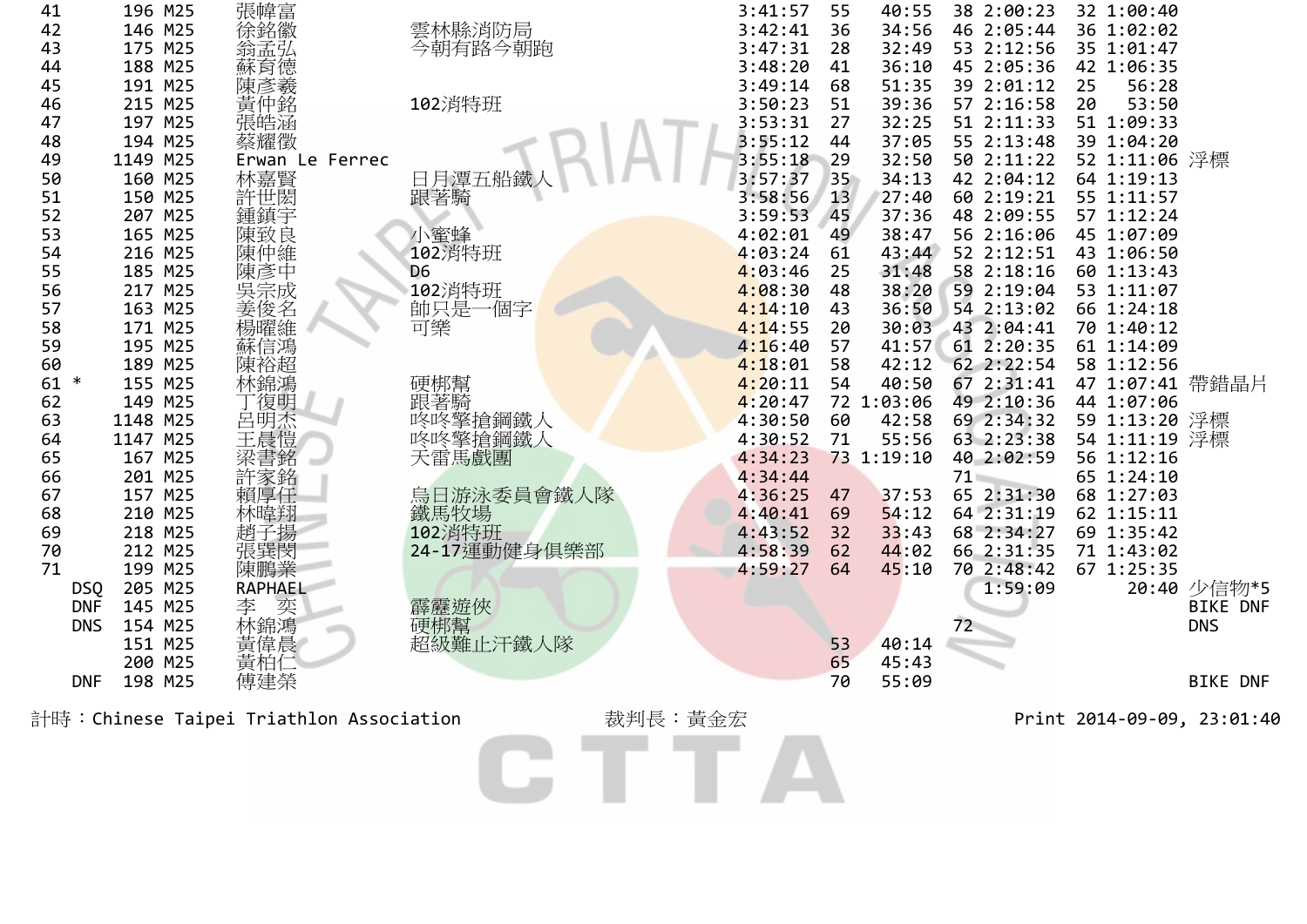| 196 M25  |                                                                                                                                                                                                                                                                                                                                                                            |                                                                                                                                                                                                                                      | 3:41:57                                                                                                                                                                                                                                                     | 55                                                                                                                                                                                                                                                                                             | 40:55                                                                      | 38 2:00:23                                                                                                                                                               | 32 1:00:40                                                                                                                                                                                                                                                                                                                           |                                                                                                                                                                                                                                                                                                                                                                                                                                                                    |
|----------|----------------------------------------------------------------------------------------------------------------------------------------------------------------------------------------------------------------------------------------------------------------------------------------------------------------------------------------------------------------------------|--------------------------------------------------------------------------------------------------------------------------------------------------------------------------------------------------------------------------------------|-------------------------------------------------------------------------------------------------------------------------------------------------------------------------------------------------------------------------------------------------------------|------------------------------------------------------------------------------------------------------------------------------------------------------------------------------------------------------------------------------------------------------------------------------------------------|----------------------------------------------------------------------------|--------------------------------------------------------------------------------------------------------------------------------------------------------------------------|--------------------------------------------------------------------------------------------------------------------------------------------------------------------------------------------------------------------------------------------------------------------------------------------------------------------------------------|--------------------------------------------------------------------------------------------------------------------------------------------------------------------------------------------------------------------------------------------------------------------------------------------------------------------------------------------------------------------------------------------------------------------------------------------------------------------|
| 146 M25  |                                                                                                                                                                                                                                                                                                                                                                            |                                                                                                                                                                                                                                      | 3:42:41                                                                                                                                                                                                                                                     | 36                                                                                                                                                                                                                                                                                             | 34:56                                                                      | 46 2:05:44                                                                                                                                                               |                                                                                                                                                                                                                                                                                                                                      |                                                                                                                                                                                                                                                                                                                                                                                                                                                                    |
| 175 M25  |                                                                                                                                                                                                                                                                                                                                                                            |                                                                                                                                                                                                                                      | 3:47:31                                                                                                                                                                                                                                                     | 28                                                                                                                                                                                                                                                                                             | 32:49                                                                      | 53 2:12:56                                                                                                                                                               |                                                                                                                                                                                                                                                                                                                                      |                                                                                                                                                                                                                                                                                                                                                                                                                                                                    |
| 188 M25  |                                                                                                                                                                                                                                                                                                                                                                            |                                                                                                                                                                                                                                      | 3:48:20                                                                                                                                                                                                                                                     | 41                                                                                                                                                                                                                                                                                             | 36:10                                                                      | 45 2:05:36                                                                                                                                                               |                                                                                                                                                                                                                                                                                                                                      |                                                                                                                                                                                                                                                                                                                                                                                                                                                                    |
| 191 M25  |                                                                                                                                                                                                                                                                                                                                                                            |                                                                                                                                                                                                                                      | 3:49:14                                                                                                                                                                                                                                                     | 68                                                                                                                                                                                                                                                                                             | 51:35                                                                      | 39 2:01:12                                                                                                                                                               | 25                                                                                                                                                                                                                                                                                                                                   |                                                                                                                                                                                                                                                                                                                                                                                                                                                                    |
| 215 M25  |                                                                                                                                                                                                                                                                                                                                                                            |                                                                                                                                                                                                                                      | 3:50:23                                                                                                                                                                                                                                                     | 51                                                                                                                                                                                                                                                                                             | 39:36                                                                      | 57 2:16:58                                                                                                                                                               | 20                                                                                                                                                                                                                                                                                                                                   |                                                                                                                                                                                                                                                                                                                                                                                                                                                                    |
|          |                                                                                                                                                                                                                                                                                                                                                                            |                                                                                                                                                                                                                                      |                                                                                                                                                                                                                                                             | 27                                                                                                                                                                                                                                                                                             |                                                                            |                                                                                                                                                                          |                                                                                                                                                                                                                                                                                                                                      |                                                                                                                                                                                                                                                                                                                                                                                                                                                                    |
| 194 M25  |                                                                                                                                                                                                                                                                                                                                                                            |                                                                                                                                                                                                                                      |                                                                                                                                                                                                                                                             |                                                                                                                                                                                                                                                                                                |                                                                            |                                                                                                                                                                          |                                                                                                                                                                                                                                                                                                                                      |                                                                                                                                                                                                                                                                                                                                                                                                                                                                    |
| 1149 M25 |                                                                                                                                                                                                                                                                                                                                                                            |                                                                                                                                                                                                                                      |                                                                                                                                                                                                                                                             |                                                                                                                                                                                                                                                                                                | 32:50                                                                      |                                                                                                                                                                          |                                                                                                                                                                                                                                                                                                                                      |                                                                                                                                                                                                                                                                                                                                                                                                                                                                    |
|          |                                                                                                                                                                                                                                                                                                                                                                            |                                                                                                                                                                                                                                      |                                                                                                                                                                                                                                                             |                                                                                                                                                                                                                                                                                                | 34:13                                                                      |                                                                                                                                                                          |                                                                                                                                                                                                                                                                                                                                      |                                                                                                                                                                                                                                                                                                                                                                                                                                                                    |
|          |                                                                                                                                                                                                                                                                                                                                                                            |                                                                                                                                                                                                                                      |                                                                                                                                                                                                                                                             | 13                                                                                                                                                                                                                                                                                             | 27:40                                                                      |                                                                                                                                                                          |                                                                                                                                                                                                                                                                                                                                      |                                                                                                                                                                                                                                                                                                                                                                                                                                                                    |
|          |                                                                                                                                                                                                                                                                                                                                                                            |                                                                                                                                                                                                                                      |                                                                                                                                                                                                                                                             | 45                                                                                                                                                                                                                                                                                             | 37:36                                                                      | 48 2:09:55                                                                                                                                                               |                                                                                                                                                                                                                                                                                                                                      |                                                                                                                                                                                                                                                                                                                                                                                                                                                                    |
|          |                                                                                                                                                                                                                                                                                                                                                                            |                                                                                                                                                                                                                                      |                                                                                                                                                                                                                                                             | 49                                                                                                                                                                                                                                                                                             |                                                                            |                                                                                                                                                                          |                                                                                                                                                                                                                                                                                                                                      |                                                                                                                                                                                                                                                                                                                                                                                                                                                                    |
|          |                                                                                                                                                                                                                                                                                                                                                                            |                                                                                                                                                                                                                                      |                                                                                                                                                                                                                                                             |                                                                                                                                                                                                                                                                                                |                                                                            |                                                                                                                                                                          |                                                                                                                                                                                                                                                                                                                                      |                                                                                                                                                                                                                                                                                                                                                                                                                                                                    |
|          |                                                                                                                                                                                                                                                                                                                                                                            | D <sub>6</sub>                                                                                                                                                                                                                       |                                                                                                                                                                                                                                                             | 25                                                                                                                                                                                                                                                                                             |                                                                            |                                                                                                                                                                          |                                                                                                                                                                                                                                                                                                                                      |                                                                                                                                                                                                                                                                                                                                                                                                                                                                    |
|          |                                                                                                                                                                                                                                                                                                                                                                            |                                                                                                                                                                                                                                      |                                                                                                                                                                                                                                                             | 48                                                                                                                                                                                                                                                                                             |                                                                            |                                                                                                                                                                          |                                                                                                                                                                                                                                                                                                                                      |                                                                                                                                                                                                                                                                                                                                                                                                                                                                    |
|          |                                                                                                                                                                                                                                                                                                                                                                            |                                                                                                                                                                                                                                      |                                                                                                                                                                                                                                                             | 43                                                                                                                                                                                                                                                                                             |                                                                            |                                                                                                                                                                          |                                                                                                                                                                                                                                                                                                                                      |                                                                                                                                                                                                                                                                                                                                                                                                                                                                    |
|          |                                                                                                                                                                                                                                                                                                                                                                            |                                                                                                                                                                                                                                      |                                                                                                                                                                                                                                                             |                                                                                                                                                                                                                                                                                                |                                                                            |                                                                                                                                                                          |                                                                                                                                                                                                                                                                                                                                      |                                                                                                                                                                                                                                                                                                                                                                                                                                                                    |
|          |                                                                                                                                                                                                                                                                                                                                                                            |                                                                                                                                                                                                                                      |                                                                                                                                                                                                                                                             |                                                                                                                                                                                                                                                                                                |                                                                            |                                                                                                                                                                          |                                                                                                                                                                                                                                                                                                                                      |                                                                                                                                                                                                                                                                                                                                                                                                                                                                    |
|          |                                                                                                                                                                                                                                                                                                                                                                            |                                                                                                                                                                                                                                      |                                                                                                                                                                                                                                                             |                                                                                                                                                                                                                                                                                                |                                                                            |                                                                                                                                                                          |                                                                                                                                                                                                                                                                                                                                      |                                                                                                                                                                                                                                                                                                                                                                                                                                                                    |
|          |                                                                                                                                                                                                                                                                                                                                                                            |                                                                                                                                                                                                                                      |                                                                                                                                                                                                                                                             | 54                                                                                                                                                                                                                                                                                             |                                                                            |                                                                                                                                                                          |                                                                                                                                                                                                                                                                                                                                      |                                                                                                                                                                                                                                                                                                                                                                                                                                                                    |
|          |                                                                                                                                                                                                                                                                                                                                                                            |                                                                                                                                                                                                                                      |                                                                                                                                                                                                                                                             |                                                                                                                                                                                                                                                                                                |                                                                            |                                                                                                                                                                          |                                                                                                                                                                                                                                                                                                                                      |                                                                                                                                                                                                                                                                                                                                                                                                                                                                    |
|          |                                                                                                                                                                                                                                                                                                                                                                            |                                                                                                                                                                                                                                      |                                                                                                                                                                                                                                                             |                                                                                                                                                                                                                                                                                                |                                                                            |                                                                                                                                                                          |                                                                                                                                                                                                                                                                                                                                      |                                                                                                                                                                                                                                                                                                                                                                                                                                                                    |
|          |                                                                                                                                                                                                                                                                                                                                                                            |                                                                                                                                                                                                                                      |                                                                                                                                                                                                                                                             |                                                                                                                                                                                                                                                                                                |                                                                            |                                                                                                                                                                          |                                                                                                                                                                                                                                                                                                                                      |                                                                                                                                                                                                                                                                                                                                                                                                                                                                    |
|          |                                                                                                                                                                                                                                                                                                                                                                            |                                                                                                                                                                                                                                      |                                                                                                                                                                                                                                                             |                                                                                                                                                                                                                                                                                                |                                                                            |                                                                                                                                                                          |                                                                                                                                                                                                                                                                                                                                      |                                                                                                                                                                                                                                                                                                                                                                                                                                                                    |
|          |                                                                                                                                                                                                                                                                                                                                                                            |                                                                                                                                                                                                                                      |                                                                                                                                                                                                                                                             |                                                                                                                                                                                                                                                                                                |                                                                            | $71-$                                                                                                                                                                    |                                                                                                                                                                                                                                                                                                                                      |                                                                                                                                                                                                                                                                                                                                                                                                                                                                    |
|          | 賴厚任                                                                                                                                                                                                                                                                                                                                                                        |                                                                                                                                                                                                                                      |                                                                                                                                                                                                                                                             | 47                                                                                                                                                                                                                                                                                             |                                                                            |                                                                                                                                                                          |                                                                                                                                                                                                                                                                                                                                      |                                                                                                                                                                                                                                                                                                                                                                                                                                                                    |
|          |                                                                                                                                                                                                                                                                                                                                                                            |                                                                                                                                                                                                                                      |                                                                                                                                                                                                                                                             |                                                                                                                                                                                                                                                                                                |                                                                            |                                                                                                                                                                          |                                                                                                                                                                                                                                                                                                                                      |                                                                                                                                                                                                                                                                                                                                                                                                                                                                    |
|          |                                                                                                                                                                                                                                                                                                                                                                            |                                                                                                                                                                                                                                      |                                                                                                                                                                                                                                                             |                                                                                                                                                                                                                                                                                                |                                                                            |                                                                                                                                                                          |                                                                                                                                                                                                                                                                                                                                      |                                                                                                                                                                                                                                                                                                                                                                                                                                                                    |
|          |                                                                                                                                                                                                                                                                                                                                                                            |                                                                                                                                                                                                                                      |                                                                                                                                                                                                                                                             | 62                                                                                                                                                                                                                                                                                             | 44:02                                                                      |                                                                                                                                                                          |                                                                                                                                                                                                                                                                                                                                      |                                                                                                                                                                                                                                                                                                                                                                                                                                                                    |
|          |                                                                                                                                                                                                                                                                                                                                                                            |                                                                                                                                                                                                                                      |                                                                                                                                                                                                                                                             | 64                                                                                                                                                                                                                                                                                             | 45:10                                                                      |                                                                                                                                                                          |                                                                                                                                                                                                                                                                                                                                      |                                                                                                                                                                                                                                                                                                                                                                                                                                                                    |
|          |                                                                                                                                                                                                                                                                                                                                                                            |                                                                                                                                                                                                                                      |                                                                                                                                                                                                                                                             |                                                                                                                                                                                                                                                                                                |                                                                            | 1:59:09                                                                                                                                                                  |                                                                                                                                                                                                                                                                                                                                      | 20:40 少信物*5                                                                                                                                                                                                                                                                                                                                                                                                                                                        |
|          |                                                                                                                                                                                                                                                                                                                                                                            |                                                                                                                                                                                                                                      |                                                                                                                                                                                                                                                             |                                                                                                                                                                                                                                                                                                |                                                                            |                                                                                                                                                                          |                                                                                                                                                                                                                                                                                                                                      | <b>BIKE DNF</b>                                                                                                                                                                                                                                                                                                                                                                                                                                                    |
|          |                                                                                                                                                                                                                                                                                                                                                                            |                                                                                                                                                                                                                                      |                                                                                                                                                                                                                                                             |                                                                                                                                                                                                                                                                                                |                                                                            |                                                                                                                                                                          |                                                                                                                                                                                                                                                                                                                                      | <b>DNS</b>                                                                                                                                                                                                                                                                                                                                                                                                                                                         |
|          |                                                                                                                                                                                                                                                                                                                                                                            |                                                                                                                                                                                                                                      |                                                                                                                                                                                                                                                             |                                                                                                                                                                                                                                                                                                | 40:14                                                                      |                                                                                                                                                                          |                                                                                                                                                                                                                                                                                                                                      |                                                                                                                                                                                                                                                                                                                                                                                                                                                                    |
|          |                                                                                                                                                                                                                                                                                                                                                                            |                                                                                                                                                                                                                                      |                                                                                                                                                                                                                                                             |                                                                                                                                                                                                                                                                                                | 45:43                                                                      |                                                                                                                                                                          |                                                                                                                                                                                                                                                                                                                                      |                                                                                                                                                                                                                                                                                                                                                                                                                                                                    |
| 198 M25  |                                                                                                                                                                                                                                                                                                                                                                            |                                                                                                                                                                                                                                      |                                                                                                                                                                                                                                                             | 70                                                                                                                                                                                                                                                                                             | 55:09                                                                      |                                                                                                                                                                          |                                                                                                                                                                                                                                                                                                                                      | <b>BIKE DNF</b>                                                                                                                                                                                                                                                                                                                                                                                                                                                    |
|          |                                                                                                                                                                                                                                                                                                                                                                            |                                                                                                                                                                                                                                      |                                                                                                                                                                                                                                                             |                                                                                                                                                                                                                                                                                                |                                                                            |                                                                                                                                                                          |                                                                                                                                                                                                                                                                                                                                      |                                                                                                                                                                                                                                                                                                                                                                                                                                                                    |
|          |                                                                                                                                                                                                                                                                                                                                                                            |                                                                                                                                                                                                                                      |                                                                                                                                                                                                                                                             |                                                                                                                                                                                                                                                                                                |                                                                            |                                                                                                                                                                          |                                                                                                                                                                                                                                                                                                                                      |                                                                                                                                                                                                                                                                                                                                                                                                                                                                    |
|          |                                                                                                                                                                                                                                                                                                                                                                            |                                                                                                                                                                                                                                      |                                                                                                                                                                                                                                                             |                                                                                                                                                                                                                                                                                                |                                                                            |                                                                                                                                                                          |                                                                                                                                                                                                                                                                                                                                      |                                                                                                                                                                                                                                                                                                                                                                                                                                                                    |
|          |                                                                                                                                                                                                                                                                                                                                                                            |                                                                                                                                                                                                                                      |                                                                                                                                                                                                                                                             |                                                                                                                                                                                                                                                                                                |                                                                            |                                                                                                                                                                          |                                                                                                                                                                                                                                                                                                                                      |                                                                                                                                                                                                                                                                                                                                                                                                                                                                    |
|          |                                                                                                                                                                                                                                                                                                                                                                            |                                                                                                                                                                                                                                      |                                                                                                                                                                                                                                                             |                                                                                                                                                                                                                                                                                                |                                                                            |                                                                                                                                                                          |                                                                                                                                                                                                                                                                                                                                      |                                                                                                                                                                                                                                                                                                                                                                                                                                                                    |
|          |                                                                                                                                                                                                                                                                                                                                                                            |                                                                                                                                                                                                                                      |                                                                                                                                                                                                                                                             |                                                                                                                                                                                                                                                                                                |                                                                            |                                                                                                                                                                          |                                                                                                                                                                                                                                                                                                                                      |                                                                                                                                                                                                                                                                                                                                                                                                                                                                    |
|          | 197 M25<br>160 M25<br>150 M25<br>207 M25<br>165 M25<br>216 M25<br>185 M25<br>217 M25<br>163 M25<br>171 M25<br>195 M25<br>189 M25<br>155 M25<br>149 M25<br>1148 M25<br>1147 M25<br>167 M25<br>201 M25<br>157 M25<br>210 M25<br>218 M25<br>212 M25<br>199 M25<br>205 M25<br><b>DSQ</b><br><b>DNF</b><br>145 M25<br>154 M25<br><b>DNS</b><br>151 M25<br>200 M25<br><b>DNF</b> | 張幃富<br>徐銘徽<br>翁孟弘<br>蘇陳黃仲,<br>張皓涵<br>蔡耀徵<br>Erwan Le Ferrec<br>林嘉賢<br>許世閎<br>鍾鎮宇<br>#陳陳陳吳姜楊蘇陳キ*<br>紫致仲彥宗俊曜信裕\$短<br>林錦鴻<br>-丁呂王温<br>張<br>王<br>王<br>王<br>許家銘<br>林暐翔<br>趙子揚<br>張巽閔<br>陳鵬業<br>RAPHAEL<br>李 奕<br>林錦鴻<br>黃偉晨<br>黃柏(<br>傅建榮 | 雲林縣消防局<br>今朝有路今朝跑<br>102消特班<br>日月潭五船鐵<br>跟著騎<br>小蜜蜂<br>102消特班<br>102消特班<br>帥只是一個字<br>可樂<br>硬梆幫<br>跟著騎<br>咚咚擎搶鋼鐵人<br>咚咚警搶鋼鐵人<br>天雷馬戲團<br>烏日游泳委員會鐵人隊<br>鐵馬牧場<br>102 消特班<br>24-17運動健身俱樂部<br>霹靂遊俠<br>硬梆幫<br>超級難止汗鐵人隊<br>計時:Chinese Taipei Triathlon Association | 3:53:31<br>3:55:12<br>3:55:18<br>3:57:37<br>3:58:56<br>3:59:53<br>4:02:01<br>4:03:24<br>4:03:46<br>4:08:30<br>4:14:10<br>4:14:55<br>4:16:40<br>4:18:01<br>4:20:11<br>$4:20:47$<br>$4:30:50$<br>4:30:52<br>4:34:23<br>4:34:44<br>4:36:25<br>4:40:41<br>4:43:52<br>4:58:39<br>4:59:27<br>裁判長:黃金宏 | 44<br>29<br>35<br>61<br>20<br>57<br>58<br>60<br>71<br>69<br>32<br>53<br>65 | 32:25<br>37:05<br>38:47<br>43:44<br>31:48<br>38:20<br>36:50<br>30:03<br>41:57<br>42:12<br>40:50<br>72 1:03:06<br>42:58<br>55:56<br>73 1:19:10<br>37:53<br>54:12<br>33:43 | 51 2:11:33<br>55 2:13:48<br>50 2:11:22<br>42 2:04:12<br>60 2:19:21<br>56 2:16:06<br>52 2:12:51<br>58 2:18:16<br>59 2:19:04<br>54 2:13:02<br>43 2:04:41<br>61 2:20:35<br>62 2:22:54<br>67 2:31:41<br>49 2:10:36<br>69 2:34:32<br>63 2:23:38<br>40 2:02:59<br>65 2:31:30<br>64 2:31:19<br>68 2:34:27<br>66 2:31:35<br>70 2:48:42<br>72 | 36 1:02:02<br>35 1:01:47<br>42 1:06:35<br>56:28<br>53:50<br>51 1:09:33<br>39 1:04:20<br>52 1:11:06 浮標<br>64 1:19:13<br>55 1:11:57<br>57 1:12:24<br>45 1:07:09<br>43 1:06:50<br>60 1:13:43<br>53 1:11:07<br>66 1:24:18<br>70 1:40:12<br>61 1:14:09<br>58 1:12:56<br>47 1:07:41 帶錯晶片<br>44 1:07:06<br>59 1:13:20 浮標<br>54 1:11:19 浮標<br>56 1:12:16<br>65 1:24:10<br>68 1:27:03<br>62 1:15:11<br>69 1:35:42<br>71 1:43:02<br>67 1:25:35<br>Print 2014-09-09, 23:01:40 |